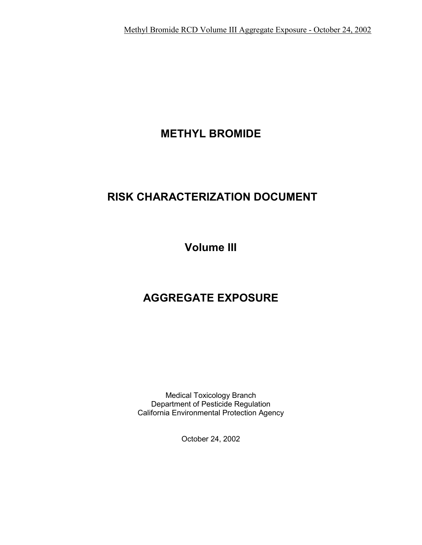# **METHYL BROMIDE**

# **RISK CHARACTERIZATION DOCUMENT**

**Volume III** 

# **AGGREGATE EXPOSURE**

Medical Toxicology Branch Department of Pesticide Regulation California Environmental Protection Agency

October 24, 2002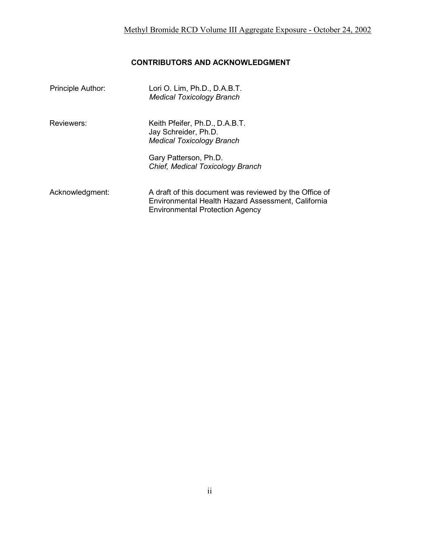# **CONTRIBUTORS AND ACKNOWLEDGMENT**

| Principle Author: | Lori O. Lim, Ph.D., D.A.B.T.<br><b>Medical Toxicology Branch</b>                                                                                       |
|-------------------|--------------------------------------------------------------------------------------------------------------------------------------------------------|
| Reviewers:        | Keith Pfeifer, Ph.D., D.A.B.T.<br>Jay Schreider, Ph.D.<br><b>Medical Toxicology Branch</b>                                                             |
|                   | Gary Patterson, Ph.D.<br>Chief, Medical Toxicology Branch                                                                                              |
| Acknowledgment:   | A draft of this document was reviewed by the Office of<br>Environmental Health Hazard Assessment, California<br><b>Environmental Protection Agency</b> |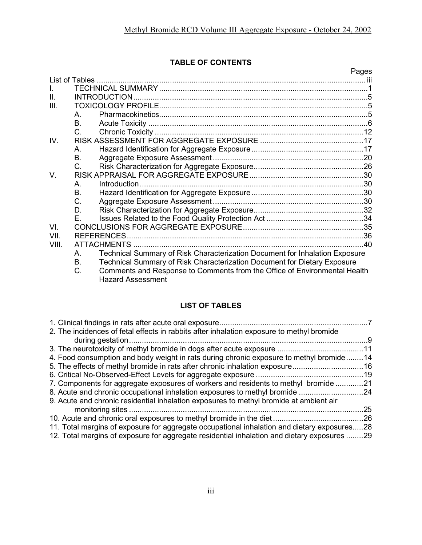# **TABLE OF CONTENTS**

|                |                                                                                   | Pages |
|----------------|-----------------------------------------------------------------------------------|-------|
| List of Tables |                                                                                   |       |
| $\mathbf{L}$   |                                                                                   |       |
| II.            |                                                                                   |       |
| III.           |                                                                                   |       |
|                | A                                                                                 |       |
|                | B.                                                                                |       |
|                | C.                                                                                |       |
| IV.            |                                                                                   |       |
|                | A.                                                                                |       |
|                | Β.                                                                                |       |
|                | C.                                                                                |       |
| V.             |                                                                                   |       |
|                | A.                                                                                |       |
|                | В.                                                                                |       |
|                | C.                                                                                |       |
|                | D.                                                                                |       |
|                | F.                                                                                |       |
| VI.            |                                                                                   |       |
| VII.           | <b>REFERENCES</b>                                                                 |       |
| VIII.          |                                                                                   | 40    |
|                | Technical Summary of Risk Characterization Document for Inhalation Exposure<br>А. |       |
|                | Technical Summary of Risk Characterization Document for Dietary Exposure<br>B.    |       |
|                | C.<br>Comments and Response to Comments from the Office of Environmental Health   |       |
|                | <b>Hazard Assessment</b>                                                          |       |

# **LIST OF TABLES**

| 2. The incidences of fetal effects in rabbits after inhalation exposure to methyl bromide   |     |
|---------------------------------------------------------------------------------------------|-----|
|                                                                                             |     |
| 4. Food consumption and body weight in rats during chronic exposure to methyl bromide14     |     |
| 5. The effects of methyl bromide in rats after chronic inhalation exposure16                |     |
|                                                                                             |     |
| 7. Components for aggregate exposures of workers and residents to methyl bromide 21         |     |
| 8. Acute and chronic occupational inhalation exposures to methyl bromide 24                 |     |
| 9. Acute and chronic residential inhalation exposures to methyl bromide at ambient air      |     |
|                                                                                             | .25 |
|                                                                                             |     |
| 11. Total margins of exposure for aggregate occupational inhalation and dietary exposures28 |     |
| 12. Total margins of exposure for aggregate residential inhalation and dietary exposures 29 |     |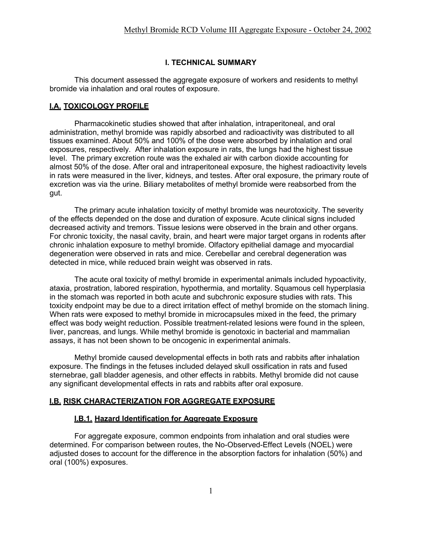#### **I. TECHNICAL SUMMARY**

This document assessed the aggregate exposure of workers and residents to methyl bromide via inhalation and oral routes of exposure.

#### **I.A. TOXICOLOGY PROFILE**

Pharmacokinetic studies showed that after inhalation, intraperitoneal, and oral administration, methyl bromide was rapidly absorbed and radioactivity was distributed to all tissues examined. About 50% and 100% of the dose were absorbed by inhalation and oral exposures, respectively. After inhalation exposure in rats, the lungs had the highest tissue level. The primary excretion route was the exhaled air with carbon dioxide accounting for almost 50% of the dose. After oral and intraperitoneal exposure, the highest radioactivity levels in rats were measured in the liver, kidneys, and testes. After oral exposure, the primary route of excretion was via the urine. Biliary metabolites of methyl bromide were reabsorbed from the gut.

The primary acute inhalation toxicity of methyl bromide was neurotoxicity. The severity of the effects depended on the dose and duration of exposure. Acute clinical signs included decreased activity and tremors. Tissue lesions were observed in the brain and other organs. For chronic toxicity, the nasal cavity, brain, and heart were major target organs in rodents after chronic inhalation exposure to methyl bromide. Olfactory epithelial damage and myocardial degeneration were observed in rats and mice. Cerebellar and cerebral degeneration was detected in mice, while reduced brain weight was observed in rats.

The acute oral toxicity of methyl bromide in experimental animals included hypoactivity, ataxia, prostration, labored respiration, hypothermia, and mortality. Squamous cell hyperplasia in the stomach was reported in both acute and subchronic exposure studies with rats. This toxicity endpoint may be due to a direct irritation effect of methyl bromide on the stomach lining. When rats were exposed to methyl bromide in microcapsules mixed in the feed, the primary effect was body weight reduction. Possible treatment-related lesions were found in the spleen, liver, pancreas, and lungs. While methyl bromide is genotoxic in bacterial and mammalian assays, it has not been shown to be oncogenic in experimental animals.

Methyl bromide caused developmental effects in both rats and rabbits after inhalation exposure. The findings in the fetuses included delayed skull ossification in rats and fused sternebrae, gall bladder agenesis, and other effects in rabbits. Methyl bromide did not cause any significant developmental effects in rats and rabbits after oral exposure.

#### **I.B. RISK CHARACTERIZATION FOR AGGREGATE EXPOSURE**

#### **I.B.1. Hazard Identification for Aggregate Exposure**

For aggregate exposure, common endpoints from inhalation and oral studies were determined. For comparison between routes, the No-Observed-Effect Levels (NOEL) were adjusted doses to account for the difference in the absorption factors for inhalation (50%) and oral (100%) exposures.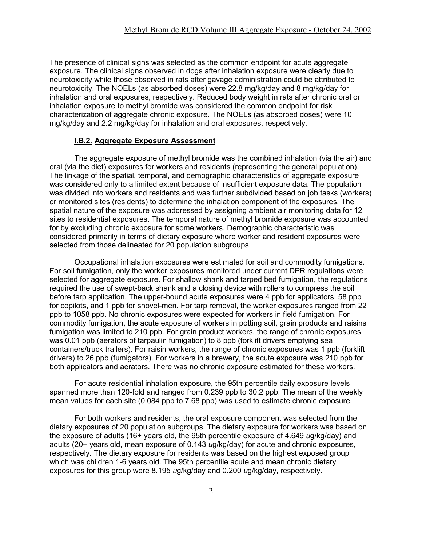The presence of clinical signs was selected as the common endpoint for acute aggregate exposure. The clinical signs observed in dogs after inhalation exposure were clearly due to neurotoxicity while those observed in rats after gavage administration could be attributed to neurotoxicity. The NOELs (as absorbed doses) were 22.8 mg/kg/day and 8 mg/kg/day for inhalation and oral exposures, respectively. Reduced body weight in rats after chronic oral or inhalation exposure to methyl bromide was considered the common endpoint for risk characterization of aggregate chronic exposure. The NOELs (as absorbed doses) were 10 mg/kg/day and 2.2 mg/kg/day for inhalation and oral exposures, respectively.

#### **I.B.2. Aggregate Exposure Assessment**

The aggregate exposure of methyl bromide was the combined inhalation (via the air) and oral (via the diet) exposures for workers and residents (representing the general population). The linkage of the spatial, temporal, and demographic characteristics of aggregate exposure was considered only to a limited extent because of insufficient exposure data. The population was divided into workers and residents and was further subdivided based on job tasks (workers) or monitored sites (residents) to determine the inhalation component of the exposures. The spatial nature of the exposure was addressed by assigning ambient air monitoring data for 12 sites to residential exposures. The temporal nature of methyl bromide exposure was accounted for by excluding chronic exposure for some workers. Demographic characteristic was considered primarily in terms of dietary exposure where worker and resident exposures were selected from those delineated for 20 population subgroups.

Occupational inhalation exposures were estimated for soil and commodity fumigations. For soil fumigation, only the worker exposures monitored under current DPR regulations were selected for aggregate exposure. For shallow shank and tarped bed fumigation, the regulations required the use of swept-back shank and a closing device with rollers to compress the soil before tarp application. The upper-bound acute exposures were 4 ppb for applicators, 58 ppb for copilots, and 1 ppb for shovel-men. For tarp removal, the worker exposures ranged from 22 ppb to 1058 ppb. No chronic exposures were expected for workers in field fumigation. For commodity fumigation, the acute exposure of workers in potting soil, grain products and raisins fumigation was limited to 210 ppb. For grain product workers, the range of chronic exposures was 0.01 ppb (aerators of tarpaulin fumigation) to 8 ppb (forklift drivers emptying sea containers/truck trailers). For raisin workers, the range of chronic exposures was 1 ppb (forklift drivers) to 26 ppb (fumigators). For workers in a brewery, the acute exposure was 210 ppb for both applicators and aerators. There was no chronic exposure estimated for these workers.

For acute residential inhalation exposure, the 95th percentile daily exposure levels spanned more than 120-fold and ranged from 0.239 ppb to 30.2 ppb. The mean of the weekly mean values for each site (0.084 ppb to 7.68 ppb) was used to estimate chronic exposure.

For both workers and residents, the oral exposure component was selected from the dietary exposures of 20 population subgroups. The dietary exposure for workers was based on the exposure of adults (16+ years old, the 95th percentile exposure of 4.649 *u*g/kg/day) and adults (20+ years old, mean exposure of 0.143 *u*g/kg/day) for acute and chronic exposures, respectively. The dietary exposure for residents was based on the highest exposed group which was children 1-6 years old. The 95th percentile acute and mean chronic dietary exposures for this group were 8.195 *u*g/kg/day and 0.200 *u*g/kg/day, respectively.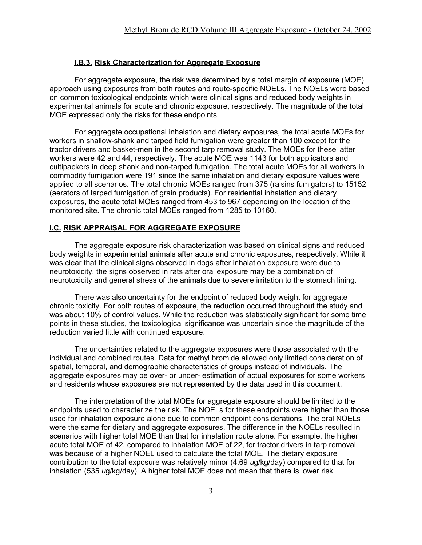#### **I.B.3. Risk Characterization for Aggregate Exposure**

For aggregate exposure, the risk was determined by a total margin of exposure (MOE) approach using exposures from both routes and route-specific NOELs. The NOELs were based on common toxicological endpoints which were clinical signs and reduced body weights in experimental animals for acute and chronic exposure, respectively. The magnitude of the total MOE expressed only the risks for these endpoints.

For aggregate occupational inhalation and dietary exposures, the total acute MOEs for workers in shallow-shank and tarped field fumigation were greater than 100 except for the tractor drivers and basket-men in the second tarp removal study. The MOEs for these latter workers were 42 and 44, respectively. The acute MOE was 1143 for both applicators and cultipackers in deep shank and non-tarped fumigation. The total acute MOEs for all workers in commodity fumigation were 191 since the same inhalation and dietary exposure values were applied to all scenarios. The total chronic MOEs ranged from 375 (raisins fumigators) to 15152 (aerators of tarped fumigation of grain products). For residential inhalation and dietary exposures, the acute total MOEs ranged from 453 to 967 depending on the location of the monitored site. The chronic total MOEs ranged from 1285 to 10160.

#### **I.C. RISK APPRAISAL FOR AGGREGATE EXPOSURE**

The aggregate exposure risk characterization was based on clinical signs and reduced body weights in experimental animals after acute and chronic exposures, respectively. While it was clear that the clinical signs observed in dogs after inhalation exposure were due to neurotoxicity, the signs observed in rats after oral exposure may be a combination of neurotoxicity and general stress of the animals due to severe irritation to the stomach lining.

There was also uncertainty for the endpoint of reduced body weight for aggregate chronic toxicity. For both routes of exposure, the reduction occurred throughout the study and was about 10% of control values. While the reduction was statistically significant for some time points in these studies, the toxicological significance was uncertain since the magnitude of the reduction varied little with continued exposure.

The uncertainties related to the aggregate exposures were those associated with the individual and combined routes. Data for methyl bromide allowed only limited consideration of spatial, temporal, and demographic characteristics of groups instead of individuals. The aggregate exposures may be over- or under- estimation of actual exposures for some workers and residents whose exposures are not represented by the data used in this document.

The interpretation of the total MOEs for aggregate exposure should be limited to the endpoints used to characterize the risk. The NOELs for these endpoints were higher than those used for inhalation exposure alone due to common endpoint considerations. The oral NOELs were the same for dietary and aggregate exposures. The difference in the NOELs resulted in scenarios with higher total MOE than that for inhalation route alone. For example, the higher acute total MOE of 42, compared to inhalation MOE of 22, for tractor drivers in tarp removal, was because of a higher NOEL used to calculate the total MOE. The dietary exposure contribution to the total exposure was relatively minor (4.69 *u*g/kg/day) compared to that for inhalation (535 *u*g/kg/day). A higher total MOE does not mean that there is lower risk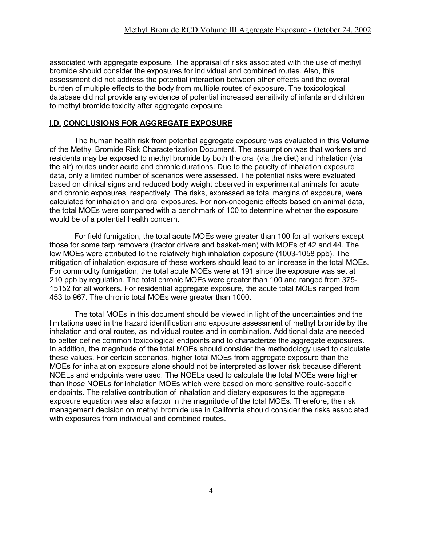associated with aggregate exposure. The appraisal of risks associated with the use of methyl bromide should consider the exposures for individual and combined routes. Also, this assessment did not address the potential interaction between other effects and the overall burden of multiple effects to the body from multiple routes of exposure. The toxicological database did not provide any evidence of potential increased sensitivity of infants and children to methyl bromide toxicity after aggregate exposure.

#### **I.D. CONCLUSIONS FOR AGGREGATE EXPOSURE**

The human health risk from potential aggregate exposure was evaluated in this **Volume**  of the Methyl Bromide Risk Characterization Document. The assumption was that workers and residents may be exposed to methyl bromide by both the oral (via the diet) and inhalation (via the air) routes under acute and chronic durations. Due to the paucity of inhalation exposure data, only a limited number of scenarios were assessed. The potential risks were evaluated based on clinical signs and reduced body weight observed in experimental animals for acute and chronic exposures, respectively. The risks, expressed as total margins of exposure, were calculated for inhalation and oral exposures. For non-oncogenic effects based on animal data, the total MOEs were compared with a benchmark of 100 to determine whether the exposure would be of a potential health concern.

For field fumigation, the total acute MOEs were greater than 100 for all workers except those for some tarp removers (tractor drivers and basket-men) with MOEs of 42 and 44. The low MOEs were attributed to the relatively high inhalation exposure (1003-1058 ppb). The mitigation of inhalation exposure of these workers should lead to an increase in the total MOEs. For commodity fumigation, the total acute MOEs were at 191 since the exposure was set at 210 ppb by regulation. The total chronic MOEs were greater than 100 and ranged from 375- 15152 for all workers. For residential aggregate exposure, the acute total MOEs ranged from 453 to 967. The chronic total MOEs were greater than 1000.

The total MOEs in this document should be viewed in light of the uncertainties and the limitations used in the hazard identification and exposure assessment of methyl bromide by the inhalation and oral routes, as individual routes and in combination. Additional data are needed to better define common toxicological endpoints and to characterize the aggregate exposures. In addition, the magnitude of the total MOEs should consider the methodology used to calculate these values. For certain scenarios, higher total MOEs from aggregate exposure than the MOEs for inhalation exposure alone should not be interpreted as lower risk because different NOELs and endpoints were used. The NOELs used to calculate the total MOEs were higher than those NOELs for inhalation MOEs which were based on more sensitive route-specific endpoints. The relative contribution of inhalation and dietary exposures to the aggregate exposure equation was also a factor in the magnitude of the total MOEs. Therefore, the risk management decision on methyl bromide use in California should consider the risks associated with exposures from individual and combined routes.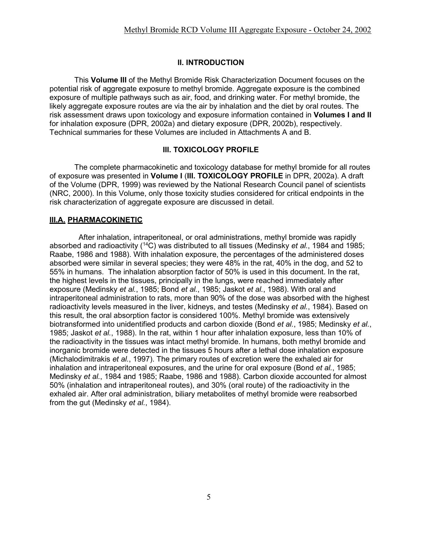## **II. INTRODUCTION**

This **Volume III** of the Methyl Bromide Risk Characterization Document focuses on the potential risk of aggregate exposure to methyl bromide. Aggregate exposure is the combined exposure of multiple pathways such as air, food, and drinking water. For methyl bromide, the likely aggregate exposure routes are via the air by inhalation and the diet by oral routes. The risk assessment draws upon toxicology and exposure information contained in **Volumes I and II**  for inhalation exposure (DPR, 2002a) and dietary exposure (DPR, 2002b), respectively. Technical summaries for these Volumes are included in Attachments A and B.

#### **III. TOXICOLOGY PROFILE**

The complete pharmacokinetic and toxicology database for methyl bromide for all routes of exposure was presented in **Volume I** (**III. TOXICOLOGY PROFILE** in DPR, 2002a). A draft of the Volume (DPR, 1999) was reviewed by the National Research Council panel of scientists (NRC, 2000). In this Volume, only those toxicity studies considered for critical endpoints in the risk characterization of aggregate exposure are discussed in detail.

## **III.A. PHARMACOKINETIC**

After inhalation, intraperitoneal, or oral administrations, methyl bromide was rapidly absorbed and radioactivity (14C) was distributed to all tissues (Medinsky *et al.*, 1984 and 1985; Raabe, 1986 and 1988). With inhalation exposure, the percentages of the administered doses absorbed were similar in several species; they were 48% in the rat, 40% in the dog, and 52 to 55% in humans. The inhalation absorption factor of 50% is used in this document. In the rat, the highest levels in the tissues, principally in the lungs, were reached immediately after exposure (Medinsky *et al.*, 1985; Bond *et al.*, 1985; Jaskot *et al.*, 1988). With oral and intraperitoneal administration to rats, more than 90% of the dose was absorbed with the highest radioactivity levels measured in the liver, kidneys, and testes (Medinsky *et al.*, 1984). Based on this result, the oral absorption factor is considered 100%. Methyl bromide was extensively biotransformed into unidentified products and carbon dioxide (Bond *et al.*, 1985; Medinsky *et al.*, 1985; Jaskot *et al.*, 1988). In the rat, within 1 hour after inhalation exposure, less than 10% of the radioactivity in the tissues was intact methyl bromide. In humans, both methyl bromide and inorganic bromide were detected in the tissues 5 hours after a lethal dose inhalation exposure (Michalodimitrakis *et al.*, 1997). The primary routes of excretion were the exhaled air for inhalation and intraperitoneal exposures, and the urine for oral exposure (Bond *et al.*, 1985; Medinsky *et al.*, 1984 and 1985; Raabe, 1986 and 1988). Carbon dioxide accounted for almost 50% (inhalation and intraperitoneal routes), and 30% (oral route) of the radioactivity in the exhaled air. After oral administration, biliary metabolites of methyl bromide were reabsorbed from the gut (Medinsky *et al.*, 1984).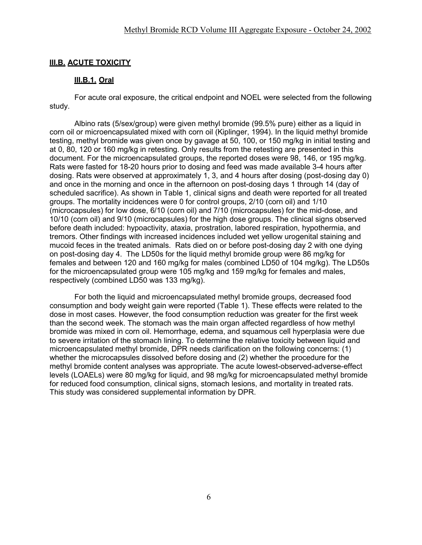### **III.B. ACUTE TOXICITY**

#### **III.B.1. Oral**

For acute oral exposure, the critical endpoint and NOEL were selected from the following study.

Albino rats (5/sex/group) were given methyl bromide (99.5% pure) either as a liquid in corn oil or microencapsulated mixed with corn oil (Kiplinger, 1994). In the liquid methyl bromide testing, methyl bromide was given once by gavage at 50, 100, or 150 mg/kg in initial testing and at 0, 80, 120 or 160 mg/kg in retesting. Only results from the retesting are presented in this document. For the microencapsulated groups, the reported doses were 98, 146, or 195 mg/kg. Rats were fasted for 18-20 hours prior to dosing and feed was made available 3-4 hours after dosing. Rats were observed at approximately 1, 3, and 4 hours after dosing (post-dosing day 0) and once in the morning and once in the afternoon on post-dosing days 1 through 14 (day of scheduled sacrifice). As shown in Table 1, clinical signs and death were reported for all treated groups. The mortality incidences were 0 for control groups, 2/10 (corn oil) and 1/10 (microcapsules) for low dose, 6/10 (corn oil) and 7/10 (microcapsules) for the mid-dose, and 10/10 (corn oil) and 9/10 (microcapsules) for the high dose groups. The clinical signs observed before death included: hypoactivity, ataxia, prostration, labored respiration, hypothermia, and tremors. Other findings with increased incidences included wet yellow urogenital staining and mucoid feces in the treated animals. Rats died on or before post-dosing day 2 with one dying on post-dosing day 4. The LD50s for the liquid methyl bromide group were 86 mg/kg for females and between 120 and 160 mg/kg for males (combined LD50 of 104 mg/kg). The LD50s for the microencapsulated group were 105 mg/kg and 159 mg/kg for females and males, respectively (combined LD50 was 133 mg/kg).

For both the liquid and microencapsulated methyl bromide groups, decreased food consumption and body weight gain were reported (Table 1). These effects were related to the dose in most cases. However, the food consumption reduction was greater for the first week than the second week. The stomach was the main organ affected regardless of how methyl bromide was mixed in corn oil. Hemorrhage, edema, and squamous cell hyperplasia were due to severe irritation of the stomach lining. To determine the relative toxicity between liquid and microencapsulated methyl bromide, DPR needs clarification on the following concerns: (1) whether the microcapsules dissolved before dosing and (2) whether the procedure for the methyl bromide content analyses was appropriate. The acute lowest-observed-adverse-effect levels (LOAELs) were 80 mg/kg for liquid, and 98 mg/kg for microencapsulated methyl bromide for reduced food consumption, clinical signs, stomach lesions, and mortality in treated rats. This study was considered supplemental information by DPR.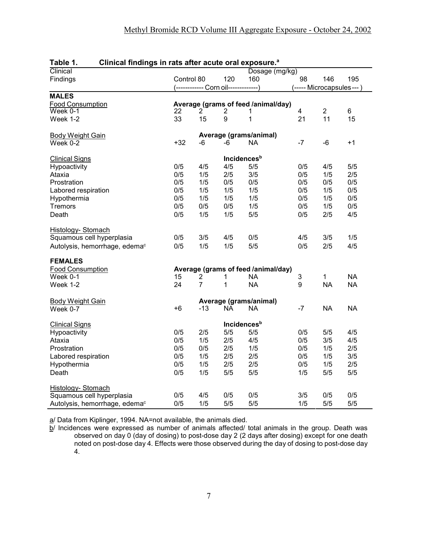| TANIG I.<br>Ullincal illiuliyə ili ratə altar acuta bila axposura. |            |                |                                      |                                     |                           |                          |           |
|--------------------------------------------------------------------|------------|----------------|--------------------------------------|-------------------------------------|---------------------------|--------------------------|-----------|
| Clinical                                                           |            |                |                                      | Dosage (mg/kg)                      |                           |                          |           |
| Findings                                                           | Control 80 |                | 120                                  | 160                                 | 98                        | 146                      | 195       |
|                                                                    |            |                | (------------ Corn oil-------------) |                                     |                           | (----- Microcapsules---) |           |
| <b>MALES</b>                                                       |            |                |                                      |                                     |                           |                          |           |
| <b>Food Consumption</b>                                            |            |                |                                      | Average (grams of feed /animal/day) |                           |                          |           |
| $Week$ 0-1                                                         | 22         | $\overline{2}$ | $\overline{\mathbf{c}}$              | 1                                   | $\overline{\mathbf{4}}$   | $\boldsymbol{2}$         | 6         |
| Week 1-2                                                           | 33         | 15             | 9                                    | $\mathbf 1$                         | 21                        | 11                       | 15        |
|                                                                    |            |                |                                      |                                     |                           |                          |           |
| <b>Body Weight Gain</b>                                            |            |                |                                      | Average (grams/animal)              |                           |                          |           |
| Week 0-2                                                           | $+32$      | -6             | -6                                   | NA.                                 | $-7$                      | $-6$                     | $+1$      |
|                                                                    |            |                |                                      |                                     |                           |                          |           |
| <b>Clinical Signs</b>                                              |            |                | <b>Incidences</b> <sup>b</sup>       |                                     |                           |                          |           |
| Hypoactivity                                                       | 0/5        | 4/5            | 4/5                                  | 5/5                                 | 0/5                       | 4/5                      | 5/5       |
| Ataxia                                                             | 0/5        | 1/5            | 2/5                                  | 3/5                                 | 0/5                       | 1/5                      | 2/5       |
| Prostration                                                        | 0/5        | 1/5            | 0/5                                  | 0/5                                 | 0/5                       | 0/5                      | 0/5       |
| Labored respiration                                                | 0/5        | 1/5            | 1/5                                  | 1/5                                 | 0/5                       | 1/5                      | 0/5       |
|                                                                    |            |                |                                      |                                     |                           |                          |           |
| Hypothermia                                                        | 0/5        | 1/5            | 1/5                                  | 1/5                                 | 0/5                       | 1/5                      | 0/5       |
| <b>Tremors</b>                                                     | 0/5        | 0/5            | 0/5                                  | 1/5                                 | 0/5                       | 1/5                      | 0/5       |
| Death                                                              | 0/5        | 1/5            | 1/5                                  | 5/5                                 | 0/5                       | 2/5                      | 4/5       |
|                                                                    |            |                |                                      |                                     |                           |                          |           |
| <b>Histology- Stomach</b>                                          |            |                |                                      |                                     |                           |                          |           |
| Squamous cell hyperplasia                                          | 0/5        | 3/5            | 4/5                                  | 0/5                                 | 4/5                       | 3/5                      | 1/5       |
| Autolysis, hemorrhage, edema <sup>c</sup>                          | 0/5        | 1/5            | 1/5                                  | 5/5                                 | 0/5                       | 2/5                      | 4/5       |
| <b>FEMALES</b>                                                     |            |                |                                      |                                     |                           |                          |           |
| <b>Food Consumption</b>                                            |            |                |                                      | Average (grams of feed /animal/day) |                           |                          |           |
| Week 0-1                                                           | 15         | 2              | 1                                    | <b>NA</b>                           | $\ensuremath{\mathsf{3}}$ | 1                        | <b>NA</b> |
| Week 1-2                                                           | 24         | $\overline{7}$ | $\mathbf{1}$                         | <b>NA</b>                           | 9                         | <b>NA</b>                | <b>NA</b> |
|                                                                    |            |                |                                      |                                     |                           |                          |           |
|                                                                    |            |                |                                      | Average (grams/animal)              |                           |                          |           |
| <b>Body Weight Gain</b><br>Week 0-7                                | $+6$       | $-13$          | <b>NA</b>                            | <b>NA</b>                           | $-7$                      | <b>NA</b>                | <b>NA</b> |
|                                                                    |            |                |                                      |                                     |                           |                          |           |
| <b>Clinical Signs</b>                                              |            |                | <b>Incidences</b> <sup>b</sup>       |                                     |                           |                          |           |
| Hypoactivity                                                       | 0/5        | 2/5            | 5/5                                  | 5/5                                 | 0/5                       | 5/5                      | 4/5       |
| Ataxia                                                             | 0/5        | 1/5            | 2/5                                  | 4/5                                 | 0/5                       | 3/5                      | 4/5       |
| Prostration                                                        | 0/5        | 0/5            | 2/5                                  | 1/5                                 | 0/5                       | 1/5                      | 2/5       |
| Labored respiration                                                | 0/5        | 1/5            | 2/5                                  | 2/5                                 | 0/5                       | 1/5                      | 3/5       |
| Hypothermia                                                        | 0/5        | 1/5            | 2/5                                  | 2/5                                 | 0/5                       | 1/5                      | 2/5       |
|                                                                    |            |                |                                      |                                     |                           |                          |           |
| Death                                                              | 0/5        | 1/5            | 5/5                                  | 5/5                                 | 1/5                       | 5/5                      | 5/5       |
| Histology-Stomach                                                  |            |                |                                      |                                     |                           |                          |           |
| Squamous cell hyperplasia                                          | 0/5        | 4/5            | 0/5                                  | 0/5                                 | 3/5                       | 0/5                      | 0/5       |
| Autolysis, hemorrhage, edema <sup>c</sup>                          | 0/5        | 1/5            | 5/5                                  | 5/5                                 | 1/5                       | 5/5                      | 5/5       |
|                                                                    |            |                |                                      |                                     |                           |                          |           |

#### **Table 1. Clinical findings in rats after acute oral exposure.a**

a/ Data from Kiplinger, 1994. NA=not available, the animals died.

 $\overline{b}$ / Incidences were expressed as number of animals affected/ total animals in the group. Death was observed on day 0 (day of dosing) to post-dose day 2 (2 days after dosing) except for one death noted on post-dose day 4. Effects were those observed during the day of dosing to post-dose day 4.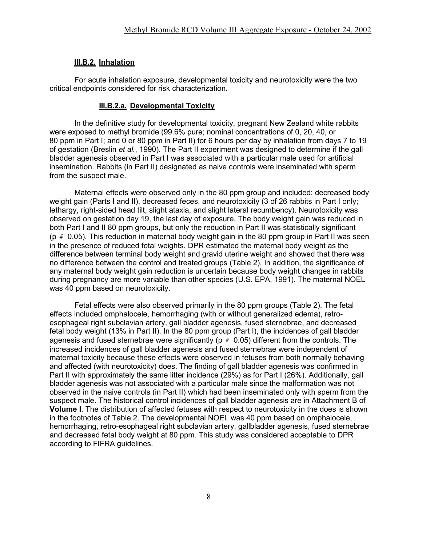#### **III.B.2. Inhalation**

For acute inhalation exposure, developmental toxicity and neurotoxicity were the two critical endpoints considered for risk characterization.

#### **III.B.2.a. Developmental Toxicity**

In the definitive study for developmental toxicity, pregnant New Zealand white rabbits were exposed to methyl bromide (99.6% pure; nominal concentrations of 0, 20, 40, or 80 ppm in Part I; and 0 or 80 ppm in Part II) for 6 hours per day by inhalation from days 7 to 19 of gestation (Breslin *et al.*, 1990). The Part II experiment was designed to determine if the gall bladder agenesis observed in Part I was associated with a particular male used for artificial insemination. Rabbits (in Part II) designated as naive controls were inseminated with sperm from the suspect male.

Maternal effects were observed only in the 80 ppm group and included: decreased body weight gain (Parts I and II), decreased feces, and neurotoxicity (3 of 26 rabbits in Part I only; lethargy, right-sided head tilt, slight ataxia, and slight lateral recumbency). Neurotoxicity was observed on gestation day 19, the last day of exposure. The body weight gain was reduced in both Part I and II 80 ppm groups, but only the reduction in Part II was statistically significant (p *#* 0.05). This reduction in maternal body weight gain in the 80 ppm group in Part II was seen in the presence of reduced fetal weights. DPR estimated the maternal body weight as the difference between terminal body weight and gravid uterine weight and showed that there was no difference between the control and treated groups (Table 2). In addition, the significance of any maternal body weight gain reduction is uncertain because body weight changes in rabbits during pregnancy are more variable than other species (U.S. EPA, 1991). The maternal NOEL was 40 ppm based on neurotoxicity.

Fetal effects were also observed primarily in the 80 ppm groups (Table 2). The fetal effects included omphalocele, hemorrhaging (with or without generalized edema), retroesophageal right subclavian artery, gall bladder agenesis, fused sternebrae, and decreased fetal body weight (13% in Part II). In the 80 ppm group (Part I), the incidences of gall bladder agenesis and fused sternebrae were significantly (p *#* 0.05) different from the controls. The increased incidences of gall bladder agenesis and fused sternebrae were independent of maternal toxicity because these effects were observed in fetuses from both normally behaving and affected (with neurotoxicity) does. The finding of gall bladder agenesis was confirmed in Part II with approximately the same litter incidence (29%) as for Part I (26%). Additionally, gall bladder agenesis was not associated with a particular male since the malformation was not observed in the naive controls (in Part II) which had been inseminated only with sperm from the suspect male. The historical control incidences of gall bladder agenesis are in Attachment B of **Volume I**. The distribution of affected fetuses with respect to neurotoxicity in the does is shown in the footnotes of Table 2. The developmental NOEL was 40 ppm based on omphalocele, hemorrhaging, retro-esophageal right subclavian artery, gallbladder agenesis, fused sternebrae and decreased fetal body weight at 80 ppm. This study was considered acceptable to DPR according to FIFRA guidelines.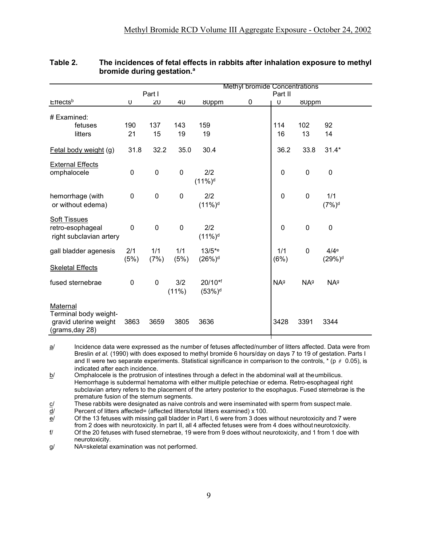|                                                                               |             | Part I      |                  |                                 | <b>Methyl bromide Concentrations</b> | Part II                |                        |                                        |  |
|-------------------------------------------------------------------------------|-------------|-------------|------------------|---------------------------------|--------------------------------------|------------------------|------------------------|----------------------------------------|--|
| $E$ <sub>rects</sub> b                                                        | U           | ZU          | 4U               | <b>8Uppm</b>                    | 0                                    | U                      | 80ppm                  |                                        |  |
| # Examined:<br>fetuses                                                        | 190         | 137         | 143              | 159                             |                                      | 114                    | 102                    | 92                                     |  |
| litters                                                                       | 21          | 15          | 19               | 19                              |                                      | 16                     | 13                     | 14                                     |  |
| Fetal body weight (g)                                                         | 31.8        | 32.2        | 35.0             | 30.4                            |                                      | 36.2                   | 33.8                   | $31.4*$                                |  |
| <b>External Effects</b><br>omphalocele                                        | 0           | $\mathbf 0$ | $\mathbf 0$      | 2/2<br>$(11\%)^d$               |                                      | $\mathbf{0}$           | $\mathbf 0$            | $\mathbf 0$                            |  |
| hemorrhage (with<br>or without edema)                                         | 0           | $\mathbf 0$ | $\boldsymbol{0}$ | 2/2<br>$(11\%)^d$               |                                      | $\mathbf 0$            | $\boldsymbol{0}$       | 1/1<br>$(7%)^d$                        |  |
| <b>Soft Tissues</b><br>retro-esophageal<br>right subclavian artery            | 0           | $\mathbf 0$ | $\mathbf 0$      | 2/2<br>$(11\%)^d$               |                                      | 0                      | $\boldsymbol{0}$       | $\mathbf 0$                            |  |
| gall bladder agenesis                                                         | 2/1<br>(5%) | 1/1<br>(7%) | 1/1<br>(5%)      | $13/5*$ e<br>(26%) <sup>d</sup> |                                      | 1/1<br>(6%)            | $\mathbf 0$            | 4/4 <sup>e</sup><br>(29%) <sup>d</sup> |  |
| <b>Skeletal Effects</b>                                                       |             |             |                  |                                 |                                      |                        |                        |                                        |  |
| fused sternebrae                                                              | 0           | $\mathbf 0$ | 3/2<br>(11%)     | 20/10*f<br>(53%) <sup>d</sup>   |                                      | <b>NA</b> <sup>g</sup> | <b>NA</b> <sup>g</sup> | NA <sup>g</sup>                        |  |
| Maternal<br>Terminal body weight-<br>gravid uterine weight<br>(grams, day 28) | 3863        | 3659        | 3805             | 3636                            |                                      | 3428                   | 3391                   | 3344                                   |  |

#### **Table 2. The incidences of fetal effects in rabbits after inhalation exposure to methyl bromide during gestation.a**

a/ Incidence data were expressed as the number of fetuses affected/number of litters affected. Data were from Breslin *et al.* (1990) with does exposed to methyl bromide 6 hours/day on days 7 to 19 of gestation. Parts I and II were two separate experiments. Statistical significance in comparison to the controls, \* (p *#* 0.05), is indicated after each incidence.

 $b$  Omphalocele is the protrusion of intestines through a defect in the abdominal wall at the umbilicus. Hemorrhage is subdermal hematoma with either multiple petechiae or edema. Retro-esophageal right subclavian artery refers to the placement of the artery posterior to the esophagus. Fused sternebrae is the premature fusion of the sternum segments.

 $c$  These rabbits were designated as naive controls and were inseminated with sperm from suspect male.

 $\frac{d}{dx}$  Percent of litters affected= (affected litters/total litters examined) x 100.

 $e$  Of the 13 fetuses with missing gall bladder in Part I, 6 were from 3 does without neurotoxicity and 7 were

from 2 does with neurotoxicity. In part II, all 4 affected fetuses were from 4 does without neurotoxicity. f/ Of the 20 fetuses with fused sternebrae, 19 were from 9 does without neurotoxicity, and 1 from 1 doe with neurotoxicity.

g/ NA=skeletal examination was not performed.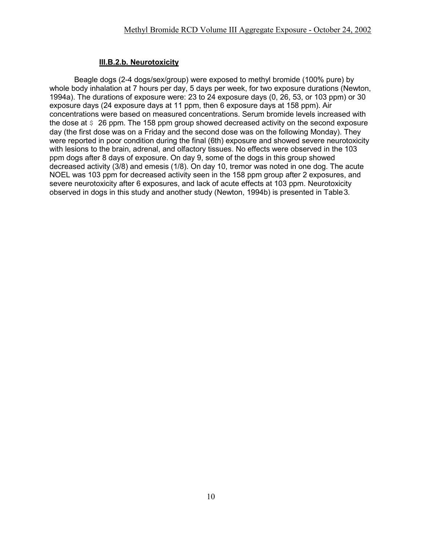## **III.B.2.b. Neurotoxicity**

Beagle dogs (2-4 dogs/sex/group) were exposed to methyl bromide (100% pure) by whole body inhalation at 7 hours per day, 5 days per week, for two exposure durations (Newton, 1994a). The durations of exposure were: 23 to 24 exposure days (0, 26, 53, or 103 ppm) or 30 exposure days (24 exposure days at 11 ppm, then 6 exposure days at 158 ppm). Air concentrations were based on measured concentrations. Serum bromide levels increased with the dose at  $\frac{1}{2}$  26 ppm. The 158 ppm group showed decreased activity on the second exposure day (the first dose was on a Friday and the second dose was on the following Monday). They were reported in poor condition during the final (6th) exposure and showed severe neurotoxicity with lesions to the brain, adrenal, and olfactory tissues. No effects were observed in the 103 ppm dogs after 8 days of exposure. On day 9, some of the dogs in this group showed decreased activity (3/8) and emesis (1/8). On day 10, tremor was noted in one dog. The acute NOEL was 103 ppm for decreased activity seen in the 158 ppm group after 2 exposures, and severe neurotoxicity after 6 exposures, and lack of acute effects at 103 ppm. Neurotoxicity observed in dogs in this study and another study (Newton, 1994b) is presented in Table3.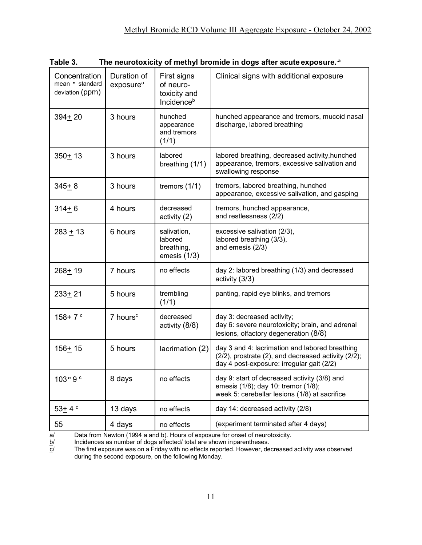| Concentration<br>mean " standard<br>deviation (ppm) | Duration of<br>exposure <sup>a</sup> | First signs<br>of neuro-<br>toxicity and<br>Incidence <sup>b</sup> | Clinical signs with additional exposure                                                                                                            |
|-----------------------------------------------------|--------------------------------------|--------------------------------------------------------------------|----------------------------------------------------------------------------------------------------------------------------------------------------|
| $394 + 20$                                          | 3 hours                              | hunched<br>appearance<br>and tremors<br>(1/1)                      | hunched appearance and tremors, mucoid nasal<br>discharge, labored breathing                                                                       |
| $350 + 13$                                          | 3 hours                              | labored<br>breathing (1/1)                                         | labored breathing, decreased activity, hunched<br>appearance, tremors, excessive salivation and<br>swallowing response                             |
| $345+8$                                             | 3 hours                              | tremors $(1/1)$                                                    | tremors, labored breathing, hunched<br>appearance, excessive salivation, and gasping                                                               |
| $314 + 6$                                           | 4 hours                              | decreased<br>activity $(2)$                                        | tremors, hunched appearance,<br>and restlessness (2/2)                                                                                             |
| $283 + 13$                                          | 6 hours                              | salivation,<br>labored<br>breathing,<br>emesis $(1/3)$             | excessive salivation (2/3),<br>labored breathing (3/3),<br>and emesis (2/3)                                                                        |
| $268 + 19$                                          | 7 hours                              | no effects                                                         | day 2: labored breathing (1/3) and decreased<br>activity (3/3)                                                                                     |
| $233+21$                                            | 5 hours                              | trembling<br>(1/1)                                                 | panting, rapid eye blinks, and tremors                                                                                                             |
| $158 + 7$ $\degree$                                 | $7$ hours <sup><math>c</math></sup>  | decreased<br>activity (8/8)                                        | day 3: decreased activity;<br>day 6: severe neurotoxicity; brain, and adrenal<br>lesions, olfactory degeneration (8/8)                             |
| $156 + 15$                                          | 5 hours                              | lacrimation (2)                                                    | day 3 and 4: lacrimation and labored breathing<br>(2/2), prostrate (2), and decreased activity (2/2);<br>day 4 post-exposure: irregular gait (2/2) |
| 103" $9°$                                           | 8 days                               | no effects                                                         | day 9: start of decreased activity (3/8) and<br>emesis (1/8); day 10: tremor (1/8);<br>week 5: cerebellar lesions (1/8) at sacrifice               |
| $53+4°$                                             | 13 days                              | no effects                                                         | day 14: decreased activity (2/8)                                                                                                                   |
| 55                                                  | 4 days                               | no effects                                                         | (experiment terminated after 4 days)                                                                                                               |

**Table 3. The neurotoxicity of methyl bromide in dogs after acute exposure..a**

 $\frac{a}{2}$  Data from Newton (1994 a and b). Hours of exposure for onset of neurotoxicity.<br> $\frac{b}{2}$  Incidences as number of dogs affected/ total are shown inparentheses.

<sup>&</sup>lt;u>b</u>/ Incidences as number of dogs affected/ total are shown inparentheses.<br> $\underline{c}$ / The first exposure was on a Friday with no effects reported. However, de The first exposure was on a Friday with no effects reported. However, decreased activity was observed during the second exposure, on the following Monday.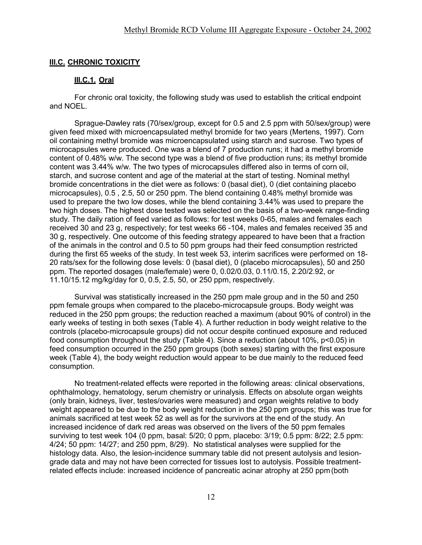### **III.C. CHRONIC TOXICITY**

#### **III.C.1. Oral**

For chronic oral toxicity, the following study was used to establish the critical endpoint and NOEL.

Sprague-Dawley rats (70/sex/group, except for 0.5 and 2.5 ppm with 50/sex/group) were given feed mixed with microencapsulated methyl bromide for two years (Mertens, 1997). Corn oil containing methyl bromide was microencapsulated using starch and sucrose. Two types of microcapsules were produced. One was a blend of 7 production runs; it had a methyl bromide content of 0.48% w/w. The second type was a blend of five production runs; its methyl bromide content was 3.44% w/w. The two types of microcapsules differed also in terms of corn oil, starch, and sucrose content and age of the material at the start of testing. Nominal methyl bromide concentrations in the diet were as follows: 0 (basal diet), 0 (diet containing placebo microcapsules), 0.5 , 2.5, 50 or 250 ppm. The blend containing 0.48% methyl bromide was used to prepare the two low doses, while the blend containing 3.44% was used to prepare the two high doses. The highest dose tested was selected on the basis of a two-week range-finding study. The daily ration of feed varied as follows: for test weeks 0-65, males and females each received 30 and 23 g, respectively; for test weeks 66 -104, males and females received 35 and 30 g, respectively. One outcome of this feeding strategy appeared to have been that a fraction of the animals in the control and 0.5 to 50 ppm groups had their feed consumption restricted during the first 65 weeks of the study. In test week 53, interim sacrifices were performed on 18- 20 rats/sex for the following dose levels: 0 (basal diet), 0 (placebo microcapsules), 50 and 250 ppm. The reported dosages (male/female) were 0, 0.02/0.03, 0.11/0.15, 2.20/2.92, or 11.10/15.12 mg/kg/day for 0, 0.5, 2.5, 50, or 250 ppm, respectively.

Survival was statistically increased in the 250 ppm male group and in the 50 and 250 ppm female groups when compared to the placebo-microcapsule groups. Body weight was reduced in the 250 ppm groups; the reduction reached a maximum (about 90% of control) in the early weeks of testing in both sexes (Table 4). A further reduction in body weight relative to the controls (placebo-microcapsule groups) did not occur despite continued exposure and reduced food consumption throughout the study (Table 4). Since a reduction (about 10%, p<0.05) in feed consumption occurred in the 250 ppm groups (both sexes) starting with the first exposure week (Table 4), the body weight reduction would appear to be due mainly to the reduced feed consumption.

No treatment-related effects were reported in the following areas: clinical observations, ophthalmology, hematology, serum chemistry or urinalysis. Effects on absolute organ weights (only brain, kidneys, liver, testes/ovaries were measured) and organ weights relative to body weight appeared to be due to the body weight reduction in the 250 ppm groups; this was true for animals sacrificed at test week 52 as well as for the survivors at the end of the study. An increased incidence of dark red areas was observed on the livers of the 50 ppm females surviving to test week 104 (0 ppm, basal: 5/20; 0 ppm, placebo: 3/19; 0.5 ppm: 8/22; 2.5 ppm: 4/24; 50 ppm: 14/27; and 250 ppm, 8/29). No statistical analyses were supplied for the histology data. Also, the lesion-incidence summary table did not present autolysis and lesiongrade data and may not have been corrected for tissues lost to autolysis. Possible treatmentrelated effects include: increased incidence of pancreatic acinar atrophy at 250 ppm(both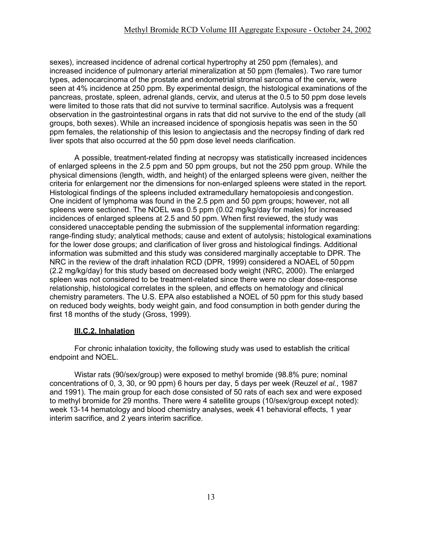sexes), increased incidence of adrenal cortical hypertrophy at 250 ppm (females), and increased incidence of pulmonary arterial mineralization at 50 ppm (females). Two rare tumor types, adenocarcinoma of the prostate and endometrial stromal sarcoma of the cervix, were seen at 4% incidence at 250 ppm. By experimental design, the histological examinations of the pancreas, prostate, spleen, adrenal glands, cervix, and uterus at the 0.5 to 50 ppm dose levels were limited to those rats that did not survive to terminal sacrifice. Autolysis was a frequent observation in the gastrointestinal organs in rats that did not survive to the end of the study (all groups, both sexes). While an increased incidence of spongiosis hepatis was seen in the 50 ppm females, the relationship of this lesion to angiectasis and the necropsy finding of dark red liver spots that also occurred at the 50 ppm dose level needs clarification.

A possible, treatment-related finding at necropsy was statistically increased incidences of enlarged spleens in the 2.5 ppm and 50 ppm groups, but not the 250 ppm group. While the physical dimensions (length, width, and height) of the enlarged spleens were given, neither the criteria for enlargement nor the dimensions for non-enlarged spleens were stated in the report. Histological findings of the spleens included extramedullary hematopoiesis andcongestion. One incident of lymphoma was found in the 2.5 ppm and 50 ppm groups; however, not all spleens were sectioned. The NOEL was 0.5 ppm (0.02 mg/kg/day for males) for increased incidences of enlarged spleens at 2.5 and 50 ppm. When first reviewed, the study was considered unacceptable pending the submission of the supplemental information regarding: range-finding study; analytical methods; cause and extent of autolysis; histological examinations for the lower dose groups; and clarification of liver gross and histological findings. Additional information was submitted and this study was considered marginally acceptable to DPR. The NRC in the review of the draft inhalation RCD (DPR, 1999) considered a NOAEL of 50ppm (2.2 mg/kg/day) for this study based on decreased body weight (NRC, 2000). The enlarged spleen was not considered to be treatment-related since there were no clear dose-response relationship, histological correlates in the spleen, and effects on hematology and clinical chemistry parameters. The U.S. EPA also established a NOEL of 50 ppm for this study based on reduced body weights, body weight gain, and food consumption in both gender during the first 18 months of the study (Gross, 1999).

## **III.C.2. Inhalation**

For chronic inhalation toxicity, the following study was used to establish the critical endpoint and NOEL.

Wistar rats (90/sex/group) were exposed to methyl bromide (98.8% pure; nominal concentrations of 0, 3, 30, or 90 ppm) 6 hours per day, 5 days per week (Reuzel *et al.*, 1987 and 1991). The main group for each dose consisted of 50 rats of each sex and were exposed to methyl bromide for 29 months. There were 4 satellite groups (10/sex/group except noted): week 13-14 hematology and blood chemistry analyses, week 41 behavioral effects, 1 year interim sacrifice, and 2 years interim sacrifice.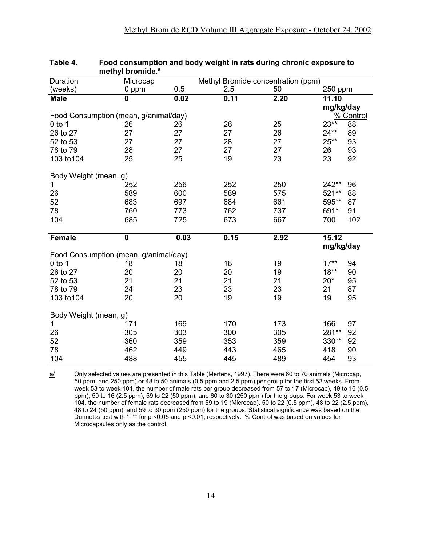| Duration                              | Microcap                |      |      | Methyl Bromide concentration (ppm) |           |                  |
|---------------------------------------|-------------------------|------|------|------------------------------------|-----------|------------------|
| (weeks)                               | 0 ppm                   | 0.5  | 2.5  | 50                                 | 250 ppm   |                  |
| <b>Male</b>                           | $\overline{\mathbf{0}}$ | 0.02 | 0.11 | 2.20                               | 11.10     |                  |
|                                       |                         |      |      |                                    | mg/kg/day |                  |
| Food Consumption (mean, g/animal/day) |                         |      |      |                                    |           | <u>% Control</u> |
| $0$ to 1                              | 26                      | 26   | 26   | 25                                 | $23**$    | 88               |
| 26 to 27                              | 27                      | 27   | 27   | 26                                 | $24**$    | 89               |
| 52 to 53                              | 27                      | 27   | 28   | 27                                 | $25**$    | 93               |
| 78 to 79                              | 28                      | 27   | 27   | 27                                 | 26        | 93               |
| 103 to 104                            | 25                      | 25   | 19   | 23                                 | 23        | 92               |
| Body Weight (mean, g)                 |                         |      |      |                                    |           |                  |
| $\mathbf{1}$                          | 252                     | 256  | 252  | 250                                | $242**$   | 96               |
| 26                                    | 589                     | 600  | 589  | 575                                | 521**     | 88               |
| 52                                    | 683                     | 697  | 684  | 661                                | 595**     | 87               |
| 78                                    | 760                     | 773  | 762  | 737                                | 691*      | 91               |
| 104                                   | 685                     | 725  | 673  | 667                                | 700       | 102              |
|                                       |                         |      |      |                                    |           |                  |
| Female                                | $\overline{\mathbf{0}}$ | 0.03 | 0.15 | 2.92                               | 15.12     |                  |
|                                       |                         |      |      |                                    | mg/kg/day |                  |
| Food Consumption (mean, g/animal/day) |                         |      |      |                                    |           |                  |
| $0$ to 1                              | 18                      | 18   | 18   | 19                                 | $17***$   | 94               |
| 26 to 27                              | 20                      | 20   | 20   | 19                                 | $18**$    | 90               |
| 52 to 53                              | 21                      | 21   | 21   | 21                                 | $20*$     | 95               |
| 78 to 79                              | 24                      | 23   | 23   | 23                                 | 21        | 87               |
| 103 to 104                            | 20                      | 20   | 19   | 19                                 | 19        | 95               |
| Body Weight (mean, g)                 |                         |      |      |                                    |           |                  |
| 1                                     | 171                     | 169  | 170  | 173                                | 166       | 97               |
| 26                                    | 305                     | 303  | 300  | 305                                | 281**     | 92               |
| 52                                    | 360                     | 359  | 353  | 359                                | 330**     | 92               |
| 78                                    | 462                     | 449  | 443  | 465                                | 418       | 90               |
| 104                                   | 488                     | 455  | 445  | 489                                | 454       | 93               |

#### **Table 4. Food consumption and body weight in rats during chronic exposure to methyl bromide.a**

a/ Only selected values are presented in this Table (Mertens, 1997). There were 60 to 70 animals (Microcap, 50 ppm, and 250 ppm) or 48 to 50 animals (0.5 ppm and 2.5 ppm) per group for the first 53 weeks. From week 53 to week 104, the number of male rats per group decreased from 57 to 17 (Microcap), 49 to 16 (0.5 ppm), 50 to 16 (2.5 ppm), 59 to 22 (50 ppm), and 60 to 30 (250 ppm) for the groups. For week 53 to week 104, the number of female rats decreased from 59 to 19 (Microcap), 50 to 22 (0.5 ppm), 48 to 22 (2.5 ppm), 48 to 24 (50 ppm), and 59 to 30 ppm (250 ppm) for the groups. Statistical significance was based on the Dunnett-s test with  $*$ ,  $**$  for p <0.05 and p <0.01, respectively. % Control was based on values for Microcapsules only as the control.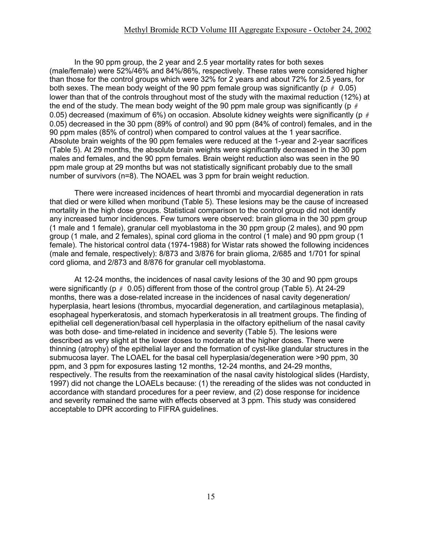In the 90 ppm group, the 2 year and 2.5 year mortality rates for both sexes (male/female) were 52%/46% and 84%/86%, respectively. These rates were considered higher than those for the control groups which were 32% for 2 years and about 72% for 2.5 years, for both sexes. The mean body weight of the 90 ppm female group was significantly (p *#* 0.05) lower than that of the controls throughout most of the study with the maximal reduction (12%) at the end of the study. The mean body weight of the 90 ppm male group was significantly (p *#*  0.05) decreased (maximum of 6%) on occasion. Absolute kidney weights were significantly (p *#*  0.05) decreased in the 30 ppm (89% of control) and 90 ppm (84% of control) females, and in the 90 ppm males (85% of control) when compared to control values at the 1 year sacrifice. Absolute brain weights of the 90 ppm females were reduced at the 1-year and 2-year sacrifices (Table 5). At 29 months, the absolute brain weights were significantly decreased in the 30 ppm males and females, and the 90 ppm females. Brain weight reduction also was seen in the 90 ppm male group at 29 months but was not statistically significant probably due to the small number of survivors (n=8). The NOAEL was 3 ppm for brain weight reduction.

There were increased incidences of heart thrombi and myocardial degeneration in rats that died or were killed when moribund (Table 5). These lesions may be the cause of increased mortality in the high dose groups. Statistical comparison to the control group did not identify any increased tumor incidences. Few tumors were observed: brain glioma in the 30 ppm group (1 male and 1 female), granular cell myoblastoma in the 30 ppm group (2 males), and 90 ppm group (1 male, and 2 females), spinal cord glioma in the control (1 male) and 90 ppm group (1 female). The historical control data (1974-1988) for Wistar rats showed the following incidences (male and female, respectively): 8/873 and 3/876 for brain glioma, 2/685 and 1/701 for spinal cord glioma, and 2/873 and 8/876 for granular cell myoblastoma.

At 12-24 months, the incidences of nasal cavity lesions of the 30 and 90 ppm groups were significantly (p *#* 0.05) different from those of the control group (Table 5). At 24-29 months, there was a dose-related increase in the incidences of nasal cavity degeneration/ hyperplasia, heart lesions (thrombus, myocardial degeneration, and cartilaginous metaplasia), esophageal hyperkeratosis, and stomach hyperkeratosis in all treatment groups. The finding of epithelial cell degeneration/basal cell hyperplasia in the olfactory epithelium of the nasal cavity was both dose- and time-related in incidence and severity (Table 5). The lesions were described as very slight at the lower doses to moderate at the higher doses. There were thinning (atrophy) of the epithelial layer and the formation of cyst-like glandular structures in the submucosa layer. The LOAEL for the basal cell hyperplasia/degeneration were >90 ppm, 30 ppm, and 3 ppm for exposures lasting 12 months, 12-24 months, and 24-29 months, respectively. The results from the reexamination of the nasal cavity histological slides (Hardisty, 1997) did not change the LOAELs because: (1) the rereading of the slides was not conducted in accordance with standard procedures for a peer review, and (2) dose response for incidence and severity remained the same with effects observed at 3 ppm. This study was considered acceptable to DPR according to FIFRA guidelines.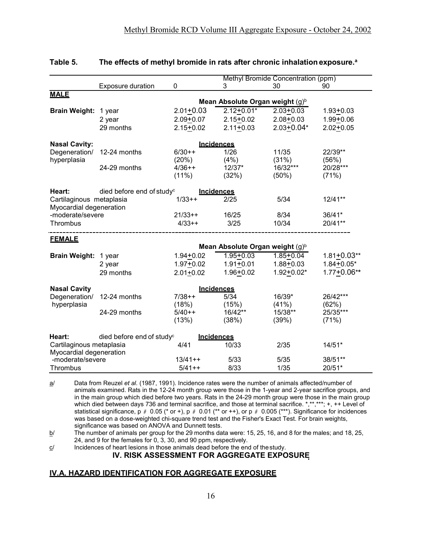|                                                     |                                       |               |                                             | Methyl Bromide Concentration (ppm) |                 |
|-----------------------------------------------------|---------------------------------------|---------------|---------------------------------------------|------------------------------------|-----------------|
|                                                     | Exposure duration                     | 0             | 3                                           | 30                                 | 90              |
| <b>MALE</b>                                         |                                       |               |                                             |                                    |                 |
|                                                     |                                       |               | Mean Absolute Organ weight $(g)^b$          |                                    |                 |
| <b>Brain Weight:</b>                                | 1 year                                | $2.01 + 0.03$ | $2.12+0.01*$                                | $2.03 + 0.03$                      | $1.93 + 0.03$   |
|                                                     | 2 year                                | $2.09 + 0.07$ | $2.15 + 0.02$                               | $2.08 + 0.03$                      | $1.99 + 0.06$   |
|                                                     | 29 months                             | $2.15 + 0.02$ | $2.11 + 0.03$                               | $2.03 + 0.04*$                     | $2.02 + 0.05$   |
| <b>Nasal Cavity:</b>                                |                                       |               | <b>Incidences</b>                           |                                    |                 |
| Degeneration/                                       | 12-24 months                          | $6/30++$      | 1/26                                        | 11/35                              | 22/39**         |
| hyperplasia                                         |                                       | (20%)         | (4%)                                        | (31%)                              | (56%)           |
|                                                     | 24-29 months                          | $4/36++$      | $12/37*$                                    | 16/32***                           | 20/28***        |
|                                                     |                                       | $(11\%)$      | (32%)                                       | $(50\%)$                           | (71%)           |
| Heart:                                              | died before end of study <sup>c</sup> |               | <b>Incidences</b>                           |                                    |                 |
| Cartilaginous metaplasia<br>Myocardial degeneration |                                       | $1/33++$      | 2/25                                        | 5/34                               | $12/41**$       |
| -moderate/severe                                    |                                       | $21/33++$     | 16/25                                       | 8/34                               | $36/41*$        |
| Thrombus                                            |                                       | $4/33++$      | 3/25                                        | 10/34                              | 20/41**         |
|                                                     |                                       |               |                                             |                                    |                 |
| <b>FEMALE</b>                                       |                                       |               |                                             |                                    |                 |
|                                                     |                                       |               | Mean Absolute Organ weight (g) <sup>b</sup> |                                    |                 |
| <b>Brain Weight:</b>                                | 1 year                                | $1.94 + 0.02$ | $1.95 + 0.03$                               | $1.85 + 0.04$                      | $1.81 + 0.03**$ |
|                                                     | 2 year                                | $1.97 + 0.02$ | $1.91 + 0.01$                               | $1.88 + 0.03$                      | $1.84 + 0.05*$  |
|                                                     | 29 months                             | $2.01 + 0.02$ | $1.96 + 0.02$                               | $1.92 + 0.02*$                     | $1.77 + 0.06**$ |
| <b>Nasal Cavity</b>                                 |                                       |               | Incidences                                  |                                    |                 |
| Degeneration/                                       | 12-24 months                          | $7/38++$      | 5/34                                        | 16/39*                             | 26/42***        |
| hyperplasia                                         |                                       | (18%)         | (15%)                                       | (41%)                              | (62%)           |
|                                                     | 24-29 months                          | $5/40++$      | 16/42**                                     | 15/38**                            | 25/35***        |
|                                                     |                                       | (13%)         | (38%)                                       | (39%)                              | (71%)           |
| Heart:                                              | died before end of study <sup>c</sup> |               | <b>Incidences</b>                           |                                    |                 |
| Cartilaginous metaplasia<br>Myocardial degeneration |                                       | 4/41          | 10/33                                       | 2/35                               | $14/51*$        |
| -moderate/severe                                    |                                       | $13/41++$     | 5/33                                        | 5/35                               | 38/51**         |
| Thrombus                                            |                                       | $5/41++$      | 8/33                                        | 1/35                               | 20/51*          |

#### **Table 5.** The effects of methyl bromide in rats after chronic inhalation exposure.<sup>a</sup>

a/ Data from Reuzel *et al.* (1987, 1991). Incidence rates were the number of animals affected/number of animals examined. Rats in the 12-24 month group were those in the 1-year and 2-year sacrifice groups, and in the main group which died before two years. Rats in the 24-29 month group were those in the main group which died between days 736 and terminal sacrifice, and those at terminal sacrifice. \*,\*\*,\*\*\*; +, ++ Level of statistical significance, p *#* 0.05 (\* or +), p *#* 0.01 (\*\* or ++), or p *#* 0.005 (\*\*\*). Significance for incidences was based on a dose-weighted chi-square trend test and the Fisher's Exact Test. For brain weights, significance was based on ANOVA and Dunnett tests.

 $b$  The number of animals per group for the 29 months data were: 15, 25, 16, and 8 for the males; and 18, 25, 24, and 9 for the females for 0, 3, 30, and 90 ppm, respectively.

 $c$  Incidences of heart lesions in those animals dead before the end of the study. **IV. RISK ASSESSMENT FOR AGGREGATE EXPOSURE**

# **IV.A. HAZARD IDENTIFICATION FOR AGGREGATE EXPOSURE**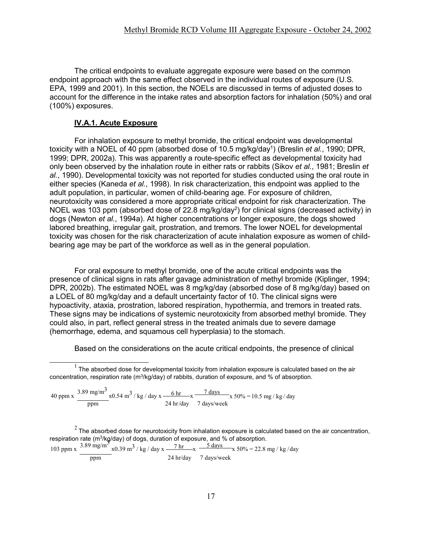The critical endpoints to evaluate aggregate exposure were based on the common endpoint approach with the same effect observed in the individual routes of exposure (U.S. EPA, 1999 and 2001). In this section, the NOELs are discussed in terms of adjusted doses to account for the difference in the intake rates and absorption factors for inhalation (50%) and oral (100%) exposures.

## **IV.A.1. Acute Exposure**

For inhalation exposure to methyl bromide, the critical endpoint was developmental toxicity with a NOEL of 40 ppm (absorbed dose of 10.5 mg/kg/day1 ) (Breslin *et al.*, 1990; DPR, 1999; DPR, 2002a). This was apparently a route-specific effect as developmental toxicity had only been observed by the inhalation route in either rats or rabbits (Sikov *et al.*, 1981; Breslin *et al.*, 1990). Developmental toxicity was not reported for studies conducted using the oral route in either species (Kaneda *et al.*, 1998). In risk characterization, this endpoint was applied to the adult population, in particular, women of child-bearing age. For exposure of children, neurotoxicity was considered a more appropriate critical endpoint for risk characterization. The NOEL was 103 ppm (absorbed dose of 22.8 mg/kg/day<sup>2</sup>) for clinical signs (decreased activity) in dogs (Newton *et al.*, 1994a). At higher concentrations or longer exposure, the dogs showed labored breathing, irregular gait, prostration, and tremors. The lower NOEL for developmental toxicity was chosen for the risk characterization of acute inhalation exposure as women of childbearing age may be part of the workforce as well as in the general population.

For oral exposure to methyl bromide, one of the acute critical endpoints was the presence of clinical signs in rats after gavage administration of methyl bromide (Kiplinger, 1994; DPR, 2002b). The estimated NOEL was 8 mg/kg/day (absorbed dose of 8 mg/kg/day) based on a LOEL of 80 mg/kg/day and a default uncertainty factor of 10. The clinical signs were hypoactivity, ataxia, prostration, labored respiration, hypothermia, and tremors in treated rats. These signs may be indications of systemic neurotoxicity from absorbed methyl bromide. They could also, in part, reflect general stress in the treated animals due to severe damage (hemorrhage, edema, and squamous cell hyperplasia) to the stomach.

Based on the considerations on the acute critical endpoints, the presence of clinical

40 ppm x  $3.89 \text{ mg/m}^3$  x0.54 m<sup>3</sup> / kg / day x  $-6 \text{ hr}$  x  $-7 \text{ days}$ ppm 24 hr/day 7 days/week x 50% = 10.5 mg / kg / day

respiration rate (m<sup>3</sup>/kg/day) of dogs, duration of exposure, and % of absorption.

\n103 ppm x 
$$
\frac{3.89 \text{ mg/m}^3}{\text{ppm}} \times 0.39 \text{ m}^3 / \text{kg} / \text{day} \times \frac{7 \text{ hr}}{24 \text{ hr/day}} \times \frac{5 \text{ days}}{7 \text{ days/week}} \times 50\% = 22.8 \text{ mg} / \text{kg} / \text{day}
$$

 $1$  The absorbed dose for developmental toxicity from inhalation exposure is calculated based on the air concentration, respiration rate (m3/kg/day) of rabbits, duration of exposure, and % of absorption.

 $2$  The absorbed dose for neurotoxicity from inhalation exposure is calculated based on the air concentration,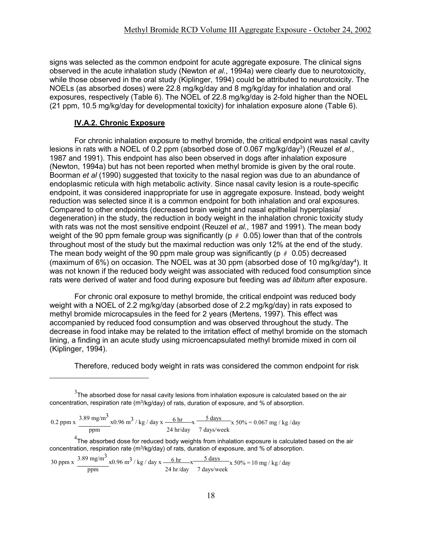signs was selected as the common endpoint for acute aggregate exposure. The clinical signs observed in the acute inhalation study (Newton *et al.*, 1994a) were clearly due to neurotoxicity, while those observed in the oral study (Kiplinger, 1994) could be attributed to neurotoxicity. The NOELs (as absorbed doses) were 22.8 mg/kg/day and 8 mg/kg/day for inhalation and oral exposures, respectively (Table 6). The NOEL of 22.8 mg/kg/day is 2-fold higher than the NOEL (21 ppm, 10.5 mg/kg/day for developmental toxicity) for inhalation exposure alone (Table 6).

#### **IV.A.2. Chronic Exposure**

For chronic inhalation exposure to methyl bromide, the critical endpoint was nasal cavity lesions in rats with a NOEL of 0.2 ppm (absorbed dose of 0.067 mg/kg/day<sup>3</sup>) (Reuzel *et al.*, 1987 and 1991). This endpoint has also been observed in dogs after inhalation exposure (Newton, 1994a) but has not been reported when methyl bromide is given by the oral route. Boorman *et al* (1990) suggested that toxicity to the nasal region was due to an abundance of endoplasmic reticula with high metabolic activity. Since nasal cavity lesion is a route-specific endpoint, it was considered inappropriate for use in aggregate exposure. Instead, body weight reduction was selected since it is a common endpoint for both inhalation and oral exposures. Compared to other endpoints (decreased brain weight and nasal epithelial hyperplasia/ degeneration) in the study, the reduction in body weight in the inhalation chronic toxicity study with rats was not the most sensitive endpoint (Reuzel *et al.*, 1987 and 1991). The mean body weight of the 90 ppm female group was significantly (p *#* 0.05) lower than that of the controls throughout most of the study but the maximal reduction was only 12% at the end of the study. The mean body weight of the 90 ppm male group was significantly (p *#* 0.05) decreased (maximum of 6%) on occasion. The NOEL was at 30 ppm (absorbed dose of 10 mg/kg/day<sup>4</sup>). It was not known if the reduced body weight was associated with reduced food consumption since rats were derived of water and food during exposure but feeding was *ad libitum* after exposure.

For chronic oral exposure to methyl bromide, the critical endpoint was reduced body weight with a NOEL of 2.2 mg/kg/day (absorbed dose of 2.2 mg/kg/day) in rats exposed to methyl bromide microcapsules in the feed for 2 years (Mertens, 1997). This effect was accompanied by reduced food consumption and was observed throughout the study. The decrease in food intake may be related to the irritation effect of methyl bromide on the stomach lining, a finding in an acute study using microencapsulated methyl bromide mixed in corn oil (Kiplinger, 1994).

Therefore, reduced body weight in rats was considered the common endpoint for risk

0.2 ppm x 
$$
\frac{3.89 \text{ mg/m}^3}{\text{ppm}} x0.96 \text{ m}^3/\text{kg}/\text{day x}
$$

$$
\frac{6 \text{ hr}}{24 \text{ hr}/\text{day}} \times \frac{5 \text{ days}}{7 \text{ days}/\text{week}} x 50\% = 0.067 \text{ mg}/\text{kg}/\text{day}
$$

 $^{\rm 4}$ The absorbed dose for reduced body weights from inhalation exposure is calculated based on the air concentration, respiration rate (m3/kg/day) of rats, duration of exposure, and % of absorption.

30 ppm x  $3.89 \text{ mg/m}^3$  x0.96 m<sup>3</sup> / kg / day x  $\frac{6 \text{ hr}}{10 \text{ yr}}$   $\frac{5 \text{ days}}{10 \text{ mg}}$  x 50% = 10 mg / kg / day ppm 24 hr/day 7 days/week

 $^3$ The absorbed dose for nasal cavity lesions from inhalation exposure is calculated based on the air concentration, respiration rate (m3/kg/day) of rats, duration of exposure, and % of absorption.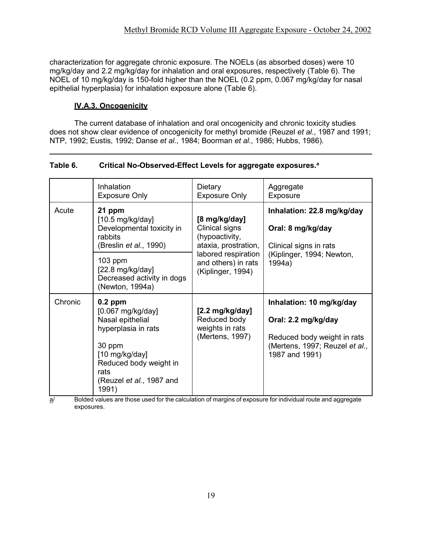characterization for aggregate chronic exposure. The NOELs (as absorbed doses) were 10 mg/kg/day and 2.2 mg/kg/day for inhalation and oral exposures, respectively (Table 6). The NOEL of 10 mg/kg/day is 150-fold higher than the NOEL (0.2 ppm, 0.067 mg/kg/day for nasal epithelial hyperplasia) for inhalation exposure alone (Table 6).

# **IV.A.3. Oncogenicity**

The current database of inhalation and oral oncogenicity and chronic toxicity studies does not show clear evidence of oncogenicity for methyl bromide (Reuzel *et al.*, 1987 and 1991; NTP, 1992; Eustis, 1992; Danse *et al.*, 1984; Boorman *et al.*, 1986; Hubbs, 1986).

| Table 6. | Critical No-Observed-Effect Levels for aggregate exposures. <sup>a</sup> |  |
|----------|--------------------------------------------------------------------------|--|
|          |                                                                          |  |

|         | Inhalation<br><b>Exposure Only</b>                                                                                                                                                                 | Dietary<br><b>Exposure Only</b>                                                                                                              | Aggregate<br>Exposure                                                                                                              |
|---------|----------------------------------------------------------------------------------------------------------------------------------------------------------------------------------------------------|----------------------------------------------------------------------------------------------------------------------------------------------|------------------------------------------------------------------------------------------------------------------------------------|
| Acute   | 21 ppm<br>$[10.5 \text{ mg/kg/day}]$<br>Developmental toxicity in<br>rabbits<br>(Breslin et al., 1990)<br>$103$ ppm<br>$[22.8 \text{ mg/kg/day}]$<br>Decreased activity in dogs<br>(Newton, 1994a) | [8 mg/kg/day]<br>Clinical signs<br>(hypoactivity,<br>ataxia, prostration,<br>labored respiration<br>and others) in rats<br>(Kiplinger, 1994) | Inhalation: 22.8 mg/kg/day<br>Oral: 8 mg/kg/day<br>Clinical signs in rats<br>(Kiplinger, 1994; Newton,<br>1994a)                   |
| Chronic | $0.2$ ppm<br>$[0.067 \text{ mg/kg/day}]$<br>Nasal epithelial<br>hyperplasia in rats<br>30 ppm<br>$[10 \text{ mg/kg/day}]$<br>Reduced body weight in<br>rats<br>(Reuzel et al., 1987 and<br>1991)   | $[2.2 \text{ mg/kg/day}]$<br>Reduced body<br>weights in rats<br>(Mertens, 1997)                                                              | Inhalation: 10 mg/kg/day<br>Oral: 2.2 mg/kg/day<br>Reduced body weight in rats<br>(Mertens, 1997; Reuzel et al.,<br>1987 and 1991) |

 $\overline{a}$  Bolded values are those used for the calculation of margins of exposure for individual route and aggregate exposures.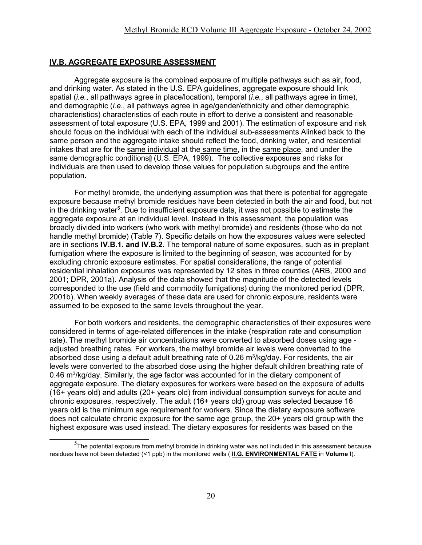#### **IV.B. AGGREGATE EXPOSURE ASSESSMENT**

Aggregate exposure is the combined exposure of multiple pathways such as air, food, and drinking water. As stated in the U.S. EPA guidelines, aggregate exposure should link spatial (*i.e.*, all pathways agree in place/location), temporal (*i.e.*, all pathways agree in time), and demographic (*i.e.*, all pathways agree in age/gender/ethnicity and other demographic characteristics) characteristics of each route in effort to derive a consistent and reasonable assessment of total exposure (U.S. EPA, 1999 and 2001). The estimation of exposure and risk should focus on the individual with each of the individual sub-assessments Alinked back to the same person and the aggregate intake should reflect the food, drinking water, and residential intakes that are for the same individual at the same time, in the same place, and under the same demographic conditions@ (U.S. EPA, 1999). The collective exposures and risks for individuals are then used to develop those values for population subgroups and the entire population.

For methyl bromide, the underlying assumption was that there is potential for aggregate exposure because methyl bromide residues have been detected in both the air and food, but not in the drinking water<sup>5</sup>. Due to insufficient exposure data, it was not possible to estimate the aggregate exposure at an individual level. Instead in this assessment, the population was broadly divided into workers (who work with methyl bromide) and residents (those who do not handle methyl bromide) (Table 7). Specific details on how the exposures values were selected are in sections **IV.B.1. and IV.B.2.** The temporal nature of some exposures, such as in preplant fumigation where the exposure is limited to the beginning of season, was accounted for by excluding chronic exposure estimates. For spatial considerations, the range of potential residential inhalation exposures was represented by 12 sites in three counties (ARB, 2000 and 2001; DPR, 2001a). Analysis of the data showed that the magnitude of the detected levels corresponded to the use (field and commodity fumigations) during the monitored period (DPR, 2001b). When weekly averages of these data are used for chronic exposure, residents were assumed to be exposed to the same levels throughout the year.

For both workers and residents, the demographic characteristics of their exposures were considered in terms of age-related differences in the intake (respiration rate and consumption rate). The methyl bromide air concentrations were converted to absorbed doses using age adjusted breathing rates. For workers, the methyl bromide air levels were converted to the absorbed dose using a default adult breathing rate of 0.26 m<sup>3</sup>/kg/day. For residents, the air levels were converted to the absorbed dose using the higher default children breathing rate of 0.46 m<sup>3</sup>/kg/day. Similarly, the age factor was accounted for in the dietary component of aggregate exposure. The dietary exposures for workers were based on the exposure of adults (16+ years old) and adults (20+ years old) from individual consumption surveys for acute and chronic exposures, respectively. The adult (16+ years old) group was selected because 16 years old is the minimum age requirement for workers. Since the dietary exposure software does not calculate chronic exposure for the same age group, the 20+ years old group with the highest exposure was used instead. The dietary exposures for residents was based on the

 $^5$ The potential exposure from methyl bromide in drinking water was not included in this assessment because residues have not been detected (<1 ppb) in the monitored wells ( **II.G. ENVIRONMENTAL FATE** in **Volume I**).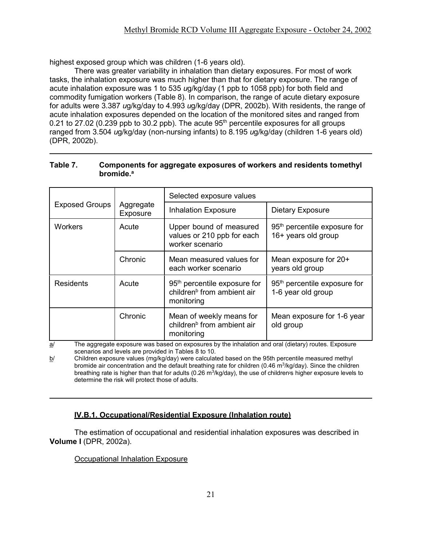highest exposed group which was children (1-6 years old).

There was greater variability in inhalation than dietary exposures. For most of work tasks, the inhalation exposure was much higher than that for dietary exposure. The range of acute inhalation exposure was 1 to 535 *u*g/kg/day (1 ppb to 1058 ppb) for both field and commodity fumigation workers (Table 8). In comparison, the range of acute dietary exposure for adults were 3.387 *u*g/kg/day to 4.993 *u*g/kg/day (DPR, 2002b). With residents, the range of acute inhalation exposures depended on the location of the monitored sites and ranged from 0.21 to 27.02 (0.239 ppb to 30.2 ppb). The acute  $95<sup>th</sup>$  percentile exposures for all groups ranged from 3.504 *u*g/kg/day (non-nursing infants) to 8.195 *u*g/kg/day (children 1-6 years old) (DPR, 2002b).

#### **Table 7. Components for aggregate exposures of workers and residents tomethyl bromide.a**

|                       |                       | Selected exposure values                                                                         |                                                                 |  |  |
|-----------------------|-----------------------|--------------------------------------------------------------------------------------------------|-----------------------------------------------------------------|--|--|
| <b>Exposed Groups</b> | Aggregate<br>Exposure | <b>Inhalation Exposure</b>                                                                       | <b>Dietary Exposure</b>                                         |  |  |
| <b>Workers</b>        | Acute                 | Upper bound of measured<br>values or 210 ppb for each<br>worker scenario                         | 95 <sup>th</sup> percentile exposure for<br>16+ years old group |  |  |
|                       | Chronic               | Mean measured values for<br>each worker scenario                                                 | Mean exposure for 20+<br>years old group                        |  |  |
| <b>Residents</b>      | Acute                 | 95 <sup>th</sup> percentile exposure for<br>children <sup>b</sup> from ambient air<br>monitoring | 95 <sup>th</sup> percentile exposure for<br>1-6 year old group  |  |  |
|                       | Chronic               | Mean of weekly means for<br>children <sup>b</sup> from ambient air<br>monitoring                 | Mean exposure for 1-6 year<br>old group                         |  |  |

a/ The aggregate exposure was based on exposures by the inhalation and oral (dietary) routes. Exposure scenarios and levels are provided in Tables 8 to 10.

 $b/$  Children exposure values (mg/kg/day) were calculated based on the 95th percentile measured methyl bromide air concentration and the default breathing rate for children (0.46 m<sup>3</sup>/kg/day). Since the children breathing rate is higher than that for adults (0.26  $m^3$ /kg/day), the use of children-s higher exposure levels to determine the risk will protect those of adults.

# **IV.B.1. Occupational/Residential Exposure (Inhalation route)**

The estimation of occupational and residential inhalation exposures was described in **Volume I** (DPR, 2002a).

# Occupational Inhalation Exposure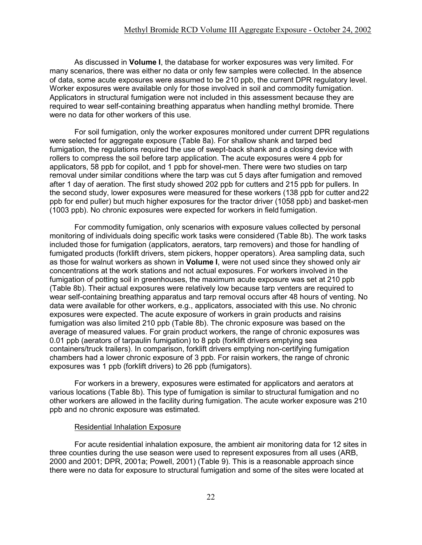As discussed in **Volume I**, the database for worker exposures was very limited. For many scenarios, there was either no data or only few samples were collected. In the absence of data, some acute exposures were assumed to be 210 ppb, the current DPR regulatory level. Worker exposures were available only for those involved in soil and commodity fumigation. Applicators in structural fumigation were not included in this assessment because they are required to wear self-containing breathing apparatus when handling methyl bromide. There were no data for other workers of this use.

For soil fumigation, only the worker exposures monitored under current DPR regulations were selected for aggregate exposure (Table 8a). For shallow shank and tarped bed fumigation, the regulations required the use of swept-back shank and a closing device with rollers to compress the soil before tarp application. The acute exposures were 4 ppb for applicators, 58 ppb for copilot, and 1 ppb for shovel-men. There were two studies on tarp removal under similar conditions where the tarp was cut 5 days after fumigation and removed after 1 day of aeration. The first study showed 202 ppb for cutters and 215 ppb for pullers. In the second study, lower exposures were measured for these workers (138 ppb for cutter and22 ppb for end puller) but much higher exposures for the tractor driver (1058 ppb) and basket-men (1003 ppb). No chronic exposures were expected for workers in field fumigation.

For commodity fumigation, only scenarios with exposure values collected by personal monitoring of individuals doing specific work tasks were considered (Table 8b). The work tasks included those for fumigation (applicators, aerators, tarp removers) and those for handling of fumigated products (forklift drivers, stem pickers, hopper operators). Area sampling data, such as those for walnut workers as shown in **Volume I**, were not used since they showed only air concentrations at the work stations and not actual exposures. For workers involved in the fumigation of potting soil in greenhouses, the maximum acute exposure was set at 210 ppb (Table 8b). Their actual exposures were relatively low because tarp venters are required to wear self-containing breathing apparatus and tarp removal occurs after 48 hours of venting. No data were available for other workers, e.g., applicators, associated with this use. No chronic exposures were expected. The acute exposure of workers in grain products and raisins fumigation was also limited 210 ppb (Table 8b). The chronic exposure was based on the average of measured values. For grain product workers, the range of chronic exposures was 0.01 ppb (aerators of tarpaulin fumigation) to 8 ppb (forklift drivers emptying sea containers/truck trailers). In comparison, forklift drivers emptying non-certifying fumigation chambers had a lower chronic exposure of 3 ppb. For raisin workers, the range of chronic exposures was 1 ppb (forklift drivers) to 26 ppb (fumigators).

For workers in a brewery, exposures were estimated for applicators and aerators at various locations (Table 8b). This type of fumigation is similar to structural fumigation and no other workers are allowed in the facility during fumigation. The acute worker exposure was 210 ppb and no chronic exposure was estimated.

#### Residential Inhalation Exposure

For acute residential inhalation exposure, the ambient air monitoring data for 12 sites in three counties during the use season were used to represent exposures from all uses (ARB, 2000 and 2001; DPR, 2001a; Powell, 2001) (Table 9). This is a reasonable approach since there were no data for exposure to structural fumigation and some of the sites were located at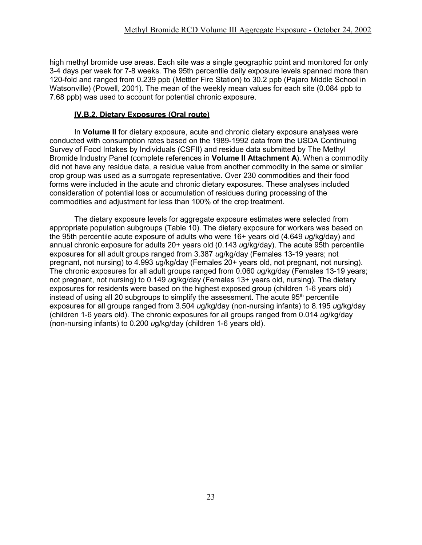high methyl bromide use areas. Each site was a single geographic point and monitored for only 3-4 days per week for 7-8 weeks. The 95th percentile daily exposure levels spanned more than 120-fold and ranged from 0.239 ppb (Mettler Fire Station) to 30.2 ppb (Pajaro Middle School in Watsonville) (Powell, 2001). The mean of the weekly mean values for each site (0.084 ppb to 7.68 ppb) was used to account for potential chronic exposure.

#### **IV.B.2. Dietary Exposures (Oral route)**

In **Volume II** for dietary exposure, acute and chronic dietary exposure analyses were conducted with consumption rates based on the 1989-1992 data from the USDA Continuing Survey of Food Intakes by Individuals (CSFII) and residue data submitted by The Methyl Bromide Industry Panel (complete references in **Volume II Attachment A**). When a commodity did not have any residue data, a residue value from another commodity in the same or similar crop group was used as a surrogate representative. Over 230 commodities and their food forms were included in the acute and chronic dietary exposures. These analyses included consideration of potential loss or accumulation of residues during processing of the commodities and adjustment for less than 100% of the crop treatment.

The dietary exposure levels for aggregate exposure estimates were selected from appropriate population subgroups (Table 10). The dietary exposure for workers was based on the 95th percentile acute exposure of adults who were 16+ years old (4.649 *u*g/kg/day) and annual chronic exposure for adults 20+ years old (0.143 *u*g/kg/day). The acute 95th percentile exposures for all adult groups ranged from 3.387 *u*g/kg/day (Females 13-19 years; not pregnant, not nursing) to 4.993 *u*g/kg/day (Females 20+ years old, not pregnant, not nursing). The chronic exposures for all adult groups ranged from 0.060 *u*g/kg/day (Females 13-19 years; not pregnant, not nursing) to 0.149 *u*g/kg/day (Females 13+ years old, nursing). The dietary exposures for residents were based on the highest exposed group (children 1-6 years old) instead of using all 20 subgroups to simplify the assessment. The acute  $95<sup>th</sup>$  percentile exposures for all groups ranged from 3.504 *u*g/kg/day (non-nursing infants) to 8.195 *u*g/kg/day (children 1-6 years old). The chronic exposures for all groups ranged from 0.014 *u*g/kg/day (non-nursing infants) to 0.200 *u*g/kg/day (children 1-6 years old).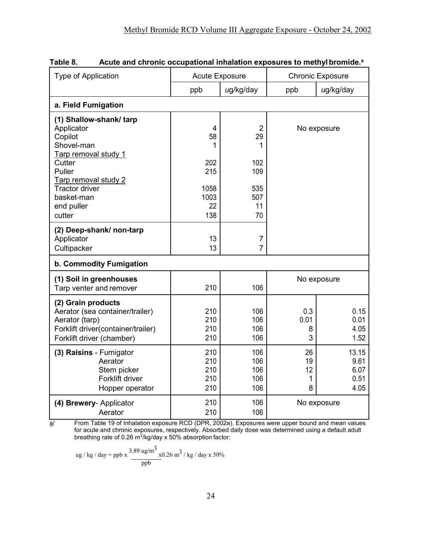|                                                      |                       |                | <b>Chronic Exposure</b> |              |
|------------------------------------------------------|-----------------------|----------------|-------------------------|--------------|
| Type of Application                                  | <b>Acute Exposure</b> |                |                         |              |
|                                                      | ppb                   | ug/kg/day      | ppb                     | ug/kg/day    |
| a. Field Fumigation                                  |                       |                |                         |              |
| (1) Shallow-shank/tarp                               |                       |                |                         |              |
| Applicator                                           | $\overline{4}$        | $\overline{2}$ |                         | No exposure  |
| Copilot                                              | 58                    | 29             |                         |              |
| Shovel-man                                           | 1                     | 1              |                         |              |
| Tarp removal study 1                                 |                       |                |                         |              |
| Cutter                                               | 202                   | 102            |                         |              |
| Puller                                               | 215                   | 109            |                         |              |
| Tarp removal study 2                                 |                       |                |                         |              |
| <b>Tractor driver</b>                                | 1058                  | 535            |                         |              |
| basket-man                                           | 1003                  | 507            |                         |              |
| end puller                                           | 22                    | 11             |                         |              |
| cutter                                               | 138                   | 70             |                         |              |
| (2) Deep-shank/ non-tarp                             |                       |                |                         |              |
| Applicator                                           | 13                    | $\overline{7}$ |                         |              |
| Cultipacker                                          | 13                    | $\overline{7}$ |                         |              |
| b. Commodity Fumigation                              |                       |                |                         |              |
| (1) Soil in greenhouses                              |                       |                |                         | No exposure  |
| Tarp venter and remover                              | 210                   | 106            |                         |              |
|                                                      |                       |                |                         |              |
| (2) Grain products                                   |                       |                |                         |              |
| Aerator (sea container/trailer)                      | 210<br>210            | 106<br>106     | 0.3<br>0.01             | 0.15<br>0.01 |
| Aerator (tarp)<br>Forklift driver(container/trailer) | 210                   | 106            | 8                       | 4.05         |
|                                                      |                       |                |                         |              |
| Forklift driver (chamber)                            | 210                   | 106            | 3                       | 1.52         |
| (3) Raisins - Fumigator                              | 210                   | 106            | 26                      | 13.15        |
| Aerator                                              | 210                   | 106            | 19                      | 9.61         |
| Stem picker                                          | 210                   | 106            | 12                      | 6.07         |
| Forklift driver                                      | 210                   | 106            | 1                       | 0.51         |
| Hopper operator                                      | 210                   | 106            | 8                       | 4.05         |
| (4) Brewery- Applicator                              | 210                   | 106            |                         | No exposure  |
| Aerator                                              | 210                   | 106            |                         |              |

| Table 8. |  |  | Acute and chronic occupational inhalation exposures to methyl bromide. <sup>a</sup> |  |
|----------|--|--|-------------------------------------------------------------------------------------|--|
|----------|--|--|-------------------------------------------------------------------------------------|--|

 $\underline{\mathbf{a}}$ / From Table 19 of Inhalation exposure RCD (DPR, 2002a). Exposures were upper bound and mean values for acute and chronic exposures, respectively. Absorbed daily dose was determined using a default adult breathing rate of 0.26 m3/kg/day x 50% absorption factor:

ug / kg / day = ppb x 
$$
\frac{3.89 \text{ ug/m}^3}{\text{pb}}
$$
x0.26 m<sup>3</sup> / kg / day x 50%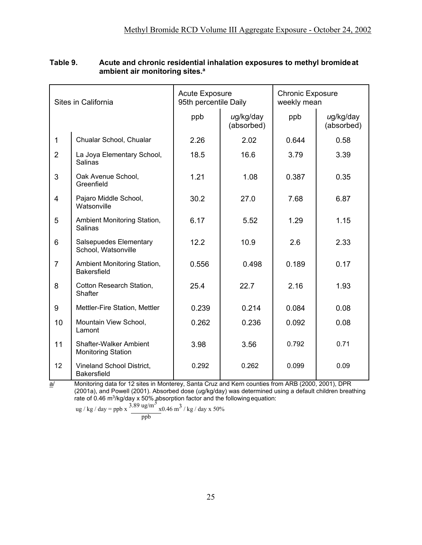| Sites in California |                                                            | <b>Acute Exposure</b><br>95th percentile Daily |                         | <b>Chronic Exposure</b><br>weekly mean |                         |  |
|---------------------|------------------------------------------------------------|------------------------------------------------|-------------------------|----------------------------------------|-------------------------|--|
|                     |                                                            | ppb                                            | ug/kg/day<br>(absorbed) | ppb                                    | ug/kg/day<br>(absorbed) |  |
| $\mathbf{1}$        | Chualar School, Chualar                                    | 2.26                                           | 2.02                    | 0.644                                  | 0.58                    |  |
| $\overline{2}$      | La Joya Elementary School,<br>Salinas                      | 18.5                                           | 16.6                    | 3.79                                   | 3.39                    |  |
| 3                   | Oak Avenue School,<br>Greenfield                           | 1.21                                           | 1.08                    | 0.387                                  | 0.35                    |  |
| 4                   | Pajaro Middle School,<br>Watsonville                       | 30.2                                           | 27.0                    | 7.68                                   | 6.87                    |  |
| 5                   | Ambient Monitoring Station,<br><b>Salinas</b>              | 6.17                                           | 5.52                    | 1.29                                   | 1.15                    |  |
| 6                   | Salsepuedes Elementary<br>School, Watsonville              | 12.2                                           | 10.9                    | 2.6                                    | 2.33                    |  |
| $\overline{7}$      | Ambient Monitoring Station,<br><b>Bakersfield</b>          | 0.556                                          | 0.498                   | 0.189                                  | 0.17                    |  |
| 8                   | Cotton Research Station,<br>Shafter                        | 25.4                                           | 22.7                    | 2.16                                   | 1.93                    |  |
| 9                   | Mettler-Fire Station, Mettler                              | 0.239                                          | 0.214                   | 0.084                                  | 0.08                    |  |
| 10                  | Mountain View School,<br>Lamont                            | 0.262                                          | 0.236                   | 0.092                                  | 0.08                    |  |
| 11                  | <b>Shafter-Walker Ambient</b><br><b>Monitoring Station</b> | 3.98                                           | 3.56                    | 0.792                                  | 0.71                    |  |
| 12                  | Vineland School District,<br><b>Bakersfield</b>            | 0.292                                          | 0.262                   | 0.099                                  | 0.09                    |  |

## **Table 9. Acute and chronic residential inhalation exposures to methyl bromide at ambient air monitoring sites.<sup>a</sup>**

a/ Monitoring data for 12 sites in Monterey, Santa Cruz and Kern counties from ARB (2000, 2001), DPR (2001a), and Powell (2001). Absorbed dose (*u*g/kg/day) was determined using a default children breathing rate of 0.46 m<sup>3</sup>/kg/day x 50% absorption factor and the following equation:<br>3.89 ug/m<sup>3</sup>

ug / kg / day = ppb x 
$$
\frac{3.89 \text{ ug/m}^3}{\text{pb}}
$$
x0.46 m<sup>3</sup> / kg / day x 50%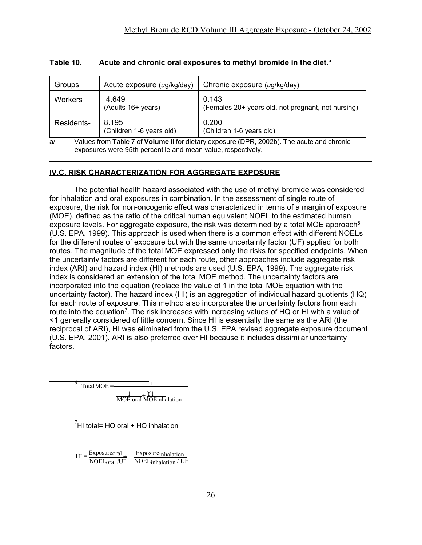| Groups                                                                                                                                                          | Acute exposure (ug/kg/day)        | Chronic exposure (ug/kg/day)                                |  |
|-----------------------------------------------------------------------------------------------------------------------------------------------------------------|-----------------------------------|-------------------------------------------------------------|--|
| Workers                                                                                                                                                         | 4.649<br>(Adults 16+ years)       | 0.143<br>(Females 20+ years old, not pregnant, not nursing) |  |
| Residents-                                                                                                                                                      | 8.195<br>(Children 1-6 years old) | 0.200<br>(Children 1-6 years old)                           |  |
| Values from Table 7 of Volume II for dietary exposure (DPR, 2002b). The acute and chronic<br>a/<br>exposures were 95th percentile and mean value, respectively. |                                   |                                                             |  |

# **Table 10. Acute and chronic oral exposures to methyl bromide in the diet.<sup>a</sup>**

# **IV.C. RISK CHARACTERIZATION FOR AGGREGATE EXPOSURE**

The potential health hazard associated with the use of methyl bromide was considered for inhalation and oral exposures in combination. In the assessment of single route of exposure, the risk for non-oncogenic effect was characterized in terms of a margin of exposure (MOE), defined as the ratio of the critical human equivalent NOEL to the estimated human exposure levels. For aggregate exposure, the risk was determined by a total MOE approach<sup>6</sup> (U.S. EPA, 1999). This approach is used when there is a common effect with different NOELs for the different routes of exposure but with the same uncertainty factor (UF) applied for both routes. The magnitude of the total MOE expressed only the risks for specified endpoints. When the uncertainty factors are different for each route, other approaches include aggregate risk index (ARI) and hazard index (HI) methods are used (U.S. EPA, 1999). The aggregate risk index is considered an extension of the total MOE method. The uncertainty factors are incorporated into the equation (replace the value of 1 in the total MOE equation with the uncertainty factor). The hazard index (HI) is an aggregation of individual hazard quotients (HQ) for each route of exposure. This method also incorporates the uncertainty factors from each route into the equation<sup>7</sup>. The risk increases with increasing values of HQ or HI with a value of <1 generally considered of little concern. Since HI is essentially the same as the ARI (the reciprocal of ARI), HI was eliminated from the U.S. EPA revised aggregate exposure document (U.S. EPA, 2001). ARI is also preferred over HI because it includes dissimilar uncertainty factors.

 $\overline{6}$  TotalMOE =  $\frac{1}{\text{MOE}}$  oral  $\widehat{\text{MOE}}$ inhalation

 $^{7}$ HI total= HQ oral + HQ inhalation

 $HI = \frac{Exposureoral}{\frac{1}{12.12}}$ NOELoral /UF Exposure<sub>inhalation</sub> NOELinhalation / UF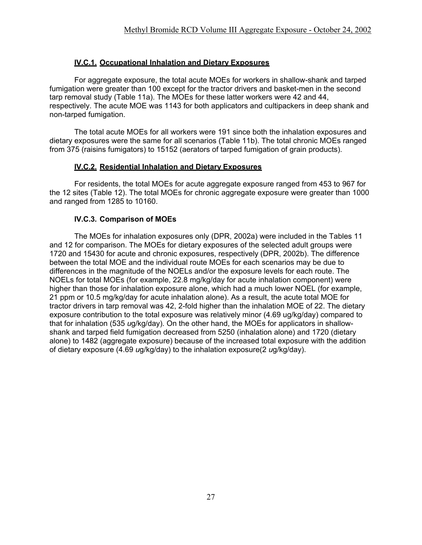# **IV.C.1. Occupational Inhalation and Dietary Exposures**

For aggregate exposure, the total acute MOEs for workers in shallow-shank and tarped fumigation were greater than 100 except for the tractor drivers and basket-men in the second tarp removal study (Table 11a). The MOEs for these latter workers were 42 and 44, respectively. The acute MOE was 1143 for both applicators and cultipackers in deep shank and non-tarped fumigation.

The total acute MOEs for all workers were 191 since both the inhalation exposures and dietary exposures were the same for all scenarios (Table 11b). The total chronic MOEs ranged from 375 (raisins fumigators) to 15152 (aerators of tarped fumigation of grain products).

## **IV.C.2. Residential Inhalation and Dietary Exposures**

For residents, the total MOEs for acute aggregate exposure ranged from 453 to 967 for the 12 sites (Table 12). The total MOEs for chronic aggregate exposure were greater than 1000 and ranged from 1285 to 10160.

## **IV.C.3. Comparison of MOEs**

The MOEs for inhalation exposures only (DPR, 2002a) were included in the Tables 11 and 12 for comparison. The MOEs for dietary exposures of the selected adult groups were 1720 and 15430 for acute and chronic exposures, respectively (DPR, 2002b). The difference between the total MOE and the individual route MOEs for each scenarios may be due to differences in the magnitude of the NOELs and/or the exposure levels for each route. The NOELs for total MOEs (for example, 22.8 mg/kg/day for acute inhalation component) were higher than those for inhalation exposure alone, which had a much lower NOEL (for example, 21 ppm or 10.5 mg/kg/day for acute inhalation alone). As a result, the acute total MOE for tractor drivers in tarp removal was 42, 2-fold higher than the inhalation MOE of 22. The dietary exposure contribution to the total exposure was relatively minor (4.69 ug/kg/day) compared to that for inhalation (535 *u*g/kg/day). On the other hand, the MOEs for applicators in shallowshank and tarped field fumigation decreased from 5250 (inhalation alone) and 1720 (dietary alone) to 1482 (aggregate exposure) because of the increased total exposure with the addition of dietary exposure (4.69 *u*g/kg/day) to the inhalation exposure(2 *u*g/kg/day).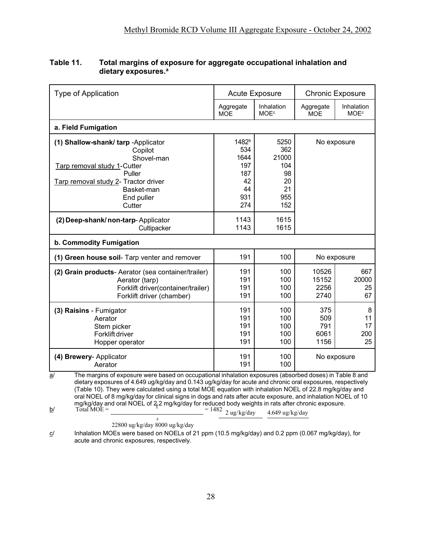| <b>Type of Application</b>                                                                                                                                                                                                                                                                                                                                                                                                                                                                                                                                                                                                                                    | <b>Acute Exposure</b>                                                    |                                                             | <b>Chronic Exposure</b>           |                                      |
|---------------------------------------------------------------------------------------------------------------------------------------------------------------------------------------------------------------------------------------------------------------------------------------------------------------------------------------------------------------------------------------------------------------------------------------------------------------------------------------------------------------------------------------------------------------------------------------------------------------------------------------------------------------|--------------------------------------------------------------------------|-------------------------------------------------------------|-----------------------------------|--------------------------------------|
|                                                                                                                                                                                                                                                                                                                                                                                                                                                                                                                                                                                                                                                               | Aggregate<br><b>MOE</b>                                                  | Inhalation<br><b>MOE<sup>c</sup></b>                        | Aggregate<br><b>MOE</b>           | Inhalation<br><b>MOE<sup>c</sup></b> |
| a. Field Fumigation                                                                                                                                                                                                                                                                                                                                                                                                                                                                                                                                                                                                                                           |                                                                          |                                                             |                                   |                                      |
| (1) Shallow-shank/ tarp -Applicator<br>Copilot<br>Shovel-man<br>Tarp removal study 1-Cutter<br>Puller<br>Tarp removal study 2- Tractor driver<br>Basket-man<br>End puller<br>Cutter                                                                                                                                                                                                                                                                                                                                                                                                                                                                           | 1482 <sup>b</sup><br>534<br>1644<br>197<br>187<br>42<br>44<br>931<br>274 | 5250<br>362<br>21000<br>104<br>98<br>20<br>21<br>955<br>152 | No exposure                       |                                      |
| (2) Deep-shank/non-tarp-Applicator<br>Cultipacker                                                                                                                                                                                                                                                                                                                                                                                                                                                                                                                                                                                                             | 1143<br>1143                                                             | 1615<br>1615                                                |                                   |                                      |
| b. Commodity Fumigation                                                                                                                                                                                                                                                                                                                                                                                                                                                                                                                                                                                                                                       |                                                                          |                                                             |                                   |                                      |
| 191<br>100<br>(1) Green house soil- Tarp venter and remover<br>No exposure                                                                                                                                                                                                                                                                                                                                                                                                                                                                                                                                                                                    |                                                                          |                                                             |                                   |                                      |
| (2) Grain products- Aerator (sea container/trailer)<br>Aerator (tarp)<br>Forklift driver(container/trailer)<br>Forklift driver (chamber)                                                                                                                                                                                                                                                                                                                                                                                                                                                                                                                      | 191<br>191<br>191<br>191                                                 | 100<br>100<br>100<br>100                                    | 10526<br>15152<br>2256<br>2740    | 667<br>20000<br>25<br>67             |
| (3) Raisins - Fumigator<br>Aerator<br>Stem picker<br>Forklift driver<br>Hopper operator                                                                                                                                                                                                                                                                                                                                                                                                                                                                                                                                                                       | 191<br>191<br>191<br>191<br>191                                          | 100<br>100<br>100<br>100<br>100                             | 375<br>509<br>791<br>6061<br>1156 | 8<br>11<br>17<br>200<br>25           |
| (4) Brewery- Applicator<br>Aerator                                                                                                                                                                                                                                                                                                                                                                                                                                                                                                                                                                                                                            | 191<br>191                                                               | 100<br>100                                                  | No exposure                       |                                      |
| The margins of exposure were based on occupational inhalation exposures (absorbed doses) in Table 8 and<br>$\underline{\mathsf{a}}$<br>dietary exposures of 4.649 ug/kg/day and 0.143 ug/kg/day for acute and chronic oral exposures, respectively<br>(Table 10). They were calculated using a total MOE equation with inhalation NOEL of 22.8 mg/kg/day and<br>oral NOEL of 8 mg/kg/day for clinical signs in dogs and rats after acute exposure, and inhalation NOEL of 10<br>mg/kg/day and oral NOEL of 2.2 mg/kg/day for reduced body weights in rats after chronic exposure.<br>$T$ otal $MOE =$<br><u>b/</u><br>$= 1482$ 2 ug/kg/day<br>4.649 ug/kg/day |                                                                          |                                                             |                                   |                                      |

# **Table 11. Total margins of exposure for aggregate occupational inhalation and dietary exposures.<sup>a</sup>**

22800 ug/kg/day 8000 ug/kg/day

+

c/ Inhalation MOEs were based on NOELs of 21 ppm (10.5 mg/kg/day) and 0.2 ppm (0.067 mg/kg/day), for acute and chronic exposures, respectively.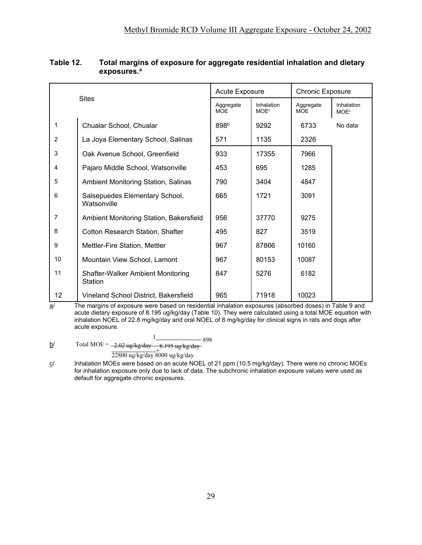| <b>Sites</b>   |                                                     | <b>Acute Exposure</b>   |                                      | <b>Chronic Exposure</b> |                                      |
|----------------|-----------------------------------------------------|-------------------------|--------------------------------------|-------------------------|--------------------------------------|
|                |                                                     | Aggregate<br><b>MOE</b> | Inhalation<br><b>MOE<sup>c</sup></b> | Aggregate<br><b>MOE</b> | Inhalation<br><b>MOE<sup>c</sup></b> |
| $\mathbf{1}$   | Chualar School, Chualar                             | 898 <sup>b</sup>        | 9292                                 | 6733                    | No data                              |
| $\overline{2}$ | La Joya Elementary School, Salinas                  | 571                     | 1135                                 | 2326                    |                                      |
| 3              | Oak Avenue School, Greenfield                       | 933                     | 17355                                | 7966                    |                                      |
| 4              | Pajaro Middle School, Watsonville                   | 453                     | 695                                  | 1285                    |                                      |
| 5              | Ambient Monitoring Station, Salinas                 | 790                     | 3404                                 | 4847                    |                                      |
| 6              | Salsepuedes Elementary School,<br>Watsonville       | 665                     | 1721                                 | 3091                    |                                      |
| $\overline{7}$ | Ambient Monitoring Station, Bakersfield             | 956                     | 37770                                | 9275                    |                                      |
| 8              | <b>Cotton Research Station, Shafter</b>             | 495                     | 827                                  | 3519                    |                                      |
| 9              | Mettler-Fire Station, Mettler                       | 967                     | 87866                                | 10160                   |                                      |
| 10             | Mountain View School, Lamont                        | 967                     | 80153                                | 10087                   |                                      |
| 11             | <b>Shafter-Walker Ambient Monitoring</b><br>Station | 847                     | 5276                                 | 6182                    |                                      |
| 12             | Vineland School District, Bakersfield               | 965                     | 71918                                | 10023                   |                                      |

## **Table 12. Total margins of exposure for aggregate residential inhalation and dietary exposures.<sup>a</sup>**

 $\overline{a}$  The margins of exposure were based on residential inhalation exposures (absorbed doses) in Table 9 and acute dietary exposure of 8.195 *u*g/kg/day (Table 10). They were calculated using a total MOE equation with inhalation NOEL of 22.8 mg/kg/day and oral NOEL of 8 mg/kg/day for clinical signs in rats and dogs after acute exposure.

 $1_{\text{Total MOE}} = 898$ <br>Total MOE =  $-2.02$  ug/kg/day  $-8.195$  ug/kg/day + 8.195 ug/kg/day 22800 ug/kg/day 8000 ug/kg/day  $b/$ 

 $c$  Inhalation MOEs were based on an acute NOEL of 21 ppm (10.5 mg/kg/day). There were no chronic MOEs for inhalation exposure only due to lack of data. The subchronic inhalation exposure values were used as default for aggregate chronic exposures.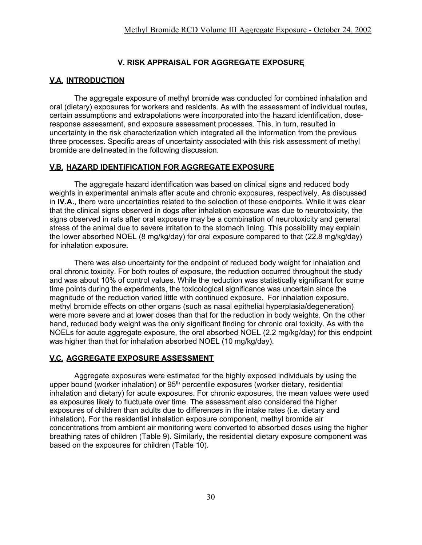## **V. RISK APPRAISAL FOR AGGREGATE EXPOSURE**

## **V.A. INTRODUCTION**

The aggregate exposure of methyl bromide was conducted for combined inhalation and oral (dietary) exposures for workers and residents. As with the assessment of individual routes, certain assumptions and extrapolations were incorporated into the hazard identification, doseresponse assessment, and exposure assessment processes. This, in turn, resulted in uncertainty in the risk characterization which integrated all the information from the previous three processes. Specific areas of uncertainty associated with this risk assessment of methyl bromide are delineated in the following discussion.

## **V.B. HAZARD IDENTIFICATION FOR AGGREGATE EXPOSURE**

The aggregate hazard identification was based on clinical signs and reduced body weights in experimental animals after acute and chronic exposures, respectively. As discussed in **IV.A.**, there were uncertainties related to the selection of these endpoints. While it was clear that the clinical signs observed in dogs after inhalation exposure was due to neurotoxicity, the signs observed in rats after oral exposure may be a combination of neurotoxicity and general stress of the animal due to severe irritation to the stomach lining. This possibility may explain the lower absorbed NOEL (8 mg/kg/day) for oral exposure compared to that (22.8 mg/kg/day) for inhalation exposure.

There was also uncertainty for the endpoint of reduced body weight for inhalation and oral chronic toxicity. For both routes of exposure, the reduction occurred throughout the study and was about 10% of control values. While the reduction was statistically significant for some time points during the experiments, the toxicological significance was uncertain since the magnitude of the reduction varied little with continued exposure. For inhalation exposure, methyl bromide effects on other organs (such as nasal epithelial hyperplasia/degeneration) were more severe and at lower doses than that for the reduction in body weights. On the other hand, reduced body weight was the only significant finding for chronic oral toxicity. As with the NOELs for acute aggregate exposure, the oral absorbed NOEL (2.2 mg/kg/day) for this endpoint was higher than that for inhalation absorbed NOEL (10 mg/kg/day).

## **V.C. AGGREGATE EXPOSURE ASSESSMENT**

Aggregate exposures were estimated for the highly exposed individuals by using the upper bound (worker inhalation) or 95<sup>th</sup> percentile exposures (worker dietary, residential inhalation and dietary) for acute exposures. For chronic exposures, the mean values were used as exposures likely to fluctuate over time. The assessment also considered the higher exposures of children than adults due to differences in the intake rates (i.e. dietary and inhalation). For the residential inhalation exposure component, methyl bromide air concentrations from ambient air monitoring were converted to absorbed doses using the higher breathing rates of children (Table 9). Similarly, the residential dietary exposure component was based on the exposures for children (Table 10).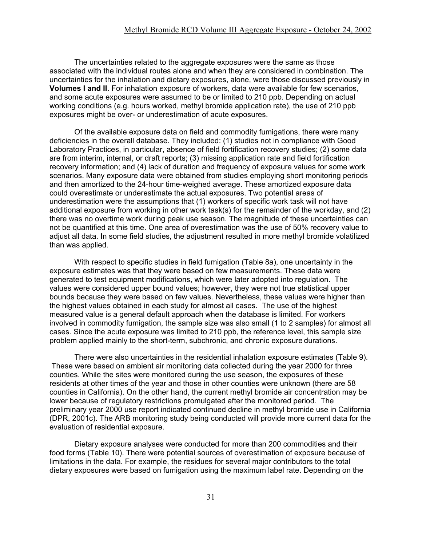The uncertainties related to the aggregate exposures were the same as those associated with the individual routes alone and when they are considered in combination. The uncertainties for the inhalation and dietary exposures, alone, were those discussed previously in **Volumes I and II.** For inhalation exposure of workers, data were available for few scenarios, and some acute exposures were assumed to be or limited to 210 ppb. Depending on actual working conditions (e.g. hours worked, methyl bromide application rate), the use of 210 ppb exposures might be over- or underestimation of acute exposures.

Of the available exposure data on field and commodity fumigations, there were many deficiencies in the overall database. They included: (1) studies not in compliance with Good Laboratory Practices, in particular, absence of field fortification recovery studies; (2) some data are from interim, internal, or draft reports; (3) missing application rate and field fortification recovery information; and (4) lack of duration and frequency of exposure values for some work scenarios. Many exposure data were obtained from studies employing short monitoring periods and then amortized to the 24-hour time-weighed average. These amortized exposure data could overestimate or underestimate the actual exposures. Two potential areas of underestimation were the assumptions that (1) workers of specific work task will not have additional exposure from working in other work task(s) for the remainder of the workday, and  $(2)$ there was no overtime work during peak use season. The magnitude of these uncertainties can not be quantified at this time. One area of overestimation was the use of 50% recovery value to adjust all data. In some field studies, the adjustment resulted in more methyl bromide volatilized than was applied.

With respect to specific studies in field fumigation (Table 8a), one uncertainty in the exposure estimates was that they were based on few measurements. These data were generated to test equipment modifications, which were later adopted into regulation. The values were considered upper bound values; however, they were not true statistical upper bounds because they were based on few values. Nevertheless, these values were higher than the highest values obtained in each study for almost all cases. The use of the highest measured value is a general default approach when the database is limited. For workers involved in commodity fumigation, the sample size was also small (1 to 2 samples) for almost all cases. Since the acute exposure was limited to 210 ppb, the reference level, this sample size problem applied mainly to the short-term, subchronic, and chronic exposure durations.

There were also uncertainties in the residential inhalation exposure estimates (Table 9). These were based on ambient air monitoring data collected during the year 2000 for three counties. While the sites were monitored during the use season, the exposures of these residents at other times of the year and those in other counties were unknown (there are 58 counties in California). On the other hand, the current methyl bromide air concentration may be lower because of regulatory restrictions promulgated after the monitored period. The preliminary year 2000 use report indicated continued decline in methyl bromide use in California (DPR, 2001c). The ARB monitoring study being conducted will provide more current data for the evaluation of residential exposure.

Dietary exposure analyses were conducted for more than 200 commodities and their food forms (Table 10). There were potential sources of overestimation of exposure because of limitations in the data. For example, the residues for several major contributors to the total dietary exposures were based on fumigation using the maximum label rate. Depending on the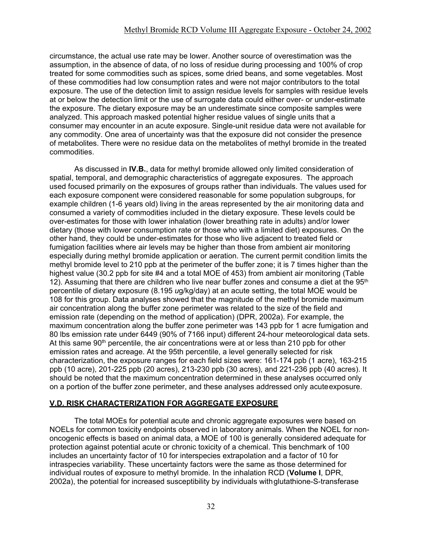circumstance, the actual use rate may be lower. Another source of overestimation was the assumption, in the absence of data, of no loss of residue during processing and 100% of crop treated for some commodities such as spices, some dried beans, and some vegetables. Most of these commodities had low consumption rates and were not major contributors to the total exposure. The use of the detection limit to assign residue levels for samples with residue levels at or below the detection limit or the use of surrogate data could either over- or under-estimate the exposure. The dietary exposure may be an underestimate since composite samples were analyzed. This approach masked potential higher residue values of single units that a consumer may encounter in an acute exposure. Single-unit residue data were not available for any commodity. One area of uncertainty was that the exposure did not consider the presence of metabolites. There were no residue data on the metabolites of methyl bromide in the treated commodities.

As discussed in **IV.B.**, data for methyl bromide allowed only limited consideration of spatial, temporal, and demographic characteristics of aggregate exposures. The approach used focused primarily on the exposures of groups rather than individuals. The values used for each exposure component were considered reasonable for some population subgroups, for example children (1-6 years old) living in the areas represented by the air monitoring data and consumed a variety of commodities included in the dietary exposure. These levels could be over-estimates for those with lower inhalation (lower breathing rate in adults) and/or lower dietary (those with lower consumption rate or those who with a limited diet) exposures. On the other hand, they could be under-estimates for those who live adjacent to treated field or fumigation facilities where air levels may be higher than those from ambient air monitoring especially during methyl bromide application or aeration. The current permit condition limits the methyl bromide level to 210 ppb at the perimeter of the buffer zone; it is 7 times higher than the highest value (30.2 ppb for site #4 and a total MOE of 453) from ambient air monitoring (Table 12). Assuming that there are children who live near buffer zones and consume a diet at the  $95<sup>th</sup>$ percentile of dietary exposure (8.195 *u*g/kg/day) at an acute setting, the total MOE would be 108 for this group. Data analyses showed that the magnitude of the methyl bromide maximum air concentration along the buffer zone perimeter was related to the size of the field and emission rate (depending on the method of application) (DPR, 2002a). For example, the maximum concentration along the buffer zone perimeter was 143 ppb for 1 acre fumigation and 80 lbs emission rate under 6449 (90% of 7166 input) different 24-hour meteorological data sets. At this same 90<sup>th</sup> percentile, the air concentrations were at or less than 210 ppb for other emission rates and acreage. At the 95th percentile, a level generally selected for risk characterization, the exposure ranges for each field sizes were: 161-174 ppb (1 acre), 163-215 ppb (10 acre), 201-225 ppb (20 acres), 213-230 ppb (30 acres), and 221-236 ppb (40 acres). It should be noted that the maximum concentration determined in these analyses occurred only on a portion of the buffer zone perimeter, and these analyses addressed only acuteexposure.

## **V.D. RISK CHARACTERIZATION FOR AGGREGATE EXPOSURE**

The total MOEs for potential acute and chronic aggregate exposures were based on NOELs for common toxicity endpoints observed in laboratory animals. When the NOEL for nononcogenic effects is based on animal data, a MOE of 100 is generally considered adequate for protection against potential acute or chronic toxicity of a chemical. This benchmark of 100 includes an uncertainty factor of 10 for interspecies extrapolation and a factor of 10 for intraspecies variability. These uncertainty factors were the same as those determined for individual routes of exposure to methyl bromide. In the inhalation RCD (**Volume I**, DPR, 2002a), the potential for increased susceptibility by individuals withglutathione-S-transferase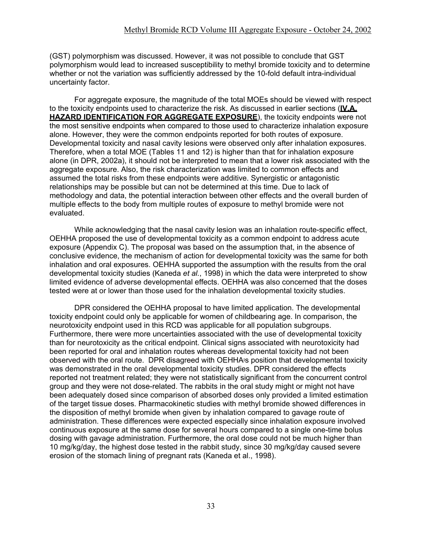(GST) polymorphism was discussed. However, it was not possible to conclude that GST polymorphism would lead to increased susceptibility to methyl bromide toxicity and to determine whether or not the variation was sufficiently addressed by the 10-fold default intra-individual uncertainty factor.

For aggregate exposure, the magnitude of the total MOEs should be viewed with respect to the toxicity endpoints used to characterize the risk. As discussed in earlier sections (**IV.A. HAZARD IDENTIFICATION FOR AGGREGATE EXPOSURE**), the toxicity endpoints were not the most sensitive endpoints when compared to those used to characterize inhalation exposure alone. However, they were the common endpoints reported for both routes of exposure. Developmental toxicity and nasal cavity lesions were observed only after inhalation exposures. Therefore, when a total MOE (Tables 11 and 12) is higher than that for inhalation exposure alone (in DPR, 2002a), it should not be interpreted to mean that a lower risk associated with the aggregate exposure. Also, the risk characterization was limited to common effects and assumed the total risks from these endpoints were additive. Synergistic or antagonistic relationships may be possible but can not be determined at this time. Due to lack of methodology and data, the potential interaction between other effects and the overall burden of multiple effects to the body from multiple routes of exposure to methyl bromide were not evaluated.

While acknowledging that the nasal cavity lesion was an inhalation route-specific effect, OEHHA proposed the use of developmental toxicity as a common endpoint to address acute exposure (Appendix C). The proposal was based on the assumption that, in the absence of conclusive evidence, the mechanism of action for developmental toxicity was the same for both inhalation and oral exposures. OEHHA supported the assumption with the results from the oral developmental toxicity studies (Kaneda *et al.*, 1998) in which the data were interpreted to show limited evidence of adverse developmental effects. OEHHA was also concerned that the doses tested were at or lower than those used for the inhalation developmental toxicity studies.

DPR considered the OEHHA proposal to have limited application. The developmental toxicity endpoint could only be applicable for women of childbearing age. In comparison, the neurotoxicity endpoint used in this RCD was applicable for all population subgroups. Furthermore, there were more uncertainties associated with the use of developmental toxicity than for neurotoxicity as the critical endpoint. Clinical signs associated with neurotoxicity had been reported for oral and inhalation routes whereas developmental toxicity had not been observed with the oral route. DPR disagreed with OEHHA-s position that developmental toxicity was demonstrated in the oral developmental toxicity studies. DPR considered the effects reported not treatment related; they were not statistically significant from the concurrent control group and they were not dose-related. The rabbits in the oral study might or might not have been adequately dosed since comparison of absorbed doses only provided a limited estimation of the target tissue doses. Pharmacokinetic studies with methyl bromide showed differences in the disposition of methyl bromide when given by inhalation compared to gavage route of administration. These differences were expected especially since inhalation exposure involved continuous exposure at the same dose for several hours compared to a single one-time bolus dosing with gavage administration. Furthermore, the oral dose could not be much higher than 10 mg/kg/day, the highest dose tested in the rabbit study, since 30 mg/kg/day caused severe erosion of the stomach lining of pregnant rats (Kaneda et al., 1998).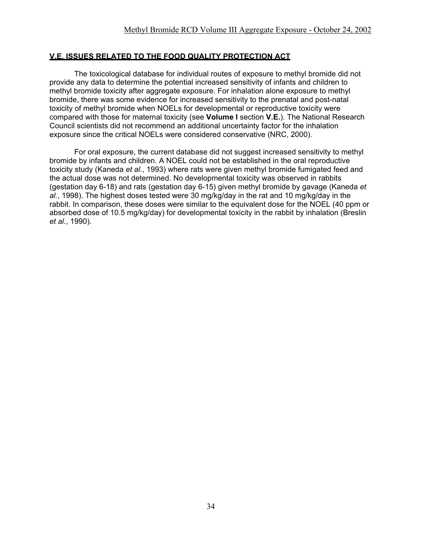## **V.E. ISSUES RELATED TO THE FOOD QUALITY PROTECTION ACT**

The toxicological database for individual routes of exposure to methyl bromide did not provide any data to determine the potential increased sensitivity of infants and children to methyl bromide toxicity after aggregate exposure. For inhalation alone exposure to methyl bromide, there was some evidence for increased sensitivity to the prenatal and post-natal toxicity of methyl bromide when NOELs for developmental or reproductive toxicity were compared with those for maternal toxicity (see **Volume I** section **V.E.**). The National Research Council scientists did not recommend an additional uncertainty factor for the inhalation exposure since the critical NOELs were considered conservative (NRC, 2000).

For oral exposure, the current database did not suggest increased sensitivity to methyl bromide by infants and children. A NOEL could not be established in the oral reproductive toxicity study (Kaneda *et al.*, 1993) where rats were given methyl bromide fumigated feed and the actual dose was not determined. No developmental toxicity was observed in rabbits (gestation day 6-18) and rats (gestation day 6-15) given methyl bromide by gavage (Kaneda *et al.*, 1998). The highest doses tested were 30 mg/kg/day in the rat and 10 mg/kg/day in the rabbit. In comparison, these doses were similar to the equivalent dose for the NOEL (40 ppm or absorbed dose of 10.5 mg/kg/day) for developmental toxicity in the rabbit by inhalation (Breslin *et al.*, 1990).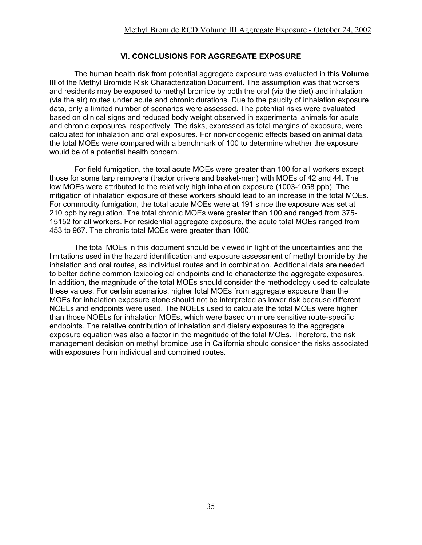#### **VI. CONCLUSIONS FOR AGGREGATE EXPOSURE**

The human health risk from potential aggregate exposure was evaluated in this **Volume III** of the Methyl Bromide Risk Characterization Document. The assumption was that workers and residents may be exposed to methyl bromide by both the oral (via the diet) and inhalation (via the air) routes under acute and chronic durations. Due to the paucity of inhalation exposure data, only a limited number of scenarios were assessed. The potential risks were evaluated based on clinical signs and reduced body weight observed in experimental animals for acute and chronic exposures, respectively. The risks, expressed as total margins of exposure, were calculated for inhalation and oral exposures. For non-oncogenic effects based on animal data, the total MOEs were compared with a benchmark of 100 to determine whether the exposure would be of a potential health concern.

For field fumigation, the total acute MOEs were greater than 100 for all workers except those for some tarp removers (tractor drivers and basket-men) with MOEs of 42 and 44. The low MOEs were attributed to the relatively high inhalation exposure (1003-1058 ppb). The mitigation of inhalation exposure of these workers should lead to an increase in the total MOEs. For commodity fumigation, the total acute MOEs were at 191 since the exposure was set at 210 ppb by regulation. The total chronic MOEs were greater than 100 and ranged from 375- 15152 for all workers. For residential aggregate exposure, the acute total MOEs ranged from 453 to 967. The chronic total MOEs were greater than 1000.

The total MOEs in this document should be viewed in light of the uncertainties and the limitations used in the hazard identification and exposure assessment of methyl bromide by the inhalation and oral routes, as individual routes and in combination. Additional data are needed to better define common toxicological endpoints and to characterize the aggregate exposures. In addition, the magnitude of the total MOEs should consider the methodology used to calculate these values. For certain scenarios, higher total MOEs from aggregate exposure than the MOEs for inhalation exposure alone should not be interpreted as lower risk because different NOELs and endpoints were used. The NOELs used to calculate the total MOEs were higher than those NOELs for inhalation MOEs, which were based on more sensitive route-specific endpoints. The relative contribution of inhalation and dietary exposures to the aggregate exposure equation was also a factor in the magnitude of the total MOEs. Therefore, the risk management decision on methyl bromide use in California should consider the risks associated with exposures from individual and combined routes.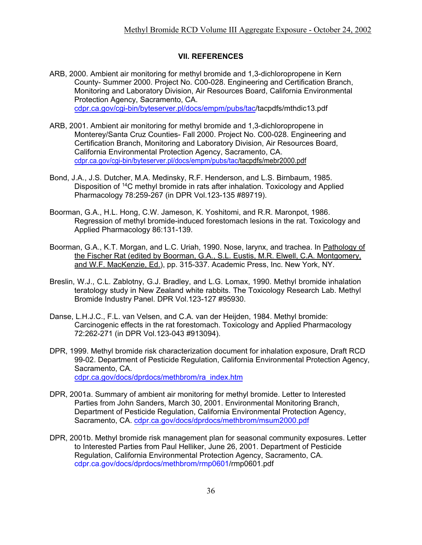#### **VII. REFERENCES**

- ARB, 2000. Ambient air monitoring for methyl bromide and 1,3-dichloropropene in Kern County- Summer 2000. Project No. C00-028. Engineering and Certification Branch, Monitoring and Laboratory Division, Air Resources Board, California Environmental Protection Agency, Sacramento, CA. cdpr.ca.gov/cgi-bin/byteserver.pl/docs/empm/pubs/tac/tacpdfs/mthdic13.pdf
- ARB, 2001. Ambient air monitoring for methyl bromide and 1,3-dichloropropene in Monterey/Santa Cruz Counties- Fall 2000. Project No. C00-028. Engineering and Certification Branch, Monitoring and Laboratory Division, Air Resources Board, California Environmental Protection Agency, Sacramento, CA. cdpr.ca.gov/cgi-bin/byteserver.pl/docs/empm/pubs/tac/tacpdfs/mebr2000.pdf
- Bond, J.A., J.S. Dutcher, M.A. Medinsky, R.F. Henderson, and L.S. Birnbaum, 1985. Disposition of 14C methyl bromide in rats after inhalation. Toxicology and Applied Pharmacology 78:259-267 (in DPR Vol.123-135 #89719).
- Boorman, G.A., H.L. Hong, C.W. Jameson, K. Yoshitomi, and R.R. Maronpot, 1986. Regression of methyl bromide-induced forestomach lesions in the rat. Toxicology and Applied Pharmacology 86:131-139.
- Boorman, G.A., K.T. Morgan, and L.C. Uriah, 1990. Nose, larynx, and trachea. In Pathology of the Fischer Rat (edited by Boorman, G.A., S.L. Eustis, M.R. Elwell, C.A. Montgomery, and W.F. MacKenzie, Ed.), pp. 315-337. Academic Press, Inc. New York, NY.
- Breslin, W.J., C.L. Zablotny, G.J. Bradley, and L.G. Lomax, 1990. Methyl bromide inhalation teratology study in New Zealand white rabbits. The Toxicology Research Lab. Methyl Bromide Industry Panel. DPR Vol.123-127 #95930.
- Danse, L.H.J.C., F.L. van Velsen, and C.A. van der Heijden, 1984. Methyl bromide: Carcinogenic effects in the rat forestomach. Toxicology and Applied Pharmacology 72:262-271 (in DPR Vol.123-043 #913094).
- DPR, 1999. Methyl bromide risk characterization document for inhalation exposure, Draft RCD 99-02. Department of Pesticide Regulation, California Environmental Protection Agency, Sacramento, CA. cdpr.ca.gov/docs/dprdocs/methbrom/ra\_index.htm
- DPR, 2001a. Summary of ambient air monitoring for methyl bromide. Letter to Interested Parties from John Sanders, March 30, 2001. Environmental Monitoring Branch, Department of Pesticide Regulation, California Environmental Protection Agency, Sacramento, CA. cdpr.ca.gov/docs/dprdocs/methbrom/msum2000.pdf
- DPR, 2001b. Methyl bromide risk management plan for seasonal community exposures. Letter to Interested Parties from Paul Helliker, June 26, 2001. Department of Pesticide Regulation, California Environmental Protection Agency, Sacramento, CA. cdpr.ca.gov/docs/dprdocs/methbrom/rmp0601/rmp0601.pdf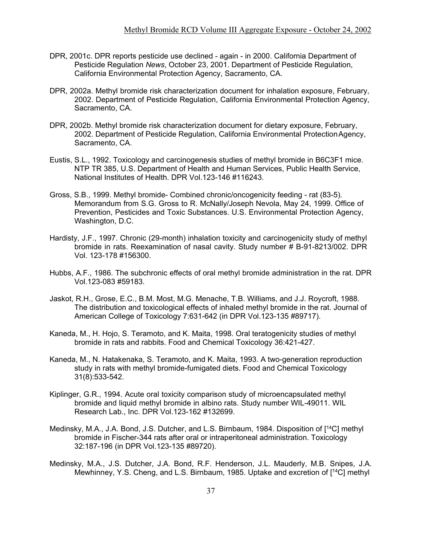- DPR, 2001c. DPR reports pesticide use declined again in 2000. California Department of Pesticide Regulation *News*, October 23, 2001. Department of Pesticide Regulation, California Environmental Protection Agency, Sacramento, CA.
- DPR, 2002a. Methyl bromide risk characterization document for inhalation exposure, February, 2002. Department of Pesticide Regulation, California Environmental Protection Agency, Sacramento, CA.
- DPR, 2002b. Methyl bromide risk characterization document for dietary exposure, February, 2002. Department of Pesticide Regulation, California Environmental ProtectionAgency, Sacramento, CA.
- Eustis, S.L., 1992. Toxicology and carcinogenesis studies of methyl bromide in B6C3F1 mice. NTP TR 385, U.S. Department of Health and Human Services, Public Health Service, National Institutes of Health. DPR Vol.123-146 #116243.
- Gross, S.B., 1999. Methyl bromide- Combined chronic/oncogenicity feeding rat (83-5). Memorandum from S.G. Gross to R. McNally/Joseph Nevola, May 24, 1999. Office of Prevention, Pesticides and Toxic Substances. U.S. Environmental Protection Agency, Washington, D.C.
- Hardisty, J.F., 1997. Chronic (29-month) inhalation toxicity and carcinogenicity study of methyl bromide in rats. Reexamination of nasal cavity. Study number # B-91-8213/002. DPR Vol. 123-178 #156300.
- Hubbs, A.F., 1986. The subchronic effects of oral methyl bromide administration in the rat. DPR Vol.123-083 #59183.
- Jaskot, R.H., Grose, E.C., B.M. Most, M.G. Menache, T.B. Williams, and J.J. Roycroft, 1988. The distribution and toxicological effects of inhaled methyl bromide in the rat. Journal of American College of Toxicology 7:631-642 (in DPR Vol.123-135 #89717).
- Kaneda, M., H. Hojo, S. Teramoto, and K. Maita, 1998. Oral teratogenicity studies of methyl bromide in rats and rabbits. Food and Chemical Toxicology 36:421-427.
- Kaneda, M., N. Hatakenaka, S. Teramoto, and K. Maita, 1993. A two-generation reproduction study in rats with methyl bromide-fumigated diets. Food and Chemical Toxicology 31(8):533-542.
- Kiplinger, G.R., 1994. Acute oral toxicity comparison study of microencapsulated methyl bromide and liquid methyl bromide in albino rats. Study number WIL-49011. WIL Research Lab., Inc. DPR Vol.123-162 #132699.
- Medinsky, M.A., J.A. Bond, J.S. Dutcher, and L.S. Birnbaum, 1984. Disposition of [14C] methyl bromide in Fischer-344 rats after oral or intraperitoneal administration. Toxicology 32:187-196 (in DPR Vol.123-135 #89720).
- Medinsky, M.A., J.S. Dutcher, J.A. Bond, R.F. Henderson, J.L. Mauderly, M.B. Snipes, J.A. Mewhinney, Y.S. Cheng, and L.S. Birnbaum, 1985. Uptake and excretion of [14C] methyl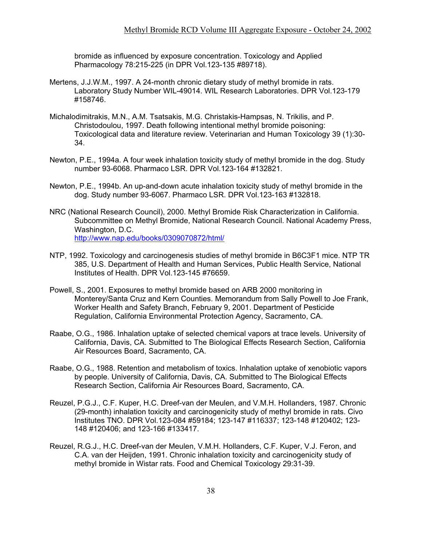bromide as influenced by exposure concentration. Toxicology and Applied Pharmacology 78:215-225 (in DPR Vol.123-135 #89718).

- Mertens, J.J.W.M., 1997. A 24-month chronic dietary study of methyl bromide in rats. Laboratory Study Number WIL-49014. WIL Research Laboratories. DPR Vol.123-179 #158746.
- Michalodimitrakis, M.N., A.M. Tsatsakis, M.G. Christakis-Hampsas, N. Trikilis, and P. Christodoulou, 1997. Death following intentional methyl bromide poisoning: Toxicological data and literature review. Veterinarian and Human Toxicology 39 (1):30- 34.
- Newton, P.E., 1994a. A four week inhalation toxicity study of methyl bromide in the dog. Study number 93-6068. Pharmaco LSR. DPR Vol.123-164 #132821.
- Newton, P.E., 1994b. An up-and-down acute inhalation toxicity study of methyl bromide in the dog. Study number 93-6067. Pharmaco LSR. DPR Vol.123-163 #132818.
- NRC (National Research Council), 2000. Methyl Bromide Risk Characterization in California. Subcommittee on Methyl Bromide, National Research Council. National Academy Press, Washington, D.C. <http://www.nap.edu/books/0309070872/html/>
- NTP, 1992. Toxicology and carcinogenesis studies of methyl bromide in B6C3F1 mice. NTP TR 385, U.S. Department of Health and Human Services, Public Health Service, National Institutes of Health. DPR Vol.123-145 #76659.
- Powell, S., 2001. Exposures to methyl bromide based on ARB 2000 monitoring in Monterey/Santa Cruz and Kern Counties. Memorandum from Sally Powell to Joe Frank, Worker Health and Safety Branch, February 9, 2001. Department of Pesticide Regulation, California Environmental Protection Agency, Sacramento, CA.
- Raabe, O.G., 1986. Inhalation uptake of selected chemical vapors at trace levels. University of California, Davis, CA. Submitted to The Biological Effects Research Section, California Air Resources Board, Sacramento, CA.
- Raabe, O.G., 1988. Retention and metabolism of toxics. Inhalation uptake of xenobiotic vapors by people. University of California, Davis, CA. Submitted to The Biological Effects Research Section, California Air Resources Board, Sacramento, CA.
- Reuzel, P.G.J., C.F. Kuper, H.C. Dreef-van der Meulen, and V.M.H. Hollanders, 1987. Chronic (29-month) inhalation toxicity and carcinogenicity study of methyl bromide in rats. Civo Institutes TNO. DPR Vol.123-084 #59184; 123-147 #116337; 123-148 #120402; 123- 148 #120406; and 123-166 #133417.
- Reuzel, R.G.J., H.C. Dreef-van der Meulen, V.M.H. Hollanders, C.F. Kuper, V.J. Feron, and C.A. van der Heijden, 1991. Chronic inhalation toxicity and carcinogenicity study of methyl bromide in Wistar rats. Food and Chemical Toxicology 29:31-39.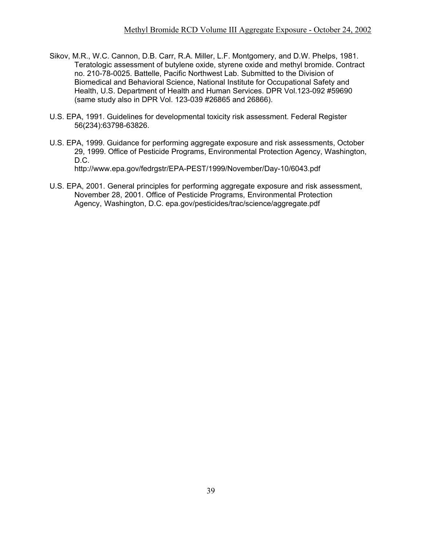- Sikov, M.R., W.C. Cannon, D.B. Carr, R.A. Miller, L.F. Montgomery, and D.W. Phelps, 1981. Teratologic assessment of butylene oxide, styrene oxide and methyl bromide. Contract no. 210-78-0025. Battelle, Pacific Northwest Lab. Submitted to the Division of Biomedical and Behavioral Science, National Institute for Occupational Safety and Health, U.S. Department of Health and Human Services. DPR Vol.123-092 #59690 (same study also in DPR Vol. 123-039 #26865 and 26866).
- U.S. EPA, 1991. Guidelines for developmental toxicity risk assessment. Federal Register 56(234):63798-63826.
- U.S. EPA, 1999. Guidance for performing aggregate exposure and risk assessments, October 29, 1999. Office of Pesticide Programs, Environmental Protection Agency, Washington, D.C. <http://www.epa.gov/fedrgstr/EPA-PEST/1999/November/Day-10/6043.pdf>
- U.S. EPA, 2001. General principles for performing aggregate exposure and risk assessment, November 28, 2001. Office of Pesticide Programs, Environmental Protection Agency, Washington, D.C. epa.gov/pesticides/trac/science/aggregate.pdf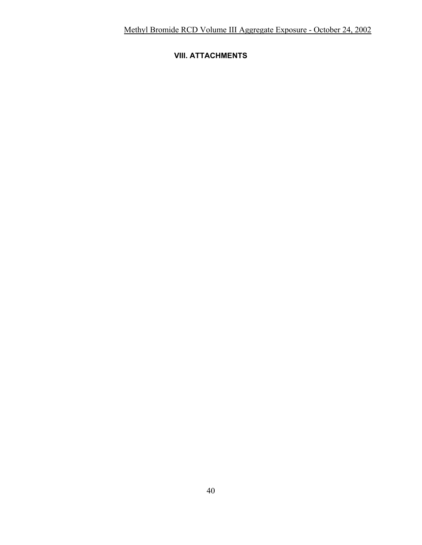## **VIII. ATTACHMENTS**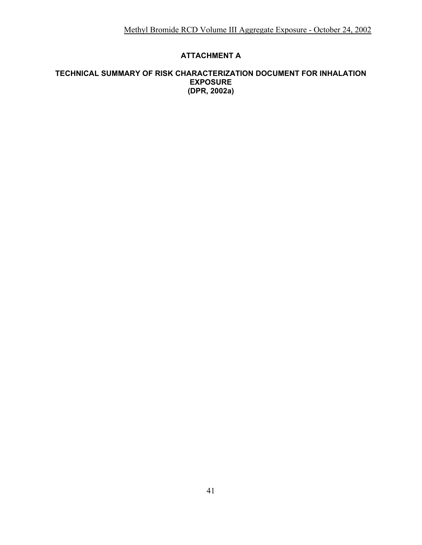## **ATTACHMENT A**

#### **TECHNICAL SUMMARY OF RISK CHARACTERIZATION DOCUMENT FOR INHALATION EXPOSURE (DPR, 2002a)**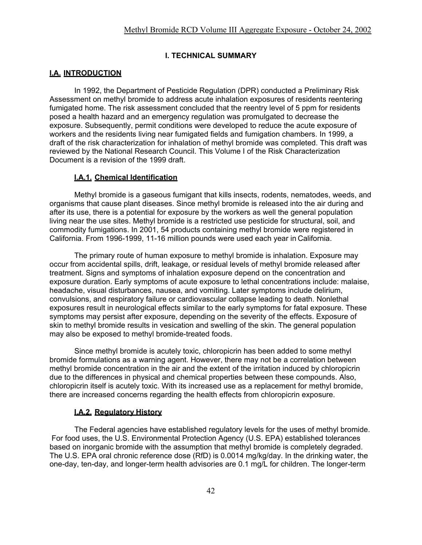#### **I. TECHNICAL SUMMARY**

#### **I.A. INTRODUCTION**

In 1992, the Department of Pesticide Regulation (DPR) conducted a Preliminary Risk Assessment on methyl bromide to address acute inhalation exposures of residents reentering fumigated home. The risk assessment concluded that the reentry level of 5 ppm for residents posed a health hazard and an emergency regulation was promulgated to decrease the exposure. Subsequently, permit conditions were developed to reduce the acute exposure of workers and the residents living near fumigated fields and fumigation chambers. In 1999, a draft of the risk characterization for inhalation of methyl bromide was completed. This draft was reviewed by the National Research Council. This Volume I of the Risk Characterization Document is a revision of the 1999 draft.

#### **I.A.1. Chemical Identification**

Methyl bromide is a gaseous fumigant that kills insects, rodents, nematodes, weeds, and organisms that cause plant diseases. Since methyl bromide is released into the air during and after its use, there is a potential for exposure by the workers as well the general population living near the use sites. Methyl bromide is a restricted use pesticide for structural, soil, and commodity fumigations. In 2001, 54 products containing methyl bromide were registered in California. From 1996-1999, 11-16 million pounds were used each year in California.

The primary route of human exposure to methyl bromide is inhalation. Exposure may occur from accidental spills, drift, leakage, or residual levels of methyl bromide released after treatment. Signs and symptoms of inhalation exposure depend on the concentration and exposure duration. Early symptoms of acute exposure to lethal concentrations include: malaise, headache, visual disturbances, nausea, and vomiting. Later symptoms include delirium, convulsions, and respiratory failure or cardiovascular collapse leading to death. Nonlethal exposures result in neurological effects similar to the early symptoms for fatal exposure. These symptoms may persist after exposure, depending on the severity of the effects. Exposure of skin to methyl bromide results in vesication and swelling of the skin. The general population may also be exposed to methyl bromide-treated foods.

Since methyl bromide is acutely toxic, chloropicrin has been added to some methyl bromide formulations as a warning agent. However, there may not be a correlation between methyl bromide concentration in the air and the extent of the irritation induced by chloropicrin due to the differences in physical and chemical properties between these compounds. Also, chloropicrin itself is acutely toxic. With its increased use as a replacement for methyl bromide, there are increased concerns regarding the health effects from chloropicrin exposure.

#### **I.A.2. Regulatory History**

The Federal agencies have established regulatory levels for the uses of methyl bromide. For food uses, the U.S. Environmental Protection Agency (U.S. EPA) established tolerances based on inorganic bromide with the assumption that methyl bromide is completely degraded. The U.S. EPA oral chronic reference dose (RfD) is 0.0014 mg/kg/day. In the drinking water, the one-day, ten-day, and longer-term health advisories are 0.1 mg/L for children. The longer-term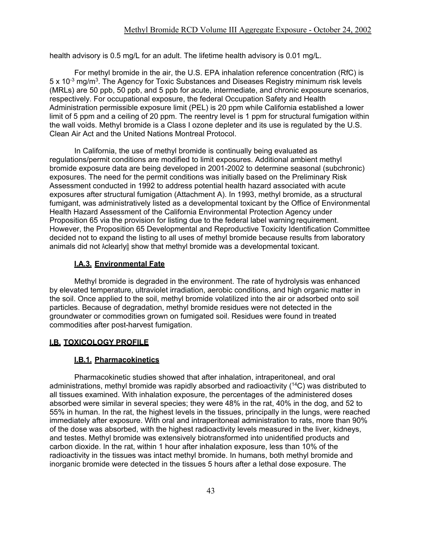health advisory is 0.5 mg/L for an adult. The lifetime health advisory is 0.01 mg/L.

For methyl bromide in the air, the U.S. EPA inhalation reference concentration (RfC) is 5 x 10<sup>-3</sup> mg/m<sup>3</sup>. The Agency for Toxic Substances and Diseases Registry minimum risk levels (MRLs) are 50 ppb, 50 ppb, and 5 ppb for acute, intermediate, and chronic exposure scenarios, respectively. For occupational exposure, the federal Occupation Safety and Health Administration permissible exposure limit (PEL) is 20 ppm while California established a lower limit of 5 ppm and a ceiling of 20 ppm. The reentry level is 1 ppm for structural fumigation within the wall voids. Methyl bromide is a Class I ozone depleter and its use is regulated by the U.S. Clean Air Act and the United Nations Montreal Protocol.

In California, the use of methyl bromide is continually being evaluated as regulations/permit conditions are modified to limit exposures. Additional ambient methyl bromide exposure data are being developed in 2001-2002 to determine seasonal (subchronic) exposures. The need for the permit conditions was initially based on the Preliminary Risk Assessment conducted in 1992 to address potential health hazard associated with acute exposures after structural fumigation (Attachment A). In 1993, methyl bromide, as a structural fumigant, was administratively listed as a developmental toxicant by the Office of Environmental Health Hazard Assessment of the California Environmental Protection Agency under Proposition 65 via the provision for listing due to the federal label warning requirement. However, the Proposition 65 Developmental and Reproductive Toxicity Identification Committee decided not to expand the listing to all uses of methyl bromide because results from laboratory animals did not Aclearly@ show that methyl bromide was a developmental toxicant.

#### **I.A.3. Environmental Fate**

Methyl bromide is degraded in the environment. The rate of hydrolysis was enhanced by elevated temperature, ultraviolet irradiation, aerobic conditions, and high organic matter in the soil. Once applied to the soil, methyl bromide volatilized into the air or adsorbed onto soil particles. Because of degradation, methyl bromide residues were not detected in the groundwater or commodities grown on fumigated soil. Residues were found in treated commodities after post-harvest fumigation.

#### **I.B. TOXICOLOGY PROFILE**

#### **I.B.1. Pharmacokinetics**

Pharmacokinetic studies showed that after inhalation, intraperitoneal, and oral administrations, methyl bromide was rapidly absorbed and radioactivity (<sup>14</sup>C) was distributed to all tissues examined. With inhalation exposure, the percentages of the administered doses absorbed were similar in several species; they were 48% in the rat, 40% in the dog, and 52 to 55% in human. In the rat, the highest levels in the tissues, principally in the lungs, were reached immediately after exposure. With oral and intraperitoneal administration to rats, more than 90% of the dose was absorbed, with the highest radioactivity levels measured in the liver, kidneys, and testes. Methyl bromide was extensively biotransformed into unidentified products and carbon dioxide. In the rat, within 1 hour after inhalation exposure, less than 10% of the radioactivity in the tissues was intact methyl bromide. In humans, both methyl bromide and inorganic bromide were detected in the tissues 5 hours after a lethal dose exposure. The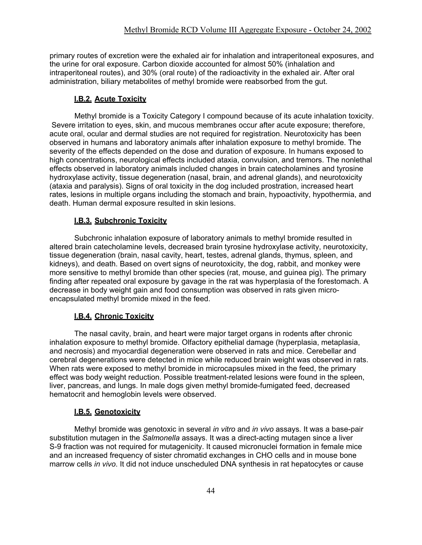primary routes of excretion were the exhaled air for inhalation and intraperitoneal exposures, and the urine for oral exposure. Carbon dioxide accounted for almost 50% (inhalation and intraperitoneal routes), and 30% (oral route) of the radioactivity in the exhaled air. After oral administration, biliary metabolites of methyl bromide were reabsorbed from the gut.

#### **I.B.2. Acute Toxicity**

Methyl bromide is a Toxicity Category I compound because of its acute inhalation toxicity. Severe irritation to eyes, skin, and mucous membranes occur after acute exposure; therefore, acute oral, ocular and dermal studies are not required for registration. Neurotoxicity has been observed in humans and laboratory animals after inhalation exposure to methyl bromide. The severity of the effects depended on the dose and duration of exposure. In humans exposed to high concentrations, neurological effects included ataxia, convulsion, and tremors. The nonlethal effects observed in laboratory animals included changes in brain catecholamines and tyrosine hydroxylase activity, tissue degeneration (nasal, brain, and adrenal glands), and neurotoxicity (ataxia and paralysis). Signs of oral toxicity in the dog included prostration, increased heart rates, lesions in multiple organs including the stomach and brain, hypoactivity, hypothermia, and death. Human dermal exposure resulted in skin lesions.

#### **I.B.3. Subchronic Toxicity**

Subchronic inhalation exposure of laboratory animals to methyl bromide resulted in altered brain catecholamine levels, decreased brain tyrosine hydroxylase activity, neurotoxicity, tissue degeneration (brain, nasal cavity, heart, testes, adrenal glands, thymus, spleen, and kidneys), and death. Based on overt signs of neurotoxicity, the dog, rabbit, and monkey were more sensitive to methyl bromide than other species (rat, mouse, and guinea pig). The primary finding after repeated oral exposure by gavage in the rat was hyperplasia of the forestomach. A decrease in body weight gain and food consumption was observed in rats given microencapsulated methyl bromide mixed in the feed.

#### **I.B.4. Chronic Toxicity**

The nasal cavity, brain, and heart were major target organs in rodents after chronic inhalation exposure to methyl bromide. Olfactory epithelial damage (hyperplasia, metaplasia, and necrosis) and myocardial degeneration were observed in rats and mice. Cerebellar and cerebral degenerations were detected in mice while reduced brain weight was observed in rats. When rats were exposed to methyl bromide in microcapsules mixed in the feed, the primary effect was body weight reduction. Possible treatment-related lesions were found in the spleen, liver, pancreas, and lungs. In male dogs given methyl bromide-fumigated feed, decreased hematocrit and hemoglobin levels were observed.

#### **I.B.5. Genotoxicity**

Methyl bromide was genotoxic in several *in vitro* and *in vivo* assays. It was a base-pair substitution mutagen in the *Salmonella* assays. It was a direct-acting mutagen since a liver S-9 fraction was not required for mutagenicity. It caused micronuclei formation in female mice and an increased frequency of sister chromatid exchanges in CHO cells and in mouse bone marrow cells *in vivo*. It did not induce unscheduled DNA synthesis in rat hepatocytes or cause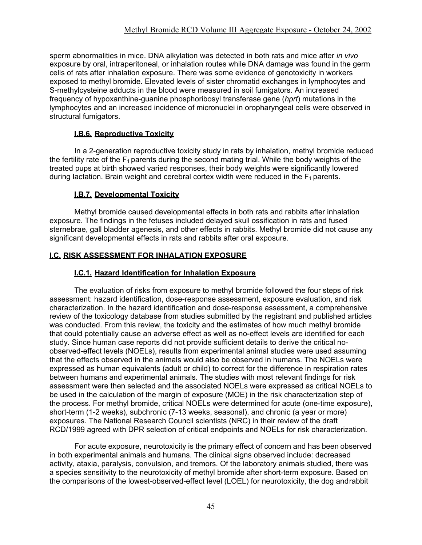sperm abnormalities in mice. DNA alkylation was detected in both rats and mice after *in vivo*  exposure by oral, intraperitoneal, or inhalation routes while DNA damage was found in the germ cells of rats after inhalation exposure. There was some evidence of genotoxicity in workers exposed to methyl bromide. Elevated levels of sister chromatid exchanges in lymphocytes and S-methylcysteine adducts in the blood were measured in soil fumigators. An increased frequency of hypoxanthine-guanine phosphoribosyl transferase gene (*hprt*) mutations in the lymphocytes and an increased incidence of micronuclei in oropharyngeal cells were observed in structural fumigators.

## **I.B.6. Reproductive Toxicity**

In a 2-generation reproductive toxicity study in rats by inhalation, methyl bromide reduced the fertility rate of the  $F_1$  parents during the second mating trial. While the body weights of the treated pups at birth showed varied responses, their body weights were significantly lowered during lactation. Brain weight and cerebral cortex width were reduced in the  $F_1$  parents.

## **I.B.7. Developmental Toxicity**

Methyl bromide caused developmental effects in both rats and rabbits after inhalation exposure. The findings in the fetuses included delayed skull ossification in rats and fused sternebrae, gall bladder agenesis, and other effects in rabbits. Methyl bromide did not cause any significant developmental effects in rats and rabbits after oral exposure.

## **I.C. RISK ASSESSMENT FOR INHALATION EXPOSURE**

#### **I.C.1. Hazard Identification for Inhalation Exposure**

The evaluation of risks from exposure to methyl bromide followed the four steps of risk assessment: hazard identification, dose-response assessment, exposure evaluation, and risk characterization. In the hazard identification and dose-response assessment, a comprehensive review of the toxicology database from studies submitted by the registrant and published articles was conducted. From this review, the toxicity and the estimates of how much methyl bromide that could potentially cause an adverse effect as well as no-effect levels are identified for each study. Since human case reports did not provide sufficient details to derive the critical noobserved-effect levels (NOELs), results from experimental animal studies were used assuming that the effects observed in the animals would also be observed in humans. The NOELs were expressed as human equivalents (adult or child) to correct for the difference in respiration rates between humans and experimental animals. The studies with most relevant findings for risk assessment were then selected and the associated NOELs were expressed as critical NOELs to be used in the calculation of the margin of exposure (MOE) in the risk characterization step of the process. For methyl bromide, critical NOELs were determined for acute (one-time exposure), short-term (1-2 weeks), subchronic (7-13 weeks, seasonal), and chronic (a year or more) exposures. The National Research Council scientists (NRC) in their review of the draft RCD/1999 agreed with DPR selection of critical endpoints and NOELs for risk characterization.

For acute exposure, neurotoxicity is the primary effect of concern and has been observed in both experimental animals and humans. The clinical signs observed include: decreased activity, ataxia, paralysis, convulsion, and tremors. Of the laboratory animals studied, there was a species sensitivity to the neurotoxicity of methyl bromide after short-term exposure. Based on the comparisons of the lowest-observed-effect level (LOEL) for neurotoxicity, the dog andrabbit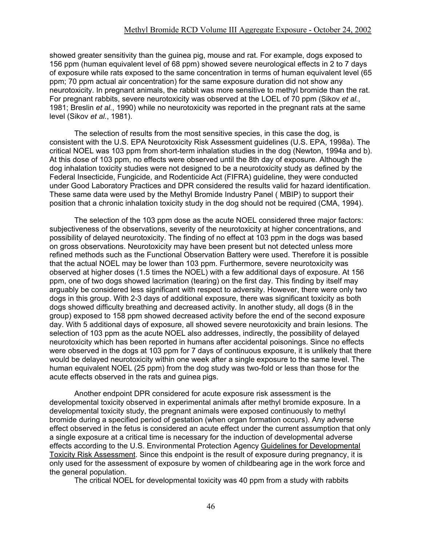showed greater sensitivity than the guinea pig, mouse and rat. For example, dogs exposed to 156 ppm (human equivalent level of 68 ppm) showed severe neurological effects in 2 to 7 days of exposure while rats exposed to the same concentration in terms of human equivalent level (65 ppm; 70 ppm actual air concentration) for the same exposure duration did not show any neurotoxicity. In pregnant animals, the rabbit was more sensitive to methyl bromide than the rat. For pregnant rabbits, severe neurotoxicity was observed at the LOEL of 70 ppm (Sikov *et al.*, 1981; Breslin *et al.*, 1990) while no neurotoxicity was reported in the pregnant rats at the same level (Sikov *et al.*, 1981).

The selection of results from the most sensitive species, in this case the dog, is consistent with the U.S. EPA Neurotoxicity Risk Assessment guidelines (U.S. EPA, 1998a). The critical NOEL was 103 ppm from short-term inhalation studies in the dog (Newton, 1994a and b). At this dose of 103 ppm, no effects were observed until the 8th day of exposure. Although the dog inhalation toxicity studies were not designed to be a neurotoxicity study as defined by the Federal Insecticide, Fungicide, and Rodenticide Act (FIFRA) guideline, they were conducted under Good Laboratory Practices and DPR considered the results valid for hazard identification. These same data were used by the Methyl Bromide Industry Panel ( MBIP) to support their position that a chronic inhalation toxicity study in the dog should not be required (CMA, 1994).

The selection of the 103 ppm dose as the acute NOEL considered three major factors: subjectiveness of the observations, severity of the neurotoxicity at higher concentrations, and possibility of delayed neurotoxicity. The finding of no effect at 103 ppm in the dogs was based on gross observations. Neurotoxicity may have been present but not detected unless more refined methods such as the Functional Observation Battery were used. Therefore it is possible that the actual NOEL may be lower than 103 ppm. Furthermore, severe neurotoxicity was observed at higher doses (1.5 times the NOEL) with a few additional days of exposure. At 156 ppm, one of two dogs showed lacrimation (tearing) on the first day. This finding by itself may arguably be considered less significant with respect to adversity. However, there were only two dogs in this group. With 2-3 days of additional exposure, there was significant toxicity as both dogs showed difficulty breathing and decreased activity. In another study, all dogs (8 in the group) exposed to 158 ppm showed decreased activity before the end of the second exposure day. With 5 additional days of exposure, all showed severe neurotoxicity and brain lesions. The selection of 103 ppm as the acute NOEL also addresses, indirectly, the possibility of delayed neurotoxicity which has been reported in humans after accidental poisonings. Since no effects were observed in the dogs at 103 ppm for 7 days of continuous exposure, it is unlikely that there would be delayed neurotoxicity within one week after a single exposure to the same level. The human equivalent NOEL (25 ppm) from the dog study was two-fold or less than those for the acute effects observed in the rats and guinea pigs.

Another endpoint DPR considered for acute exposure risk assessment is the developmental toxicity observed in experimental animals after methyl bromide exposure. In a developmental toxicity study, the pregnant animals were exposed continuously to methyl bromide during a specified period of gestation (when organ formation occurs). Any adverse effect observed in the fetus is considered an acute effect under the current assumption that only a single exposure at a critical time is necessary for the induction of developmental adverse effects according to the U.S. Environmental Protection Agency Guidelines for Developmental Toxicity Risk Assessment. Since this endpoint is the result of exposure during pregnancy, it is only used for the assessment of exposure by women of childbearing age in the work force and the general population.

The critical NOEL for developmental toxicity was 40 ppm from a study with rabbits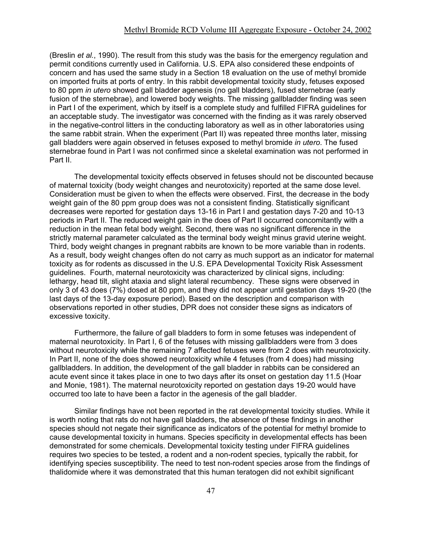(Breslin *et al.*, 1990). The result from this study was the basis for the emergency regulation and permit conditions currently used in California. U.S. EPA also considered these endpoints of concern and has used the same study in a Section 18 evaluation on the use of methyl bromide on imported fruits at ports of entry. In this rabbit developmental toxicity study, fetuses exposed to 80 ppm *in utero* showed gall bladder agenesis (no gall bladders), fused sternebrae (early fusion of the sternebrae), and lowered body weights. The missing gallbladder finding was seen in Part I of the experiment, which by itself is a complete study and fulfilled FIFRA guidelines for an acceptable study. The investigator was concerned with the finding as it was rarely observed in the negative-control litters in the conducting laboratory as well as in other laboratories using the same rabbit strain. When the experiment (Part II) was repeated three months later, missing gall bladders were again observed in fetuses exposed to methyl bromide *in utero*. The fused sternebrae found in Part I was not confirmed since a skeletal examination was not performed in Part II.

The developmental toxicity effects observed in fetuses should not be discounted because of maternal toxicity (body weight changes and neurotoxicity) reported at the same dose level. Consideration must be given to when the effects were observed. First, the decrease in the body weight gain of the 80 ppm group does was not a consistent finding. Statistically significant decreases were reported for gestation days 13-16 in Part I and gestation days 7-20 and 10-13 periods in Part II. The reduced weight gain in the does of Part II occurred concomitantly with a reduction in the mean fetal body weight. Second, there was no significant difference in the strictly maternal parameter calculated as the terminal body weight minus gravid uterine weight. Third, body weight changes in pregnant rabbits are known to be more variable than in rodents. As a result, body weight changes often do not carry as much support as an indicator for maternal toxicity as for rodents as discussed in the U.S. EPA Developmental Toxicity Risk Assessment guidelines. Fourth, maternal neurotoxicity was characterized by clinical signs, including: lethargy, head tilt, slight ataxia and slight lateral recumbency. These signs were observed in only 3 of 43 does (7%) dosed at 80 ppm, and they did not appear until gestation days 19-20 (the last days of the 13-day exposure period). Based on the description and comparison with observations reported in other studies, DPR does not consider these signs as indicators of excessive toxicity.

Furthermore, the failure of gall bladders to form in some fetuses was independent of maternal neurotoxicity. In Part I, 6 of the fetuses with missing gallbladders were from 3 does without neurotoxicity while the remaining 7 affected fetuses were from 2 does with neurotoxicity. In Part II, none of the does showed neurotoxicity while 4 fetuses (from 4 does) had missing gallbladders. In addition, the development of the gall bladder in rabbits can be considered an acute event since it takes place in one to two days after its onset on gestation day 11.5 (Hoar and Monie, 1981). The maternal neurotoxicity reported on gestation days 19-20 would have occurred too late to have been a factor in the agenesis of the gall bladder.

Similar findings have not been reported in the rat developmental toxicity studies. While it is worth noting that rats do not have gall bladders, the absence of these findings in another species should not negate their significance as indicators of the potential for methyl bromide to cause developmental toxicity in humans. Species specificity in developmental effects has been demonstrated for some chemicals. Developmental toxicity testing under FIFRA guidelines requires two species to be tested, a rodent and a non-rodent species, typically the rabbit, for identifying species susceptibility. The need to test non-rodent species arose from the findings of thalidomide where it was demonstrated that this human teratogen did not exhibit significant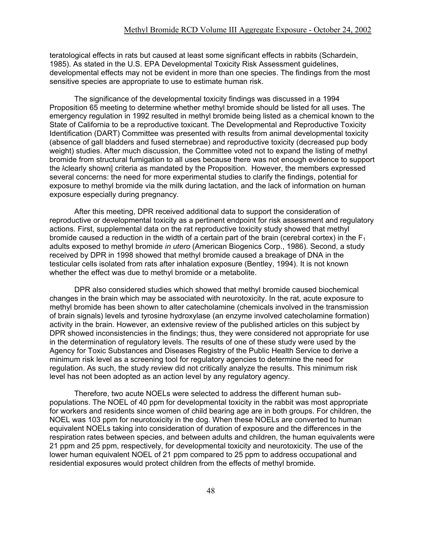teratological effects in rats but caused at least some significant effects in rabbits (Schardein, 1985). As stated in the U.S. EPA Developmental Toxicity Risk Assessment guidelines, developmental effects may not be evident in more than one species. The findings from the most sensitive species are appropriate to use to estimate human risk.

The significance of the developmental toxicity findings was discussed in a 1994 Proposition 65 meeting to determine whether methyl bromide should be listed for all uses. The emergency regulation in 1992 resulted in methyl bromide being listed as a chemical known to the State of California to be a reproductive toxicant. The Developmental and Reproductive Toxicity Identification (DART) Committee was presented with results from animal developmental toxicity (absence of gall bladders and fused sternebrae) and reproductive toxicity (decreased pup body weight) studies. After much discussion, the Committee voted not to expand the listing of methyl bromide from structural fumigation to all uses because there was not enough evidence to support the Aclearly shown@ criteria as mandated by the Proposition. However, the members expressed several concerns: the need for more experimental studies to clarify the findings, potential for exposure to methyl bromide via the milk during lactation, and the lack of information on human exposure especially during pregnancy.

After this meeting, DPR received additional data to support the consideration of reproductive or developmental toxicity as a pertinent endpoint for risk assessment and regulatory actions. First, supplemental data on the rat reproductive toxicity study showed that methyl bromide caused a reduction in the width of a certain part of the brain (cerebral cortex) in the  $F_1$ adults exposed to methyl bromide *in utero* (American Biogenics Corp., 1986). Second, a study received by DPR in 1998 showed that methyl bromide caused a breakage of DNA in the testicular cells isolated from rats after inhalation exposure (Bentley, 1994). It is not known whether the effect was due to methyl bromide or a metabolite.

DPR also considered studies which showed that methyl bromide caused biochemical changes in the brain which may be associated with neurotoxicity. In the rat, acute exposure to methyl bromide has been shown to alter catecholamine (chemicals involved in the transmission of brain signals) levels and tyrosine hydroxylase (an enzyme involved catecholamine formation) activity in the brain. However, an extensive review of the published articles on this subject by DPR showed inconsistencies in the findings; thus, they were considered not appropriate for use in the determination of regulatory levels. The results of one of these study were used by the Agency for Toxic Substances and Diseases Registry of the Public Health Service to derive a minimum risk level as a screening tool for regulatory agencies to determine the need for regulation. As such, the study review did not critically analyze the results. This minimum risk level has not been adopted as an action level by any regulatory agency.

Therefore, two acute NOELs were selected to address the different human subpopulations. The NOEL of 40 ppm for developmental toxicity in the rabbit was most appropriate for workers and residents since women of child bearing age are in both groups. For children, the NOEL was 103 ppm for neurotoxicity in the dog. When these NOELs are converted to human equivalent NOELs taking into consideration of duration of exposure and the differences in the respiration rates between species, and between adults and children, the human equivalents were 21 ppm and 25 ppm, respectively, for developmental toxicity and neurotoxicity. The use of the lower human equivalent NOEL of 21 ppm compared to 25 ppm to address occupational and residential exposures would protect children from the effects of methyl bromide.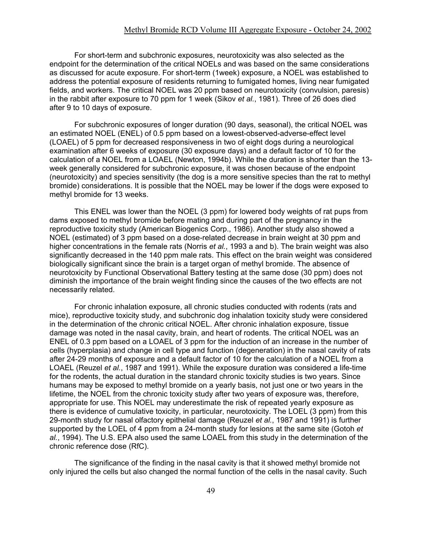For short-term and subchronic exposures, neurotoxicity was also selected as the endpoint for the determination of the critical NOELs and was based on the same considerations as discussed for acute exposure. For short-term (1week) exposure, a NOEL was established to address the potential exposure of residents returning to fumigated homes, living near fumigated fields, and workers. The critical NOEL was 20 ppm based on neurotoxicity (convulsion, paresis) in the rabbit after exposure to 70 ppm for 1 week (Sikov *et al.*, 1981). Three of 26 does died after 9 to 10 days of exposure.

For subchronic exposures of longer duration (90 days, seasonal), the critical NOEL was an estimated NOEL (ENEL) of 0.5 ppm based on a lowest-observed-adverse-effect level (LOAEL) of 5 ppm for decreased responsiveness in two of eight dogs during a neurological examination after 6 weeks of exposure (30 exposure days) and a default factor of 10 for the calculation of a NOEL from a LOAEL (Newton, 1994b). While the duration is shorter than the 13 week generally considered for subchronic exposure, it was chosen because of the endpoint (neurotoxicity) and species sensitivity (the dog is a more sensitive species than the rat to methyl bromide) considerations. It is possible that the NOEL may be lower if the dogs were exposed to methyl bromide for 13 weeks.

This ENEL was lower than the NOEL (3 ppm) for lowered body weights of rat pups from dams exposed to methyl bromide before mating and during part of the pregnancy in the reproductive toxicity study (American Biogenics Corp., 1986). Another study also showed a NOEL (estimated) of 3 ppm based on a dose-related decrease in brain weight at 30 ppm and higher concentrations in the female rats (Norris *et al.*, 1993 a and b). The brain weight was also significantly decreased in the 140 ppm male rats. This effect on the brain weight was considered biologically significant since the brain is a target organ of methyl bromide. The absence of neurotoxicity by Functional Observational Battery testing at the same dose (30 ppm) does not diminish the importance of the brain weight finding since the causes of the two effects are not necessarily related.

For chronic inhalation exposure, all chronic studies conducted with rodents (rats and mice), reproductive toxicity study, and subchronic dog inhalation toxicity study were considered in the determination of the chronic critical NOEL. After chronic inhalation exposure, tissue damage was noted in the nasal cavity, brain, and heart of rodents. The critical NOEL was an ENEL of 0.3 ppm based on a LOAEL of 3 ppm for the induction of an increase in the number of cells (hyperplasia) and change in cell type and function (degeneration) in the nasal cavity of rats after 24-29 months of exposure and a default factor of 10 for the calculation of a NOEL from a LOAEL (Reuzel *et al.*, 1987 and 1991). While the exposure duration was considered a life-time for the rodents, the actual duration in the standard chronic toxicity studies is two years. Since humans may be exposed to methyl bromide on a yearly basis, not just one or two years in the lifetime, the NOEL from the chronic toxicity study after two years of exposure was, therefore, appropriate for use. This NOEL may underestimate the risk of repeated yearly exposure as there is evidence of cumulative toxicity, in particular, neurotoxicity. The LOEL (3 ppm) from this 29-month study for nasal olfactory epithelial damage (Reuzel *et al.*, 1987 and 1991) is further supported by the LOEL of 4 ppm from a 24-month study for lesions at the same site (Gotoh *et al.*, 1994). The U.S. EPA also used the same LOAEL from this study in the determination of the chronic reference dose (RfC).

The significance of the finding in the nasal cavity is that it showed methyl bromide not only injured the cells but also changed the normal function of the cells in the nasal cavity. Such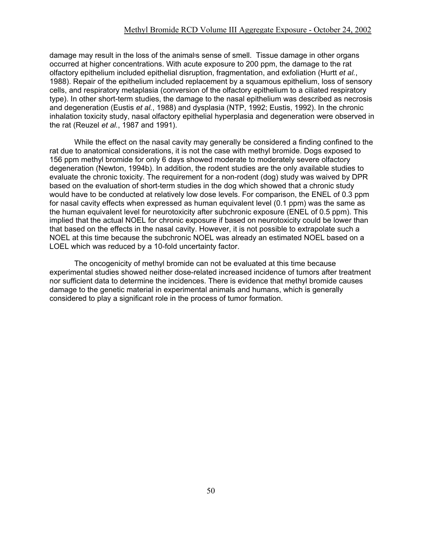damage may result in the loss of the animal-s sense of smell. Tissue damage in other organs occurred at higher concentrations. With acute exposure to 200 ppm, the damage to the rat olfactory epithelium included epithelial disruption, fragmentation, and exfoliation (Hurtt *et al.*, 1988). Repair of the epithelium included replacement by a squamous epithelium, loss of sensory cells, and respiratory metaplasia (conversion of the olfactory epithelium to a ciliated respiratory type). In other short-term studies, the damage to the nasal epithelium was described as necrosis and degeneration (Eustis *et al.*, 1988) and dysplasia (NTP, 1992; Eustis, 1992). In the chronic inhalation toxicity study, nasal olfactory epithelial hyperplasia and degeneration were observed in the rat (Reuzel *et al.*, 1987 and 1991).

While the effect on the nasal cavity may generally be considered a finding confined to the rat due to anatomical considerations, it is not the case with methyl bromide. Dogs exposed to 156 ppm methyl bromide for only 6 days showed moderate to moderately severe olfactory degeneration (Newton, 1994b). In addition, the rodent studies are the only available studies to evaluate the chronic toxicity. The requirement for a non-rodent (dog) study was waived by DPR based on the evaluation of short-term studies in the dog which showed that a chronic study would have to be conducted at relatively low dose levels. For comparison, the ENEL of 0.3 ppm for nasal cavity effects when expressed as human equivalent level (0.1 ppm) was the same as the human equivalent level for neurotoxicity after subchronic exposure (ENEL of 0.5 ppm). This implied that the actual NOEL for chronic exposure if based on neurotoxicity could be lower than that based on the effects in the nasal cavity. However, it is not possible to extrapolate such a NOEL at this time because the subchronic NOEL was already an estimated NOEL based on a LOEL which was reduced by a 10-fold uncertainty factor.

The oncogenicity of methyl bromide can not be evaluated at this time because experimental studies showed neither dose-related increased incidence of tumors after treatment nor sufficient data to determine the incidences. There is evidence that methyl bromide causes damage to the genetic material in experimental animals and humans, which is generally considered to play a significant role in the process of tumor formation.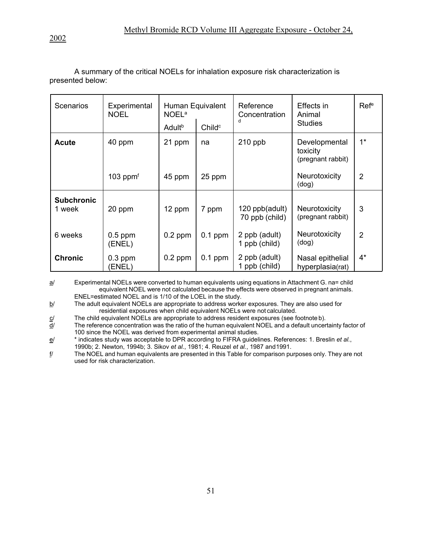A summary of the critical NOELs for inhalation exposure risk characterization is presented below:

| <b>Scenarios</b>            | Experimental<br><b>NOEL</b> | Human Equivalent<br><b>NOEL<sup>a</sup></b><br>Adult <sup>b</sup> | Childc    | Reference<br>Concentration       | Effects in<br>Animal<br><b>Studies</b>         | Refe           |
|-----------------------------|-----------------------------|-------------------------------------------------------------------|-----------|----------------------------------|------------------------------------------------|----------------|
| <b>Acute</b>                | 40 ppm                      | 21 ppm                                                            | na        | $210$ ppb                        | Developmental<br>toxicity<br>(pregnant rabbit) | $1^*$          |
|                             | $103$ ppm <sup>f</sup>      | 45 ppm                                                            | 25 ppm    |                                  | Neurotoxicity<br>(dog)                         | $\overline{2}$ |
| <b>Subchronic</b><br>1 week | 20 ppm                      | 12 ppm                                                            | 7 ppm     | 120 ppb(adult)<br>70 ppb (child) | Neurotoxicity<br>(pregnant rabbit)             | 3              |
| 6 weeks                     | $0.5$ ppm<br>(ENEL)         | $0.2$ ppm                                                         | $0.1$ ppm | 2 ppb (adult)<br>1 ppb (child)   | Neurotoxicity<br>(dog)                         | $\overline{2}$ |
| <b>Chronic</b>              | $0.3$ ppm<br><b>(ENEL)</b>  | $0.2$ ppm                                                         | $0.1$ ppm | 2 ppb (adult)<br>1 ppb (child)   | Nasal epithelial<br>hyperplasia(rat)           | $4^*$          |

a/ Experimental NOELs were converted to human equivalents using equations in Attachment G. na= child equivalent NOEL were not calculated because the effects were observed in pregnant animals. ENEL=estimated NOEL and is 1/10 of the LOEL in the study.

b/ The adult equivalent NOELs are appropriate to address worker exposures. They are also used for residential exposures when child equivalent NOELs were not calculated.

 $\underline{c}$ / The child equivalent NOELs are appropriate to address resident exposures (see footnote b).<br> $\underline{d}$ / The reference concentration was the ratio of the human equivalent NOEL and a default uncer

The reference concentration was the ratio of the human equivalent NOEL and a default uncertainty factor of 100 since the NOEL was derived from experimental animal studies.

e/ \* indicates study was acceptable to DPR according to FIFRA guidelines. References: 1. Breslin *et al.*, 1990b; 2. Newton, 1994b; 3. Sikov *et al.*, 1981; 4. Reuzel *et al.*, 1987 and1991.

f/ The NOEL and human equivalents are presented in this Table for comparison purposes only. They are not used for risk characterization.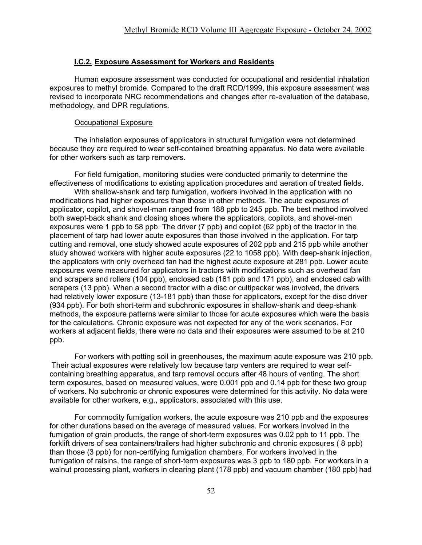#### **I.C.2. Exposure Assessment for Workers and Residents**

Human exposure assessment was conducted for occupational and residential inhalation exposures to methyl bromide. Compared to the draft RCD/1999, this exposure assessment was revised to incorporate NRC recommendations and changes after re-evaluation of the database, methodology, and DPR regulations.

#### Occupational Exposure

The inhalation exposures of applicators in structural fumigation were not determined because they are required to wear self-contained breathing apparatus. No data were available for other workers such as tarp removers.

For field fumigation, monitoring studies were conducted primarily to determine the effectiveness of modifications to existing application procedures and aeration of treated fields. With shallow-shank and tarp fumigation, workers involved in the application with no

modifications had higher exposures than those in other methods. The acute exposures of applicator, copilot, and shovel-man ranged from 188 ppb to 245 ppb. The best method involved both swept-back shank and closing shoes where the applicators, copilots, and shovel-men exposures were 1 ppb to 58 ppb. The driver (7 ppb) and copilot (62 ppb) of the tractor in the placement of tarp had lower acute exposures than those involved in the application. For tarp cutting and removal, one study showed acute exposures of 202 ppb and 215 ppb while another study showed workers with higher acute exposures (22 to 1058 ppb). With deep-shank injection, the applicators with only overhead fan had the highest acute exposure at 281 ppb. Lower acute exposures were measured for applicators in tractors with modifications such as overhead fan and scrapers and rollers (104 ppb), enclosed cab (161 ppb and 171 ppb), and enclosed cab with scrapers (13 ppb). When a second tractor with a disc or cultipacker was involved, the drivers had relatively lower exposure (13-181 ppb) than those for applicators, except for the disc driver (934 ppb). For both short-term and subchronic exposures in shallow-shank and deep-shank methods, the exposure patterns were similar to those for acute exposures which were the basis for the calculations. Chronic exposure was not expected for any of the work scenarios. For workers at adjacent fields, there were no data and their exposures were assumed to be at 210 ppb.

For workers with potting soil in greenhouses, the maximum acute exposure was 210 ppb. Their actual exposures were relatively low because tarp venters are required to wear selfcontaining breathing apparatus, and tarp removal occurs after 48 hours of venting. The short term exposures, based on measured values, were 0.001 ppb and 0.14 ppb for these two group of workers. No subchronic or chronic exposures were determined for this activity. No data were available for other workers, e.g., applicators, associated with this use.

For commodity fumigation workers, the acute exposure was 210 ppb and the exposures for other durations based on the average of measured values. For workers involved in the fumigation of grain products, the range of short-term exposures was 0.02 ppb to 11 ppb. The forklift drivers of sea containers/trailers had higher subchronic and chronic exposures ( 8 ppb) than those (3 ppb) for non-certifying fumigation chambers. For workers involved in the fumigation of raisins, the range of short-term exposures was 3 ppb to 180 ppb. For workers in a walnut processing plant, workers in clearing plant (178 ppb) and vacuum chamber (180 ppb) had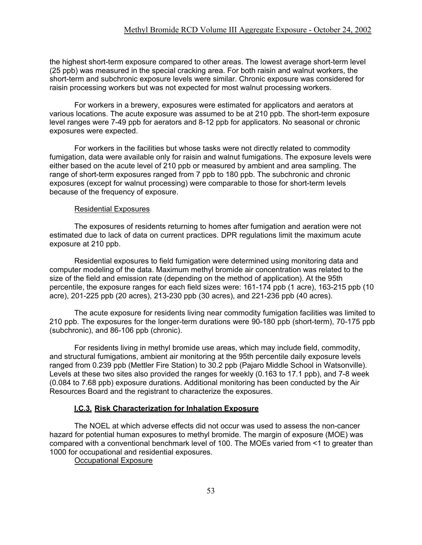the highest short-term exposure compared to other areas. The lowest average short-term level (25 ppb) was measured in the special cracking area. For both raisin and walnut workers, the short-term and subchronic exposure levels were similar. Chronic exposure was considered for raisin processing workers but was not expected for most walnut processing workers.

For workers in a brewery, exposures were estimated for applicators and aerators at various locations. The acute exposure was assumed to be at 210 ppb. The short-term exposure level ranges were 7-49 ppb for aerators and 8-12 ppb for applicators. No seasonal or chronic exposures were expected.

For workers in the facilities but whose tasks were not directly related to commodity fumigation, data were available only for raisin and walnut fumigations. The exposure levels were either based on the acute level of 210 ppb or measured by ambient and area sampling. The range of short-term exposures ranged from 7 ppb to 180 ppb. The subchronic and chronic exposures (except for walnut processing) were comparable to those for short-term levels because of the frequency of exposure.

#### Residential Exposures

The exposures of residents returning to homes after fumigation and aeration were not estimated due to lack of data on current practices. DPR regulations limit the maximum acute exposure at 210 ppb.

Residential exposures to field fumigation were determined using monitoring data and computer modeling of the data. Maximum methyl bromide air concentration was related to the size of the field and emission rate (depending on the method of application). At the 95th percentile, the exposure ranges for each field sizes were: 161-174 ppb (1 acre), 163-215 ppb (10 acre), 201-225 ppb (20 acres), 213-230 ppb (30 acres), and 221-236 ppb (40 acres).

The acute exposure for residents living near commodity fumigation facilities was limited to 210 ppb. The exposures for the longer-term durations were 90-180 ppb (short-term), 70-175 ppb (subchronic), and 86-106 ppb (chronic).

For residents living in methyl bromide use areas, which may include field, commodity, and structural fumigations, ambient air monitoring at the 95th percentile daily exposure levels ranged from 0.239 ppb (Mettler Fire Station) to 30.2 ppb (Pajaro Middle School in Watsonville). Levels at these two sites also provided the ranges for weekly (0.163 to 17.1 ppb), and 7-8 week (0.084 to 7.68 ppb) exposure durations. Additional monitoring has been conducted by the Air Resources Board and the registrant to characterize the exposures.

#### **I.C.3. Risk Characterization for Inhalation Exposure**

The NOEL at which adverse effects did not occur was used to assess the non-cancer hazard for potential human exposures to methyl bromide. The margin of exposure (MOE) was compared with a conventional benchmark level of 100. The MOEs varied from <1 to greater than 1000 for occupational and residential exposures.

Occupational Exposure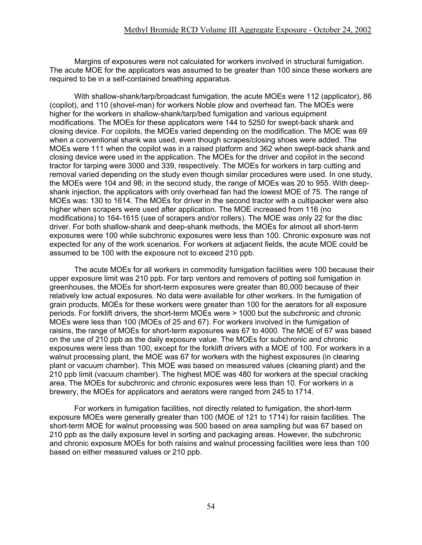Margins of exposures were not calculated for workers involved in structural fumigation. The acute MOE for the applicators was assumed to be greater than 100 since these workers are required to be in a self-contained breathing apparatus.

With shallow-shank/tarp/broadcast fumigation, the acute MOEs were 112 (applicator), 86 (copilot), and 110 (shovel-man) for workers Noble plow and overhead fan. The MOEs were higher for the workers in shallow-shank/tarp/bed fumigation and various equipment modifications. The MOEs for these applicators were 144 to 5250 for swept-back shank and closing device. For copilots, the MOEs varied depending on the modification. The MOE was 69 when a conventional shank was used, even though scrapes/closing shoes were added. The MOEs were 111 when the copilot was in a raised platform and 362 when swept-back shank and closing device were used in the application. The MOEs for the driver and copilot in the second tractor for tarping were 3000 and 339, respectively. The MOEs for workers in tarp cutting and removal varied depending on the study even though similar procedures were used. In one study, the MOEs were 104 and 98; in the second study, the range of MOEs was 20 to 955. With deepshank injection, the applicators with only overhead fan had the lowest MOE of 75. The range of MOEs was: 130 to 1614. The MOEs for driver in the second tractor with a cultipacker were also higher when scrapers were used after application. The MOE increased from 116 (no modifications) to 164-1615 (use of scrapers and/or rollers). The MOE was only 22 for the disc driver. For both shallow-shank and deep-shank methods, the MOEs for almost all short-term exposures were 100 while subchronic exposures were less than 100. Chronic exposure was not expected for any of the work scenarios. For workers at adjacent fields, the acute MOE could be assumed to be 100 with the exposure not to exceed 210 ppb.

The acute MOEs for all workers in commodity fumigation facilities were 100 because their upper exposure limit was 210 ppb. For tarp ventors and removers of potting soil fumigation in greenhouses, the MOEs for short-term exposures were greater than 80,000 because of their relatively low actual exposures. No data were available for other workers. In the fumigation of grain products, MOEs for these workers were greater than 100 for the aerators for all exposure periods. For forklift drivers, the short-term MOEs were > 1000 but the subchronic and chronic MOEs were less than 100 (MOEs of 25 and 67). For workers involved in the fumigation of raisins, the range of MOEs for short-term exposures was 67 to 4000. The MOE of 67 was based on the use of 210 ppb as the daily exposure value. The MOEs for subchronic and chronic exposures were less than 100, except for the forklift drivers with a MOE of 100. For workers in a walnut processing plant, the MOE was 67 for workers with the highest exposures (in clearing plant or vacuum chamber). This MOE was based on measured values (cleaning plant) and the 210 ppb limit (vacuum chamber). The highest MOE was 480 for workers at the special cracking area. The MOEs for subchronic and chronic exposures were less than 10. For workers in a brewery, the MOEs for applicators and aerators were ranged from 245 to 1714.

For workers in fumigation facilities, not directly related to fumigation, the short-term exposure MOEs were generally greater than 100 (MOE of 121 to 1714) for raisin facilities. The short-term MOE for walnut processing was 500 based on area sampling but was 67 based on 210 ppb as the daily exposure level in sorting and packaging areas. However, the subchronic and chronic exposure MOEs for both raisins and walnut processing facilities were less than 100 based on either measured values or 210 ppb.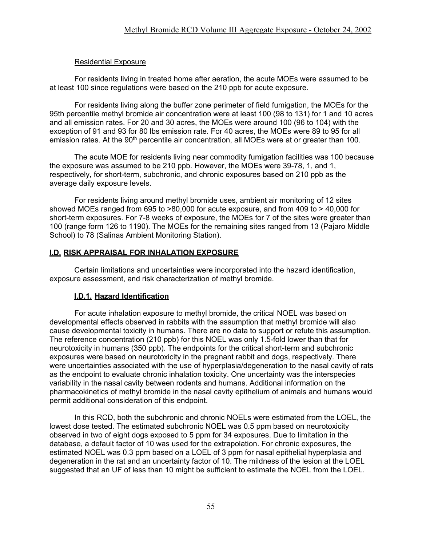## Residential Exposure

For residents living in treated home after aeration, the acute MOEs were assumed to be at least 100 since regulations were based on the 210 ppb for acute exposure.

For residents living along the buffer zone perimeter of field fumigation, the MOEs for the 95th percentile methyl bromide air concentration were at least 100 (98 to 131) for 1 and 10 acres and all emission rates. For 20 and 30 acres, the MOEs were around 100 (96 to 104) with the exception of 91 and 93 for 80 lbs emission rate. For 40 acres, the MOEs were 89 to 95 for all emission rates. At the 90<sup>th</sup> percentile air concentration, all MOEs were at or greater than 100.

The acute MOE for residents living near commodity fumigation facilities was 100 because the exposure was assumed to be 210 ppb. However, the MOEs were 39-78, 1, and 1, respectively, for short-term, subchronic, and chronic exposures based on 210 ppb as the average daily exposure levels.

For residents living around methyl bromide uses, ambient air monitoring of 12 sites showed MOEs ranged from 695 to >80,000 for acute exposure, and from 409 to > 40,000 for short-term exposures. For 7-8 weeks of exposure, the MOEs for 7 of the sites were greater than 100 (range form 126 to 1190). The MOEs for the remaining sites ranged from 13 (Pajaro Middle School) to 78 (Salinas Ambient Monitoring Station).

## **I.D. RISK APPRAISAL FOR INHALATION EXPOSURE**

Certain limitations and uncertainties were incorporated into the hazard identification, exposure assessment, and risk characterization of methyl bromide.

## **I.D.1. Hazard Identification**

For acute inhalation exposure to methyl bromide, the critical NOEL was based on developmental effects observed in rabbits with the assumption that methyl bromide will also cause developmental toxicity in humans. There are no data to support or refute this assumption. The reference concentration (210 ppb) for this NOEL was only 1.5-fold lower than that for neurotoxicity in humans (350 ppb). The endpoints for the critical short-term and subchronic exposures were based on neurotoxicity in the pregnant rabbit and dogs, respectively. There were uncertainties associated with the use of hyperplasia/degeneration to the nasal cavity of rats as the endpoint to evaluate chronic inhalation toxicity. One uncertainty was the interspecies variability in the nasal cavity between rodents and humans. Additional information on the pharmacokinetics of methyl bromide in the nasal cavity epithelium of animals and humans would permit additional consideration of this endpoint.

In this RCD, both the subchronic and chronic NOELs were estimated from the LOEL, the lowest dose tested. The estimated subchronic NOEL was 0.5 ppm based on neurotoxicity observed in two of eight dogs exposed to 5 ppm for 34 exposures. Due to limitation in the database, a default factor of 10 was used for the extrapolation. For chronic exposures, the estimated NOEL was 0.3 ppm based on a LOEL of 3 ppm for nasal epithelial hyperplasia and degeneration in the rat and an uncertainty factor of 10. The mildness of the lesion at the LOEL suggested that an UF of less than 10 might be sufficient to estimate the NOEL from the LOEL.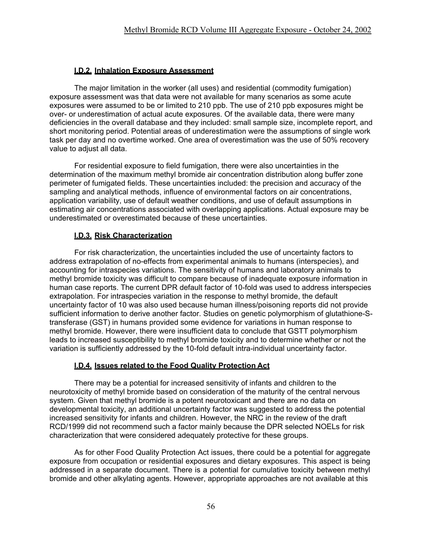## **I.D.2. Inhalation Exposure Assessment**

The major limitation in the worker (all uses) and residential (commodity fumigation) exposure assessment was that data were not available for many scenarios as some acute exposures were assumed to be or limited to 210 ppb. The use of 210 ppb exposures might be over- or underestimation of actual acute exposures. Of the available data, there were many deficiencies in the overall database and they included: small sample size, incomplete report, and short monitoring period. Potential areas of underestimation were the assumptions of single work task per day and no overtime worked. One area of overestimation was the use of 50% recovery value to adjust all data.

For residential exposure to field fumigation, there were also uncertainties in the determination of the maximum methyl bromide air concentration distribution along buffer zone perimeter of fumigated fields. These uncertainties included: the precision and accuracy of the sampling and analytical methods, influence of environmental factors on air concentrations, application variability, use of default weather conditions, and use of default assumptions in estimating air concentrations associated with overlapping applications. Actual exposure may be underestimated or overestimated because of these uncertainties.

## **I.D.3. Risk Characterization**

For risk characterization, the uncertainties included the use of uncertainty factors to address extrapolation of no-effects from experimental animals to humans (interspecies), and accounting for intraspecies variations. The sensitivity of humans and laboratory animals to methyl bromide toxicity was difficult to compare because of inadequate exposure information in human case reports. The current DPR default factor of 10-fold was used to address interspecies extrapolation. For intraspecies variation in the response to methyl bromide, the default uncertainty factor of 10 was also used because human illness/poisoning reports did not provide sufficient information to derive another factor. Studies on genetic polymorphism of glutathione-Stransferase (GST) in humans provided some evidence for variations in human response to methyl bromide. However, there were insufficient data to conclude that GSTT polymorphism leads to increased susceptibility to methyl bromide toxicity and to determine whether or not the variation is sufficiently addressed by the 10-fold default intra-individual uncertainty factor.

## **I.D.4. Issues related to the Food Quality Protection Act**

There may be a potential for increased sensitivity of infants and children to the neurotoxicity of methyl bromide based on consideration of the maturity of the central nervous system. Given that methyl bromide is a potent neurotoxicant and there are no data on developmental toxicity, an additional uncertainty factor was suggested to address the potential increased sensitivity for infants and children. However, the NRC in the review of the draft RCD/1999 did not recommend such a factor mainly because the DPR selected NOELs for risk characterization that were considered adequately protective for these groups.

As for other Food Quality Protection Act issues, there could be a potential for aggregate exposure from occupation or residential exposures and dietary exposures. This aspect is being addressed in a separate document. There is a potential for cumulative toxicity between methyl bromide and other alkylating agents. However, appropriate approaches are not available at this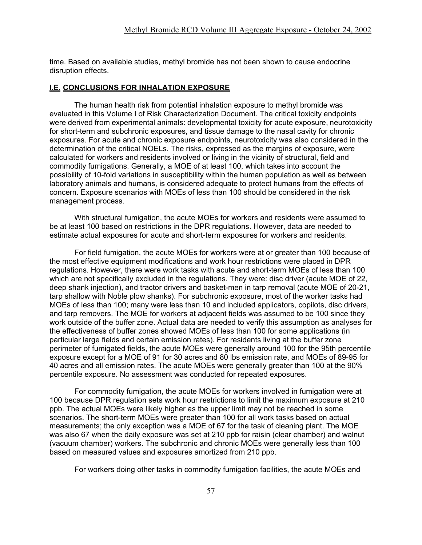time. Based on available studies, methyl bromide has not been shown to cause endocrine disruption effects.

#### **I.E. CONCLUSIONS FOR INHALATION EXPOSURE**

The human health risk from potential inhalation exposure to methyl bromide was evaluated in this Volume I of Risk Characterization Document. The critical toxicity endpoints were derived from experimental animals: developmental toxicity for acute exposure, neurotoxicity for short-term and subchronic exposures, and tissue damage to the nasal cavity for chronic exposures. For acute and chronic exposure endpoints, neurotoxicity was also considered in the determination of the critical NOELs. The risks, expressed as the margins of exposure, were calculated for workers and residents involved or living in the vicinity of structural, field and commodity fumigations. Generally, a MOE of at least 100, which takes into account the possibility of 10-fold variations in susceptibility within the human population as well as between laboratory animals and humans, is considered adequate to protect humans from the effects of concern. Exposure scenarios with MOEs of less than 100 should be considered in the risk management process.

With structural fumigation, the acute MOEs for workers and residents were assumed to be at least 100 based on restrictions in the DPR regulations. However, data are needed to estimate actual exposures for acute and short-term exposures for workers and residents.

For field fumigation, the acute MOEs for workers were at or greater than 100 because of the most effective equipment modifications and work hour restrictions were placed in DPR regulations. However, there were work tasks with acute and short-term MOEs of less than 100 which are not specifically excluded in the regulations. They were: disc driver (acute MOE of 22, deep shank injection), and tractor drivers and basket-men in tarp removal (acute MOE of 20-21, tarp shallow with Noble plow shanks). For subchronic exposure, most of the worker tasks had MOEs of less than 100; many were less than 10 and included applicators, copilots, disc drivers, and tarp removers. The MOE for workers at adjacent fields was assumed to be 100 since they work outside of the buffer zone. Actual data are needed to verify this assumption as analyses for the effectiveness of buffer zones showed MOEs of less than 100 for some applications (in particular large fields and certain emission rates). For residents living at the buffer zone perimeter of fumigated fields, the acute MOEs were generally around 100 for the 95th percentile exposure except for a MOE of 91 for 30 acres and 80 lbs emission rate, and MOEs of 89-95 for 40 acres and all emission rates. The acute MOEs were generally greater than 100 at the 90% percentile exposure. No assessment was conducted for repeated exposures.

For commodity fumigation, the acute MOEs for workers involved in fumigation were at 100 because DPR regulation sets work hour restrictions to limit the maximum exposure at 210 ppb. The actual MOEs were likely higher as the upper limit may not be reached in some scenarios. The short-term MOEs were greater than 100 for all work tasks based on actual measurements; the only exception was a MOE of 67 for the task of cleaning plant. The MOE was also 67 when the daily exposure was set at 210 ppb for raisin (clear chamber) and walnut (vacuum chamber) workers. The subchronic and chronic MOEs were generally less than 100 based on measured values and exposures amortized from 210 ppb.

For workers doing other tasks in commodity fumigation facilities, the acute MOEs and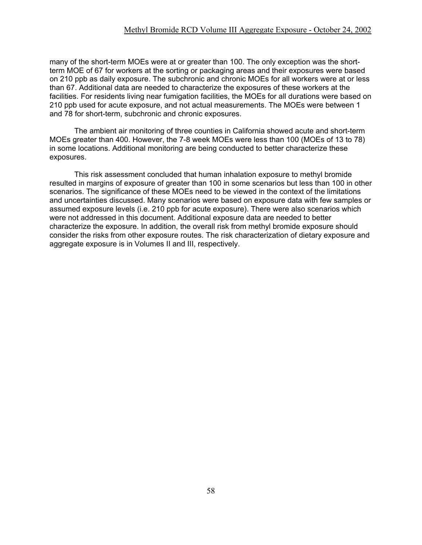many of the short-term MOEs were at or greater than 100. The only exception was the shortterm MOE of 67 for workers at the sorting or packaging areas and their exposures were based on 210 ppb as daily exposure. The subchronic and chronic MOEs for all workers were at or less than 67. Additional data are needed to characterize the exposures of these workers at the facilities. For residents living near fumigation facilities, the MOEs for all durations were based on 210 ppb used for acute exposure, and not actual measurements. The MOEs were between 1 and 78 for short-term, subchronic and chronic exposures.

The ambient air monitoring of three counties in California showed acute and short-term MOEs greater than 400. However, the 7-8 week MOEs were less than 100 (MOEs of 13 to 78) in some locations. Additional monitoring are being conducted to better characterize these exposures.

This risk assessment concluded that human inhalation exposure to methyl bromide resulted in margins of exposure of greater than 100 in some scenarios but less than 100 in other scenarios. The significance of these MOEs need to be viewed in the context of the limitations and uncertainties discussed. Many scenarios were based on exposure data with few samples or assumed exposure levels (i.e. 210 ppb for acute exposure). There were also scenarios which were not addressed in this document. Additional exposure data are needed to better characterize the exposure. In addition, the overall risk from methyl bromide exposure should consider the risks from other exposure routes. The risk characterization of dietary exposure and aggregate exposure is in Volumes II and III, respectively.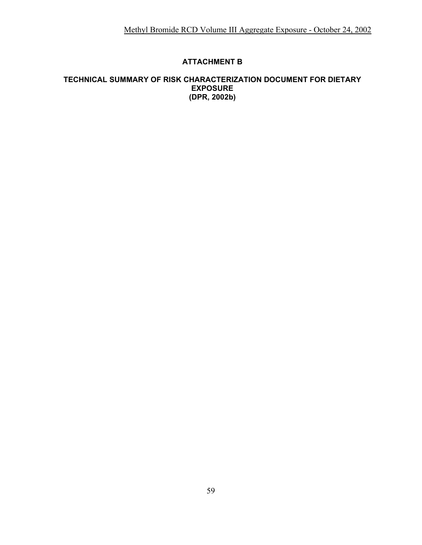## **ATTACHMENT B**

#### **TECHNICAL SUMMARY OF RISK CHARACTERIZATION DOCUMENT FOR DIETARY EXPOSURE (DPR, 2002b)**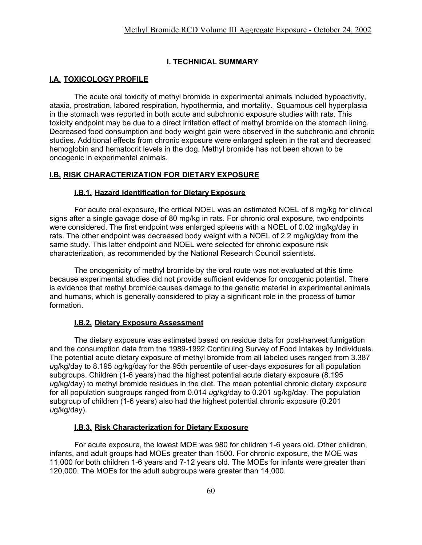#### **I. TECHNICAL SUMMARY**

## **I.A. TOXICOLOGY PROFILE**

The acute oral toxicity of methyl bromide in experimental animals included hypoactivity, ataxia, prostration, labored respiration, hypothermia, and mortality. Squamous cell hyperplasia in the stomach was reported in both acute and subchronic exposure studies with rats. This toxicity endpoint may be due to a direct irritation effect of methyl bromide on the stomach lining. Decreased food consumption and body weight gain were observed in the subchronic and chronic studies. Additional effects from chronic exposure were enlarged spleen in the rat and decreased hemoglobin and hematocrit levels in the dog. Methyl bromide has not been shown to be oncogenic in experimental animals.

#### **I.B. RISK CHARACTERIZATION FOR DIETARY EXPOSURE**

#### **I.B.1. Hazard Identification for Dietary Exposure**

For acute oral exposure, the critical NOEL was an estimated NOEL of 8 mg/kg for clinical signs after a single gavage dose of 80 mg/kg in rats. For chronic oral exposure, two endpoints were considered. The first endpoint was enlarged spleens with a NOEL of 0.02 mg/kg/day in rats. The other endpoint was decreased body weight with a NOEL of 2.2 mg/kg/day from the same study. This latter endpoint and NOEL were selected for chronic exposure risk characterization, as recommended by the National Research Council scientists.

The oncogenicity of methyl bromide by the oral route was not evaluated at this time because experimental studies did not provide sufficient evidence for oncogenic potential. There is evidence that methyl bromide causes damage to the genetic material in experimental animals and humans, which is generally considered to play a significant role in the process of tumor formation.

#### **I.B.2. Dietary Exposure Assessment**

The dietary exposure was estimated based on residue data for post-harvest fumigation and the consumption data from the 1989-1992 Continuing Survey of Food Intakes by Individuals. The potential acute dietary exposure of methyl bromide from all labeled uses ranged from 3.387 *u*g/kg/day to 8.195 *u*g/kg/day for the 95th percentile of user-days exposures for all population subgroups. Children (1-6 years) had the highest potential acute dietary exposure (8.195 *u*g/kg/day) to methyl bromide residues in the diet. The mean potential chronic dietary exposure for all population subgroups ranged from 0.014 *u*g/kg/day to 0.201 *u*g/kg/day. The population subgroup of children (1-6 years) also had the highest potential chronic exposure (0.201 *u*g/kg/day).

#### **I.B.3. Risk Characterization for Dietary Exposure**

For acute exposure, the lowest MOE was 980 for children 1-6 years old. Other children, infants, and adult groups had MOEs greater than 1500. For chronic exposure, the MOE was 11,000 for both children 1-6 years and 7-12 years old. The MOEs for infants were greater than 120,000. The MOEs for the adult subgroups were greater than 14,000.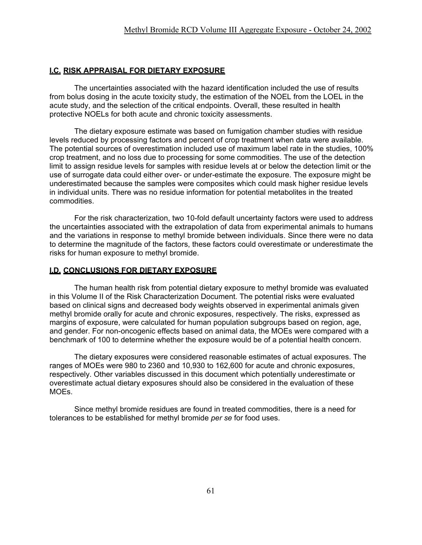#### **I.C. RISK APPRAISAL FOR DIETARY EXPOSURE**

The uncertainties associated with the hazard identification included the use of results from bolus dosing in the acute toxicity study, the estimation of the NOEL from the LOEL in the acute study, and the selection of the critical endpoints. Overall, these resulted in health protective NOELs for both acute and chronic toxicity assessments.

The dietary exposure estimate was based on fumigation chamber studies with residue levels reduced by processing factors and percent of crop treatment when data were available. The potential sources of overestimation included use of maximum label rate in the studies, 100% crop treatment, and no loss due to processing for some commodities. The use of the detection limit to assign residue levels for samples with residue levels at or below the detection limit or the use of surrogate data could either over- or under-estimate the exposure. The exposure might be underestimated because the samples were composites which could mask higher residue levels in individual units. There was no residue information for potential metabolites in the treated commodities.

For the risk characterization, two 10-fold default uncertainty factors were used to address the uncertainties associated with the extrapolation of data from experimental animals to humans and the variations in response to methyl bromide between individuals. Since there were no data to determine the magnitude of the factors, these factors could overestimate or underestimate the risks for human exposure to methyl bromide.

#### **I.D. CONCLUSIONS FOR DIETARY EXPOSURE**

The human health risk from potential dietary exposure to methyl bromide was evaluated in this Volume II of the Risk Characterization Document. The potential risks were evaluated based on clinical signs and decreased body weights observed in experimental animals given methyl bromide orally for acute and chronic exposures, respectively. The risks, expressed as margins of exposure, were calculated for human population subgroups based on region, age, and gender. For non-oncogenic effects based on animal data, the MOEs were compared with a benchmark of 100 to determine whether the exposure would be of a potential health concern.

The dietary exposures were considered reasonable estimates of actual exposures. The ranges of MOEs were 980 to 2360 and 10,930 to 162,600 for acute and chronic exposures, respectively. Other variables discussed in this document which potentially underestimate or overestimate actual dietary exposures should also be considered in the evaluation of these MOEs.

Since methyl bromide residues are found in treated commodities, there is a need for tolerances to be established for methyl bromide *per se* for food uses.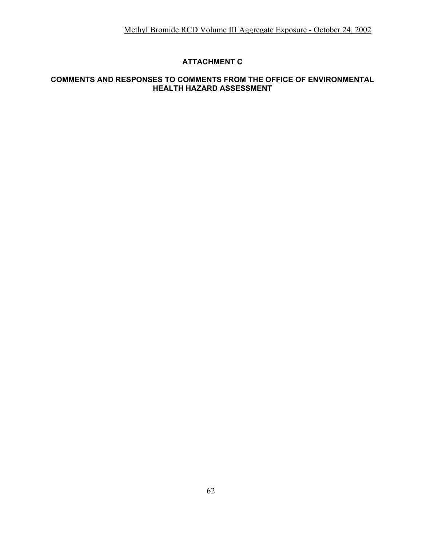## **ATTACHMENT C**

## **COMMENTS AND RESPONSES TO COMMENTS FROM THE OFFICE OF ENVIRONMENTAL HEALTH HAZARD ASSESSMENT**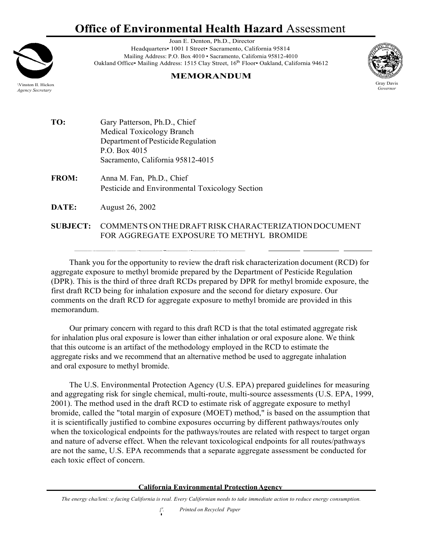## **Office of Environmental Health Hazard** Assessment



Joan E. Denton, Ph.D., Director Headquarters• 1001 I Street• Sacramento, California 95814 Mailing Address: P.O. Box 4010 • Sacramento, California 95812-4010 Oakland Office• Mailing Address: 1515 Clay Street, 16<sup>th</sup> Floor• Oakland, California 94612

## **MEMORANDUM**



Gray Davis *Governor*

**TO:** Gary Patterson, Ph.D., Chief Medical Toxicology Branch Department of Pesticide Regulation P.O. Box 4015 Sacramento, California 95812-4015

**FROM:** Anna M. Fan, Ph.D., Chief Pesticide and Environmental Toxicology Section

**DATE:** August 26, 2002

**SUBJECT:** COMMENTS ONTHEDRAFTRISKCHARACTERIZATIONDOCUMENT FOR AGGREGATE EXPOSURE TO METHYL BROMIDE

Thank you for the opportunity to review the draft risk characterization document (RCD) for aggregate exposure to methyl bromide prepared by the Department of Pesticide Regulation (DPR). This is the third of three draft RCDs prepared by DPR for methyl bromide exposure, the first draft RCD being for inhalation exposure and the second for dietary exposure. Our comments on the draft RCD for aggregate exposure to methyl bromide are provided in this memorandum.

Our primary concern with regard to this draft RCD is that the total estimated aggregate risk for inhalation plus oral exposure is lower than either inhalation or oral exposure alone. We think that this outcome is an artifact of the methodology employed in the RCD to estimate the aggregate risks and we recommend that an alternative method be used to aggregate inhalation and oral exposure to methyl bromide.

The U.S. Environmental Protection Agency (U.S. EPA) prepared guidelines for measuring and aggregating risk for single chemical, multi-route, multi-source assessments (U.S. EPA, 1999, 2001). The method used in the draft RCD to estimate risk of aggregate exposure to methyl bromide, called the "total margin of exposure (MOET) method," is based on the assumption that it is scientifically justified to combine exposures occurring by different pathways/routes only when the toxicological endpoints for the pathways/routes are related with respect to target organ and nature of adverse effect. When the relevant toxicological endpoints for all routes/pathways are not the same, U.S. EPA recommends that a separate aggregate assessment be conducted for each toxic effect of concern.

#### **California Environmental ProtectionAgency**

*The energy cha/leni::e facing California is real. Every Californian needs to take immediate action to reduce energy consumption.*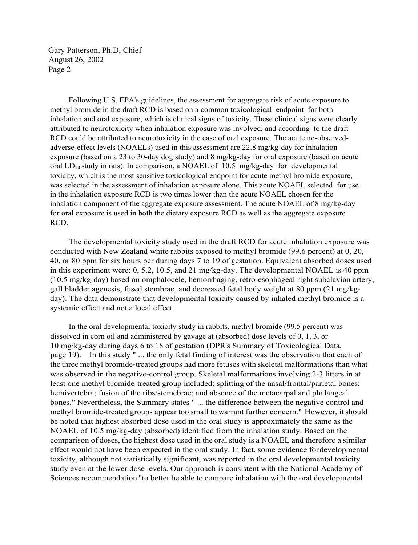Gary Patterson, Ph.D, Chief August 26, 2002 Page 2

Following U.S. EPA's guidelines, the assessment for aggregate risk of acute exposure to methyl bromide in the draft RCD is based on a common toxicological endpoint for both inhalation and oral exposure, which is clinical signs of toxicity. These clinical signs were clearly attributed to neurotoxicity when inhalation exposure was involved, and according to the draft RCD could be attributed to neurotoxicity in the case of oral exposure. The acute no-observedadverse-effect levels (NOAELs) used in this assessment are 22.8 mg/kg-day for inhalation exposure (based on a 23 to 30-day dog study) and 8 mg/kg-day for oral exposure (based on acute oral  $LD_{50}$  study in rats). In comparison, a NOAEL of 10.5 mg/kg-day for developmental toxicity, which is the most sensitive toxicological endpoint for acute methyl bromide exposure, was selected in the assessment of inhalation exposure alone. This acute NOAEL selected for use in the inhalation exposure RCD is two times lower than the acute NOAEL chosen for the inhalation component of the aggregate exposure assessment. The acute NOAEL of 8 mg/kg-day for oral exposure is used in both the dietary exposure RCD as well as the aggregate exposure RCD.

The developmental toxicity study used in the draft RCD for acute inhalation exposure was conducted with New Zealand white rabbits exposed to methyl bromide (99.6 percent) at 0, 20, 40, or 80 ppm for six hours per during days 7 to 19 of gestation. Equivalent absorbed doses used in this experiment were: 0, 5.2, 10.5, and 21 mg/kg-day. The developmental NOAEL is 40 ppm (10.5 mg/kg-day) based on omphalocele, hemorrhaging, retro-esophageal right subclavian artery, gall bladder agenesis, fused stembrae, and decreased fetal body weight at 80 ppm (21 mg/kgday). The data demonstrate that developmental toxicity caused by inhaled methyl bromide is a systemic effect and not a local effect.

In the oral developmental toxicity study in rabbits, methyl bromide (99.5 percent) was dissolved in corn oil and administered by gavage at (absorbed) dose levels of 0, 1, 3, or 10 mg/kg-day during days 6 to 18 of gestation (DPR's Summary of Toxicological Data, page 19). In this study " ... the only fetal finding of interest was the observation that each of the three methyl bromide-treated groups had more fetuses with skeletal malformations than what was observed in the negative-control group. Skeletal malformations involving 2-3 litters in at least one methyl bromide-treated group included: splitting of the nasal/frontal/parietal bones; hemivertebra; fusion of the ribs/stemebrae; and absence of the metacarpal and phalangeal bones." Nevertheless, the Summary states " ... the difference between the negative control and methyl bromide-treated groups appear too small to warrant further concern." However, itshould be noted that highest absorbed dose used in the oral study is approximately the same as the NOAEL of 10.5 mg/kg-day (absorbed) identified from the inhalation study. Based on the comparison of doses, the highest dose used in the oral study is a NOAEL and therefore a similar effect would not have been expected in the oral study. In fact, some evidence fordevelopmental toxicity, although not statistically significant, was reported in the oral developmental toxicity study even at the lower dose levels. Our approach is consistent with the National Academy of Sciences recommendation "to better be able to compare inhalation with the oral developmental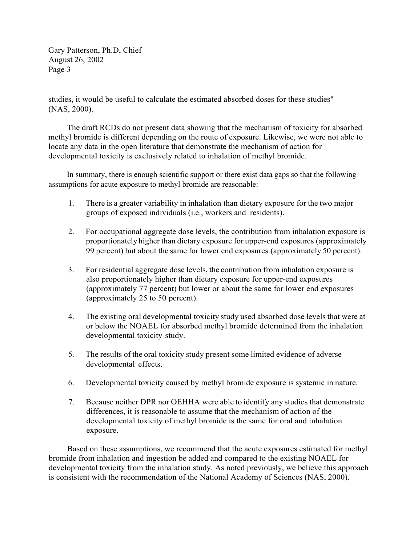Gary Patterson, Ph.D, Chief August 26, 2002 Page 3

studies, it would be useful to calculate the estimated absorbed doses for these studies" (NAS, 2000).

The draft RCDs do not present data showing that the mechanism of toxicity for absorbed methyl bromide is different depending on the route of exposure. Likewise, we were not able to locate any data in the open literature that demonstrate the mechanism of action for developmental toxicity is exclusively related to inhalation of methyl bromide.

In summary, there is enough scientific support or there exist data gaps so that the following assumptions for acute exposure to methyl bromide are reasonable:

- 1. There is a greater variability in inhalation than dietary exposure for the two major groups of exposed individuals (i.e., workers and residents).
- 2. For occupational aggregate dose levels, the contribution from inhalation exposure is proportionately higher than dietary exposure for upper-end exposures (approximately 99 percent) but about the same for lower end exposures (approximately 50 percent).
- 3. For residential aggregate dose levels, the contribution from inhalation exposure is also proportionately higher than dietary exposure for upper-end exposures (approximately 77 percent) but lower or about the same for lower end exposures (approximately 25 to 50 percent).
- 4. The existing oral developmental toxicity study used absorbed dose levels that were at or below the NOAEL for absorbed methyl bromide determined from the inhalation developmental toxicity study.
- 5. The results of the oral toxicity study present some limited evidence of adverse developmental effects.
- 6. Developmental toxicity caused by methyl bromide exposure is systemic in nature.
- 7. Because neither DPR nor OEHHA were able to identify any studies that demonstrate differences, it is reasonable to assume that the mechanism of action of the developmental toxicity of methyl bromide is the same for oral and inhalation exposure.

Based on these assumptions, we recommend that the acute exposures estimated for methyl bromide from inhalation and ingestion be added and compared to the existing NOAEL for developmental toxicity from the inhalation study. As noted previously, we believe this approach is consistent with the recommendation of the National Academy of Sciences (NAS, 2000).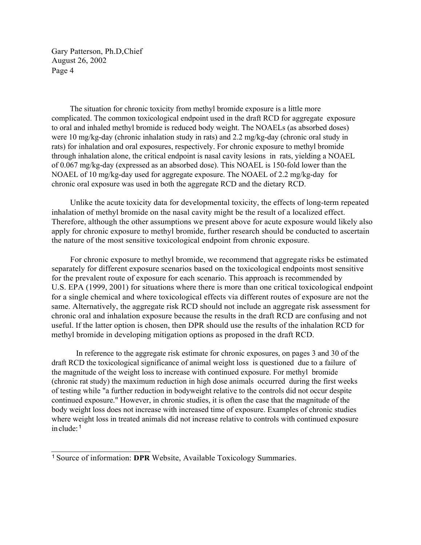Gary Patterson, Ph.D,Chief August 26, 2002 Page 4

The situation for chronic toxicity from methyl bromide exposure is a little more complicated. The common toxicological endpoint used in the draft RCD for aggregate exposure to oral and inhaled methyl bromide is reduced body weight. The NOAELs (as absorbed doses) were 10 mg/kg-day (chronic inhalation study in rats) and 2.2 mg/kg-day (chronic oral study in rats) for inhalation and oral exposures, respectively. For chronic exposure to methyl bromide through inhalation alone, the critical endpoint is nasal cavity lesions in rats, yielding a NOAEL of 0.067 mg/kg-day (expressed as an absorbed dose). This NOAEL is 150-fold lower than the NOAEL of 10 mg/kg-day used for aggregate exposure. The NOAEL of 2.2 mg/kg-day for chronic oral exposure was used in both the aggregate RCD and the dietary RCD.

Unlike the acute toxicity data for developmental toxicity, the effects of long-term repeated inhalation of methyl bromide on the nasal cavity might be the result of a localized effect. Therefore, although the other assumptions we present above for acute exposure would likely also apply for chronic exposure to methyl bromide, further research should be conducted to ascertain the nature of the most sensitive toxicological endpoint from chronic exposure.

For chronic exposure to methyl bromide, we recommend that aggregate risks be estimated separately for different exposure scenarios based on the toxicological endpoints most sensitive for the prevalent route of exposure for each scenario. This approach is recommended by U.S. EPA (1999, 2001) for situations where there is more than one critical toxicological endpoint for a single chemical and where toxicological effects via different routes of exposure are not the same. Alternatively, the aggregate risk RCD should not include an aggregate risk assessment for chronic oral and inhalation exposure because the results in the draft RCD are confusing and not useful. If the latter option is chosen, then DPR should use the results of the inhalation RCD for methyl bromide in developing mitigation options as proposed in the draft RCD.

In reference to the aggregate risk estimate for chronic exposures, on pages 3 and 30 of the draft RCD the toxicological significance of animal weight loss is questioned due to a failure of the magnitude of the weight loss to increase with continued exposure. For methyl bromide (chronic rat study) the maximum reduction in high dose animals occurred during the first weeks of testing while "a further reduction in bodyweight relative to the controls did not occur despite continued exposure." However, in chronic studies, it is often the case that the magnitude of the body weight loss does not increase with increased time of exposure. Examples of chronic studies where weight loss in treated animals did not increase relative to controls with continued exposure in clude: <sup>1</sup>

<sup>1</sup> Source of information: **DPR** Website, Available Toxicology Summaries.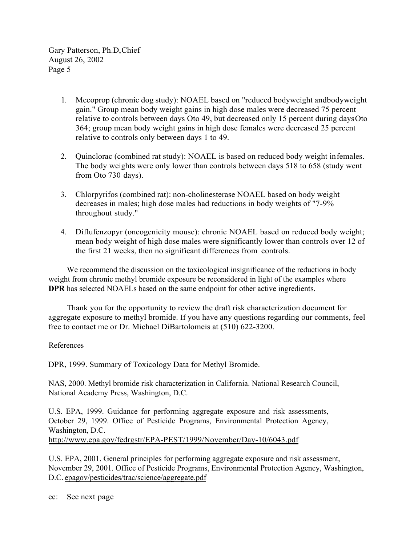Gary Patterson, Ph.D,Chief August 26, 2002 Page 5

- 1. Mecoprop (chronic dog study): NOAEL based on "reduced bodyweight andbodyweight gain." Group mean body weight gains in high dose males were decreased 75 percent relative to controls between days Oto 49, but decreased only 15 percent during daysOto 364; group mean body weight gains in high dose females were decreased 25 percent relative to controls only between days 1 to 49.
- 2. Quinclorac (combined rat study): NOAEL is based on reduced body weight infemales. The body weights were only lower than controls between days 518 to 658 (study went from Oto 730 days).
- 3. Chlorpyrifos (combined rat): non-cholinesterase NOAEL based on body weight decreases in males; high dose males had reductions in body weights of "7-9% throughout study."
- 4. Diflufenzopyr (oncogenicity mouse): chronic NOAEL based on reduced body weight; mean body weight of high dose males were significantly lower than controls over 12 of the first 21 weeks, then no significant differences from controls.

We recommend the discussion on the toxicological insignificance of the reductions in body weight from chronic methyl bromide exposure be reconsidered in light of the examples where **DPR** has selected NOAELs based on the same endpoint for other active ingredients.

Thank you for the opportunity to review the draft risk characterization document for aggregate exposure to methyl bromide. If you have any questions regarding our comments, feel free to contact me or Dr. Michael DiBartolomeis at (510) 622-3200.

#### References

DPR, 1999. Summary of Toxicology Data for Methyl Bromide.

NAS, 2000. Methyl bromide risk characterization in California. National Research Council, National Academy Press, Washington, D.C.

U.S. EPA, 1999. Guidance for performing aggregate exposure and risk assessments, October 29, 1999. Office of Pesticide Programs, Environmental Protection Agency, Washington, D.C. <http://www.epa.gov/fedrgstr/EPA-PEST/1999/November/Day-10/6043.pdf>

U.S. EPA, 2001. General principles for performing aggregate exposure and risk assessment, November 29, 2001. Office of Pesticide Programs, Environmental Protection Agency, Washington, D.C. epagov/pesticides/trac/science/aggregate.pdf

cc: See next page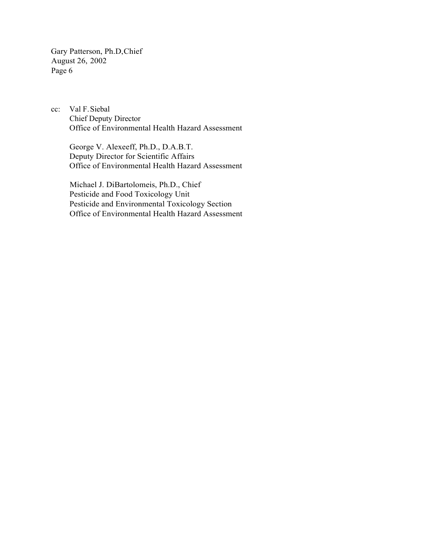Gary Patterson, Ph.D,Chief August 26, 2002 Page 6

cc: Val F.Siebal Chief Deputy Director Office of Environmental Health Hazard Assessment

George V. Alexeeff, Ph.D., D.A.B.T. Deputy Director for Scientific Affairs Office of Environmental Health Hazard Assessment

Michael J. DiBartolomeis, Ph.D., Chief Pesticide and Food Toxicology Unit Pesticide and Environmental Toxicology Section Office of Environmental Health Hazard Assessment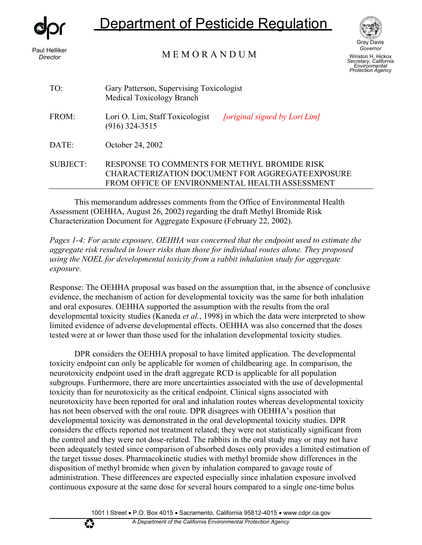

# epartment of Pesticide Regulation

*Director*

M E M O R A N D U M Paul Helliker



Winston H. Hickox *Secretary, California Environmental Protection Agency*

*Governor*

| TO:             | Gary Patterson, Supervising Toxicologist<br>Medical Toxicology Branch                                                                              |
|-----------------|----------------------------------------------------------------------------------------------------------------------------------------------------|
| FROM:           | Lori O. Lim, Staff Toxicologist<br>[original signed by Lori Lim]<br>$(916)$ 324-3515                                                               |
| DATE:           | October 24, 2002                                                                                                                                   |
| <b>SUBJECT:</b> | RESPONSE TO COMMENTS FOR METHYL BROMIDE RISK<br>CHARACTERIZATION DOCUMENT FOR AGGREGATE EXPOSURE<br>FROM OFFICE OF ENVIRONMENTAL HEALTH ASSESSMENT |

This memorandum addresses comments from the Office of Environmental Health Assessment (OEHHA, August 26, 2002) regarding the draft Methyl Bromide Risk Characterization Document for Aggregate Exposure (February 22, 2002).

*Pages 1-4: For acute exposure, OEHHA was concerned that the endpoint used to estimate the aggregate risk resulted in lower risks than those for individual routes alone. They proposed using the NOEL for developmental toxicity from a rabbit inhalation study for aggregate exposure.*

Response: The OEHHA proposal was based on the assumption that, in the absence of conclusive evidence, the mechanism of action for developmental toxicity was the same for both inhalation and oral exposures. OEHHA supported the assumption with the results from the oral developmental toxicity studies (Kaneda *et al.*, 1998) in which the data were interpreted to show limited evidence of adverse developmental effects. OEHHA was also concerned that the doses tested were at or lower than those used for the inhalation developmental toxicity studies.

DPR considers the OEHHA proposal to have limited application. The developmental toxicity endpoint can only be applicable for women of childbearing age. In comparison, the neurotoxicity endpoint used in the draft aggregate RCD is applicable for all population subgroups. Furthermore, there are more uncertainties associated with the use of developmental toxicity than for neurotoxicity as the critical endpoint. Clinical signs associated with neurotoxicity have been reported for oral and inhalation routes whereas developmental toxicity has not been observed with the oral route. DPR disagrees with OEHHA's position that developmental toxicity was demonstrated in the oral developmental toxicity studies. DPR considers the effects reported not treatment related; they were not statistically significant from the control and they were not dose-related. The rabbits in the oral study may or may not have been adequately tested since comparison of absorbed doses only provides a limited estimation of the target tissue doses. Pharmacokinetic studies with methyl bromide show differences in the disposition of methyl bromide when given by inhalation compared to gavage route of administration. These differences are expected especially since inhalation exposure involved continuous exposure at the same dose for several hours compared to a single one-time bolus